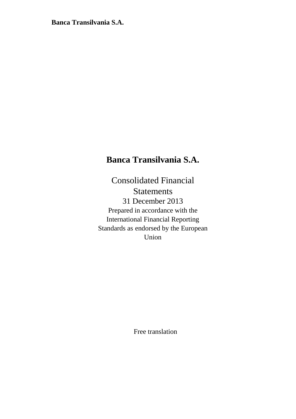# **Banca Transilvania S.A.**

Consolidated Financial Statements 31 December 2013 Prepared in accordance with the International Financial Reporting Standards as endorsed by the European Union

Free translation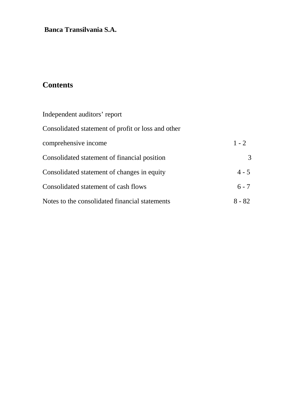# **Contents**

| Independent auditors' report                       |          |
|----------------------------------------------------|----------|
| Consolidated statement of profit or loss and other |          |
| comprehensive income                               | $1 - 2$  |
| Consolidated statement of financial position       | 3        |
| Consolidated statement of changes in equity        | $4 - 5$  |
| Consolidated statement of cash flows               | $6 - 7$  |
| Notes to the consolidated financial statements     | $8 - 82$ |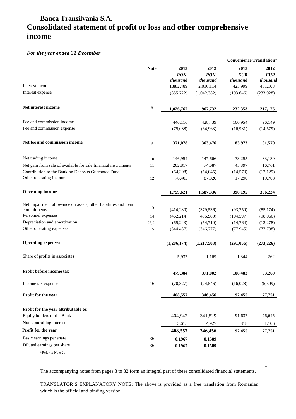## **Banca Transilvania S.A. Consolidated statement of profit or loss and other comprehensive income**

#### *For the year ended 31 December*

|                                                                               |             |                                |                                |                         | <b>Convenience Translation*</b> |
|-------------------------------------------------------------------------------|-------------|--------------------------------|--------------------------------|-------------------------|---------------------------------|
|                                                                               | <b>Note</b> | 2013<br><b>RON</b><br>thousand | 2012<br><b>RON</b><br>thousand | 2013<br>EUR<br>thousand | 2012<br><b>EUR</b><br>thousand  |
| Interest income                                                               |             | 1,882,489                      | 2,010,114                      | 425,999                 | 451,103                         |
| Interest expense                                                              |             | (855, 722)                     | (1,042,382)                    | (193, 646)              | (233,928)                       |
| Net interest income                                                           | 8           | 1,026,767                      | 967,732                        | 232,353                 | 217,175                         |
| Fee and commission income                                                     |             | 446,116                        | 428,439                        | 100,954                 | 96,149                          |
| Fee and commission expense                                                    |             | (75,038)                       | (64,963)                       | (16,981)                | (14, 579)                       |
| Net fee and commission income                                                 | 9           | 371,078                        | 363,476                        | 83,973                  | 81,570                          |
| Net trading income                                                            | $10\,$      | 146,954                        | 147,666                        | 33,255                  | 33,139                          |
| Net gain from sale of available for sale financial instruments                | 11          | 202,817                        | 74,687                         | 45,897                  | 16,761                          |
| Contribution to the Banking Deposits Guarantee Fund                           |             | (64,398)                       | (54,045)                       | (14, 573)               | (12, 129)                       |
| Other operating income                                                        | 12          | 76,403                         | 87,820                         | 17,290                  | 19,708                          |
| <b>Operating income</b>                                                       |             | 1,759,621                      | 1,587,336                      | 398,195                 | 356,224                         |
| Net impairment allowance on assets, other liabilities and loan<br>commitments | 13          | (414,280)                      | (379, 536)                     | (93,750)                | (85, 174)                       |
| Personnel expenses                                                            | 14          | (462, 214)                     | (436,980)                      | (104, 597)              | (98,066)                        |
| Depreciation and amortization                                                 | 23,24       | (65,243)                       | (54,710)                       | (14,764)                | (12, 278)                       |
| Other operating expenses                                                      | 15          | (344, 437)                     | (346, 277)                     | (77, 945)               | (77,708)                        |
| <b>Operating expenses</b>                                                     |             | (1,286,174)                    | (1,217,503)                    | (291,056)               | (273, 226)                      |
| Share of profits in associates                                                |             | 5,937                          | 1,169                          | 1,344                   | 262                             |
| Profit before income tax                                                      |             | 479,384                        | 371,002                        | 108,483                 | 83,260                          |
| Income tax expense                                                            | 16          | (70, 827)                      | (24, 546)                      | (16,028)                | (5,509)                         |
| Profit for the year                                                           |             | 408,557                        | 346,456                        | 92,455                  | 77,751                          |
| Profit for the year attributable to:                                          |             |                                |                                |                         |                                 |
| Equity holders of the Bank                                                    |             | 404,942                        | 341,529                        | 91,637                  | 76,645                          |
| Non controlling interests                                                     |             | 3,615                          | 4,927                          | 818                     | 1,106                           |
| Profit for the year                                                           |             | 408,557                        | 346,456                        | 92,455                  | 77,751                          |
| Basic earnings per share                                                      | 36          | 0.1967                         | 0.1589                         |                         |                                 |
| Diluted earnings per share                                                    | 36          | 0.1967                         | 0.1589                         |                         |                                 |
| *Refer to Note 2c                                                             |             |                                |                                |                         |                                 |

The accompanying notes from pages 8 to 82 form an integral part of these consolidated financial statements.

1

\_\_\_\_\_\_\_\_\_\_\_\_\_\_\_\_\_\_\_\_\_\_\_\_\_\_\_\_\_\_\_\_\_\_ TRANSLATOR'S EXPLANATORY NOTE: The above is provided as a free translation from Romanian which is the official and binding version.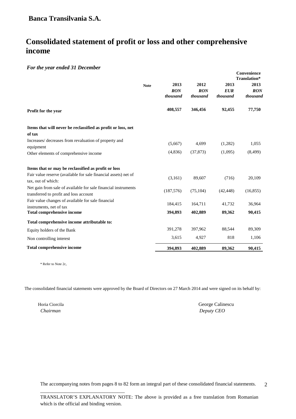## **Consolidated statement of profit or loss and other comprehensive income**

#### *For the year ended 31 December*

|                                                                                                          |             |                                |                                |                                | Convenience<br>Translation* |
|----------------------------------------------------------------------------------------------------------|-------------|--------------------------------|--------------------------------|--------------------------------|-----------------------------|
|                                                                                                          | <b>Note</b> | 2013<br><b>RON</b><br>thousand | 2012<br><b>RON</b><br>thousand | 2013<br><b>EUR</b><br>thousand | 2013<br>RON<br>thousand     |
| Profit for the year                                                                                      |             | 408,557                        | 346,456                        | 92,455                         | 77,750                      |
| Items that will never be reclassified as profit or loss, net                                             |             |                                |                                |                                |                             |
| of tax<br>Increases/ decreases from revaluation of property and<br>equipment                             |             | (5,667)                        | 4,699                          | (1,282)                        | 1,055                       |
| Other elements of comprehensive income                                                                   |             | (4,836)                        | (37, 873)                      | (1,095)                        | (8, 499)                    |
| Items that or may be reclassified as profit or loss                                                      |             |                                |                                |                                |                             |
| Fair value reserve (available for sale financial assets) net of<br>tax, out of which:                    |             | (3,161)                        | 89,607                         | (716)                          | 20,109                      |
| Net gain from sale of available for sale financial instruments<br>transferred to profit and loss account |             | (187, 576)                     | (75, 104)                      | (42, 448)                      | (16, 855)                   |
| Fair value changes of available for sale financial<br>instruments, net of tax                            |             | 184,415                        | 164,711                        | 41,732                         | 36,964                      |
| <b>Total comprehensive income</b>                                                                        |             | 394,893                        | 402,889                        | 89,362                         | 90,415                      |
| Total comprehensive income attributable to:                                                              |             |                                |                                |                                |                             |
| Equity holders of the Bank                                                                               |             | 391,278                        | 397,962                        | 88,544                         | 89,309                      |
| Non controlling interest                                                                                 |             | 3,615                          | 4,927                          | 818                            | 1,106                       |
| <b>Total comprehensive income</b>                                                                        |             | 394,893                        | 402,889                        | 89,362                         | 90,415                      |

\* Refer to Note 2c,

The consolidated financial statements were approved by the Board of Directors on 27 March 2014 and were signed on its behalf by:

\_\_\_\_\_\_\_\_\_\_\_\_\_\_\_\_\_\_\_\_\_\_\_\_\_\_\_\_\_\_\_\_\_\_

Horia Ciorcila George Calinescu  *Chairman Deputy CEO*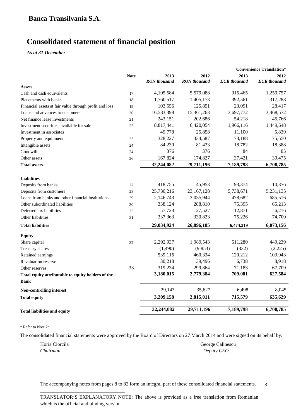# **Consolidated statement of financial position**

*As at 31 December*

|                                                        |             |                     |                     |                     | <b>Convenience Translation*</b> |
|--------------------------------------------------------|-------------|---------------------|---------------------|---------------------|---------------------------------|
|                                                        | <b>Note</b> | 2013                | 2012                | 2013                | 2012                            |
|                                                        |             | <b>RON</b> thousand | <b>RON</b> thousand | <b>EUR</b> thousand | <b>EUR</b> thousand             |
| Assets                                                 |             |                     |                     |                     |                                 |
| Cash and cash equivalents                              | 17          | 4,105,584           | 5,579,088           | 915,465             | 1,259,757                       |
| Placements with banks                                  | 18          | 1,760,517           | 1,405,173           | 392,561             | 317,288                         |
| Financial assets at fair value through profit and loss | 19          | 103,556             | 125,851             | 23,091              | 28,417                          |
| Loans and advances to customers                        | 20          | 16,583,398          | 15,361,263          | 3,697,772           | 3,468,572                       |
| Net finance lease investments                          | 21          | 243,151             | 202,686             | 54,218              | 45,766                          |
| Investment securities, available for sale              | 22          | 8,817,441           | 6,420,054           | 1,966,116           | 1,449,648                       |
| Investment in associates                               |             | 49,778              | 25,858              | 11,100              | 5,839                           |
| Property and equipment                                 | 23          | 328,227             | 334,587             | 73,188              | 75,550                          |
| Intangible assets                                      | 24          | 84,230              | 81,433              | 18,782              | 18,388                          |
| Goodwill                                               | 24          | 376                 | 376                 | 84                  | 85                              |
| Other assets                                           | 26          | 167,824             | 174,827             | 37,421              | 39,475                          |
| <b>Total assets</b>                                    |             | 32,244,082          | 29,711,196          | 7,189,798           | 6,708,785                       |
|                                                        |             |                     |                     |                     |                                 |
| <b>Liabilities</b>                                     |             |                     |                     |                     |                                 |
| Deposits from banks                                    | 27          | 418,755             | 45.953              | 93,374              | 10,376                          |
| Deposits from customers                                | 28          | 25,736,216          | 23,167,128          | 5,738,671           | 5,231,135                       |
| Loans from banks and other financial institutions      | 29          | 2,146,743           | 3,035,944           | 478,682             | 685,516                         |
| Other subordinated liabilities                         | 30          | 338,124             | 288,810             | 75,395              | 65,213                          |
| Deferred tax liabilities                               | 25          | 57,723              | 27,527              | 12,871              | 6,216                           |
| Other liabilities                                      | 31          | 337,363             | 330,823             | 75,226              | 74,700                          |
| <b>Total liabilities</b>                               |             | 29,034,924          | 26,896,185          | 6,474,219           | 6,073,156                       |
| <b>Equity</b>                                          |             |                     |                     |                     |                                 |
| Share capital                                          | 32          | 2,292,937           | 1,989,543           | 511,280             | 449,239                         |
| Treasury shares                                        |             | (1,490)             | (9, 853)            | (332)               | (2,225)                         |
| Retained earnings                                      |             | 539,116             | 460,334             | 120,212             | 103,943                         |
| <b>Revaluation reserve</b>                             |             | 30,218              | 39,496              | 6,738               | 8,918                           |
| Other reserves                                         | 33          | 319,234             | 299,864             | 71,183              | 67,709                          |
| Total equity attributable to equity holders of the     |             | 3,180,015           | 2,779,384           | 709,081             | 627,584                         |
| <b>Bank</b>                                            |             |                     |                     |                     |                                 |
| <b>Non-controlling interest</b>                        |             | 29,143              | 35,627              | 6,498               | 8,045                           |
| <b>Total equity</b>                                    |             | 3,209,158           | 2,815,011           | 715,579             | 635,629                         |
|                                                        |             | 32,244,082          | 29,711,196          | 7,189,798           | 6,708,785                       |
| <b>Total liabilities and equity</b>                    |             |                     |                     |                     |                                 |

\* Refer to Note 2c.

The consolidated financial statements were approved by the Board of Directors on 27 March 2014 and were signed on its behalf by:

Horia Ciorcila George Calinescu *Chairman Deputy CEO*

\_\_\_\_\_\_\_\_\_\_\_\_\_\_\_\_\_\_\_\_\_\_\_\_\_\_\_\_\_\_\_\_\_\_

The accompanying notes from pages 8 to 82 form an integral part of these consolidated financial statements. 3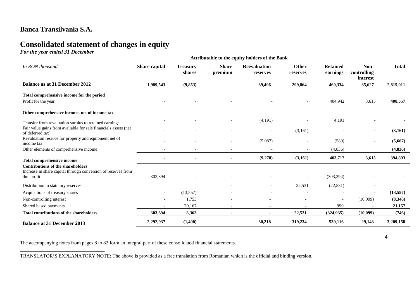# **Consolidated statement of changes in equity**

*For the year ended 31 December*

\_\_\_\_\_\_\_\_\_\_\_\_\_\_\_\_\_\_\_\_\_\_\_\_\_\_\_\_\_\_\_\_\_\_

| <b>Attributable to the equity holders of the Bank</b>                               |               |                           |                          |                                 |                          |                             |                                 |              |
|-------------------------------------------------------------------------------------|---------------|---------------------------|--------------------------|---------------------------------|--------------------------|-----------------------------|---------------------------------|--------------|
| In RON thousand                                                                     | Share capital | <b>Treasury</b><br>shares | <b>Share</b><br>premium  | <b>Reevaluation</b><br>reserves | <b>Other</b><br>reserves | <b>Retained</b><br>earnings | Non-<br>controlling<br>interest | <b>Total</b> |
| <b>Balance as at 31 December 2012</b>                                               | 1,989,543     | (9, 853)                  |                          | 39,496                          | 299,864                  | 460,334                     | 35,627                          | 2,815,011    |
| Total comprehensive income for the period                                           |               |                           |                          |                                 |                          |                             |                                 |              |
| Profit for the year                                                                 |               |                           |                          |                                 |                          | 404,942                     | 3,615                           | 408,557      |
| Other comprehensive income, net of income tax                                       |               |                           |                          |                                 |                          |                             |                                 |              |
| Transfer from revaluation surplus to retained earnings                              |               |                           |                          | (4,191)                         |                          | 4,191                       |                                 |              |
| Fair value gains from available for sale financials assets (net<br>of deferred tax) |               |                           |                          |                                 | (3,161)                  |                             |                                 | (3, 161)     |
| Revaluation reserve for property and equipment net of<br>income tax                 |               |                           | $\overline{\phantom{a}}$ | (5.087)                         |                          | (580)                       | $\overline{\phantom{a}}$        | (5,667)      |
| Other elements of comprehensive income                                              |               |                           |                          |                                 |                          | (4,836)                     |                                 | (4, 836)     |
| <b>Total comprehensive income</b>                                                   |               |                           |                          | (9,278)                         | (3,161)                  | 403,717                     | 3,615                           | 394,893      |
| <b>Contributions of the shareholders</b>                                            |               |                           |                          |                                 |                          |                             |                                 |              |
| Increase in share capital through conversion of reserves from<br>the profit         | 303,394       |                           |                          | $-$                             |                          | (303, 394)                  |                                 |              |
| Distribution to statutory reserves                                                  |               |                           |                          | $\overline{\phantom{a}}$        | 22,531                   | (22, 531)                   |                                 |              |
| Acquisitions of treasury shares                                                     |               | (13, 557)                 |                          |                                 |                          |                             |                                 | (13, 557)    |
| Non-controlling interest                                                            |               | 1,753                     |                          |                                 |                          |                             | (10,099)                        | (8,346)      |
| Shared based payments                                                               |               | 20,167                    |                          |                                 |                          | 990                         |                                 | 21,157       |
| <b>Total contributions of the shareholders</b>                                      | 303,394       | 8,363                     |                          |                                 | 22,531                   | (324, 935)                  | (10,099)                        | (746)        |
| <b>Balance at 31 December 2013</b>                                                  | 2,292,937     | (1,490)                   |                          | 30,218                          | 319,234                  | 539,116                     | 29,143                          | 3,209,158    |

The accompanying notes from pages 8 to 82 form an integral part of these consolidated financial statements.

TRANSLATOR'S EXPLANATORY NOTE: The above is provided as a free translation from Romanian which is the official and binding version.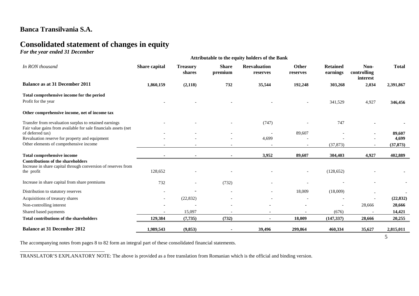# **Consolidated statement of changes in equity**

*For the year ended 31 December*

\_\_\_\_\_\_\_\_\_\_\_\_\_\_\_\_\_\_\_\_\_\_\_\_\_\_\_\_\_\_\_\_\_\_

| <b>Attributable to the equity holders of the Bank</b>                                                                     |               |                           |                         |                                 |                          |                             |                                 |              |
|---------------------------------------------------------------------------------------------------------------------------|---------------|---------------------------|-------------------------|---------------------------------|--------------------------|-----------------------------|---------------------------------|--------------|
| In RON thousand                                                                                                           | Share capital | <b>Treasury</b><br>shares | <b>Share</b><br>premium | <b>Reevaluation</b><br>reserves | Other<br>reserves        | <b>Retained</b><br>earnings | Non-<br>controlling<br>interest | <b>Total</b> |
| <b>Balance as at 31 December 2011</b>                                                                                     | 1,860,159     | (2,118)                   | 732                     | 35,544                          | 192,248                  | 303,268                     | 2,034                           | 2,391,867    |
| Total comprehensive income for the period<br>Profit for the year                                                          |               |                           |                         |                                 |                          | 341,529                     | 4,927                           | 346,456      |
| Other comprehensive income, net of income tax                                                                             |               |                           |                         |                                 |                          |                             |                                 |              |
| Transfer from revaluation surplus to retained earnings<br>Fair value gains from available for sale financials assets (net |               |                           |                         | (747)                           |                          | 747                         |                                 |              |
| of deferred tax)                                                                                                          |               |                           |                         |                                 | 89,607                   |                             |                                 | 89,607       |
| Revaluation reserve for property and equipment                                                                            |               |                           |                         | 4,699                           |                          |                             |                                 | 4,699        |
| Other elements of comprehensive income                                                                                    |               |                           |                         | $\overline{\phantom{a}}$        | $\overline{\phantom{a}}$ | (37, 873)                   | $\overline{\phantom{a}}$        | (37, 873)    |
| Total comprehensive income                                                                                                |               |                           |                         | 3,952                           | 89,607                   | 304,403                     | 4,927                           | 402,889      |
| <b>Contributions of the shareholders</b><br>Increase in share capital through conversion of reserves from<br>the profit   | 128,652       |                           |                         |                                 |                          | (128, 652)                  |                                 |              |
| Increase in share capital from share premiums                                                                             | 732           |                           | (732)                   |                                 |                          |                             |                                 |              |
| Distribution to statutory reserves                                                                                        |               |                           |                         |                                 | 18,009                   | (18,009)                    |                                 |              |
| Acquisitions of treasury shares                                                                                           |               | (22, 832)                 |                         |                                 |                          |                             |                                 | (22, 832)    |
| Non-controlling interest                                                                                                  |               |                           |                         |                                 |                          |                             | 28,666                          | 28,666       |
| Shared based payments                                                                                                     |               | 15,097                    |                         |                                 |                          | (676)                       |                                 | 14,421       |
| <b>Total contributions of the shareholders</b>                                                                            | 129,384       | (7, 735)                  | (732)                   |                                 | 18,009                   | (147, 337)                  | 28,666                          | 20,255       |
| <b>Balance at 31 December 2012</b>                                                                                        | 1,989,543     | (9, 853)                  |                         | 39,496                          | 299,864                  | 460,334                     | 35,627                          | 2,815,011    |
|                                                                                                                           |               |                           |                         |                                 |                          |                             |                                 | 5            |

The accompanying notes from pages 8 to 82 form an integral part of these consolidated financial statements.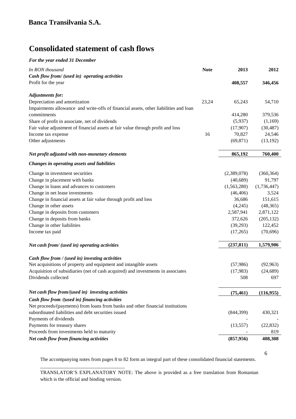# **Consolidated statement of cash flows**

#### *For the year ended 31 December*

| In RON thousand                                                                      | <b>Note</b> | 2013        | 2012        |
|--------------------------------------------------------------------------------------|-------------|-------------|-------------|
| Cash flow from/ (used in) operating activities                                       |             |             |             |
| Profit for the year                                                                  |             | 408,557     | 346,456     |
| <b>Adjustments for:</b>                                                              |             |             |             |
| Depreciation and amortization                                                        | 23,24       | 65,243      | 54,710      |
| Impairments allowance and write-offs of financial assets, other liabilities and loan |             |             |             |
| commitments                                                                          |             | 414,280     | 379,536     |
| Share of profit in associate, net of dividends                                       |             | (5,937)     | (1,169)     |
| Fair value adjustment of financial assets at fair value through profit and loss      |             | (17,907)    | (30, 487)   |
| Income tax expense                                                                   | 16          | 70,827      | 24,546      |
| Other adjustments                                                                    |             | (69, 871)   | (13, 192)   |
| Net profit adjusted with non-monetary elements                                       |             | 865,192     | 760,400     |
| Changes in operating assets and liabilities                                          |             |             |             |
| Change in investment securities                                                      |             | (2,389,078) | (360, 364)  |
| Change in placement with banks                                                       |             | (40,689)    | 91,797      |
| Change in loans and advances to customers                                            |             | (1,563,280) | (1,736,447) |
| Change in net lease investments                                                      |             | (46, 406)   | 3,524       |
| Change in financial assets at fair value through profit and loss                     |             | 36,686      | 151,615     |
| Change in other assets                                                               |             | (4,245)     | (48, 365)   |
| Change in deposits from customers                                                    |             | 2,587,941   | 2,871,122   |
| Change in deposits from banks                                                        |             | 372,626     | (205, 132)  |
| Change in other liabilities                                                          |             | (39,293)    | 122,452     |
| Income tax paid                                                                      |             | (17,265)    | (70, 696)   |
| Net cash from/ (used in) operating activities                                        |             | (237, 811)  | 1,579,906   |
|                                                                                      |             |             |             |
| Cash flow from / (used in) investing activities                                      |             |             |             |
| Net acquisitions of property and equipment and intangible assets                     |             | (57,986)    | (92, 963)   |
| Acquisition of subsidiaries (net of cash acquired) and investments in associates     |             | (17,983)    | (24, 689)   |
| Dividends collected                                                                  |             | 508         | 697         |
| Net cash flow from/(used in) investing activities                                    |             | (75, 461)   | (116,955)   |
| Cash flow from /(used in) financing activities                                       |             |             |             |
| Net proceeds/(payments) from loans from banks and other financial institutions       |             |             |             |
| subordinated liabilities and debt securities issued                                  |             | (844,399)   | 430,321     |
| Payments of dividends                                                                |             |             |             |
| Payments for treasury shares                                                         |             | (13, 557)   | (22, 832)   |
| Proceeds from investments held to maturity                                           |             |             | 819         |
| Net cash flow from financing activities                                              |             | (857, 956)  | 408,308     |

6

The accompanying notes from pages 8 to 82 form an integral part of these consolidated financial statements.

\_\_\_\_\_\_\_\_\_\_\_\_\_\_\_\_\_\_\_\_\_\_\_\_\_\_\_\_\_\_\_\_\_\_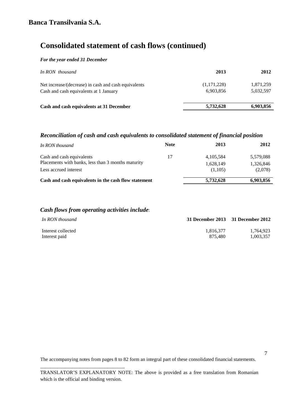# **Consolidated statement of cash flows (continued)**

#### *For the year ended 31 December*

| In RON thousand                                                                                | 2013                     | 2012                   |
|------------------------------------------------------------------------------------------------|--------------------------|------------------------|
| Net increase/(decrease) in cash and cash equivalents<br>Cash and cash equivalents at 1 January | (1,171,228)<br>6,903,856 | 1,871,259<br>5,032,597 |
| Cash and cash equivalents at 31 December                                                       | 5,732,628                | 6,903,856              |

## *Reconciliation of cash and cash equivalents to consolidated statement of financial position*

| In RON thousand                                      | <b>Note</b> | 2013        | 2012      |
|------------------------------------------------------|-------------|-------------|-----------|
| Cash and cash equivalents                            | 17          | 4, 105, 584 | 5,579,088 |
| Placements with banks, less than 3 months maturity   |             | 1,628,149   | 1,326,846 |
| Less accrued interest                                |             | (1.105)     | (2,078)   |
| Cash and cash equivalents in the cash flow statement |             | 5,732,628   | 6,903,856 |

### *Cash flows from operating activities include*:

\_\_\_\_\_\_\_\_\_\_\_\_\_\_\_\_\_\_\_\_\_\_\_\_\_\_\_\_\_\_\_\_\_\_

| In RON thousand    | 31 December 2013 31 December 2012 |           |
|--------------------|-----------------------------------|-----------|
| Interest collected | 1.816.377                         | 1.764.923 |
| Interest paid      | 875.480                           | 1.003.357 |

The accompanying notes from pages 8 to 82 form an integral part of these consolidated financial statements.

7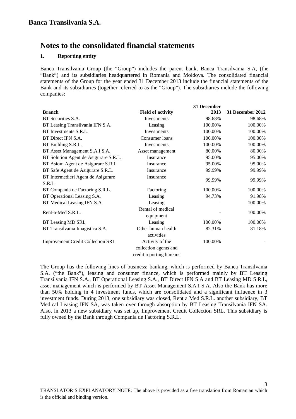### **1. Reporting entity**

Banca Transilvania Group (the "Group") includes the parent bank, Banca Transilvania S.A, (the "Bank") and its subsidiaries headquartered in Romania and Moldova. The consolidated financial statements of the Group for the year ended 31 December 2013 include the financial statements of the Bank and its subsidiaries (together referred to as the "Group"). The subsidiaries include the following companies:

|                                          |                                                                      | 31 December |                  |
|------------------------------------------|----------------------------------------------------------------------|-------------|------------------|
| <b>Branch</b>                            | <b>Field of activity</b>                                             | 2013        | 31 December 2012 |
| BT Securities S.A.                       | Investments                                                          | 98.68%      | 98.68%           |
| BT Leasing Transilvania IFN S.A.         | Leasing                                                              | 100.00%     | 100.00%          |
| BT Investments S.R.L.                    | Investments                                                          | 100.00%     | 100.00%          |
| BT Direct IFN S.A.                       | Consumer loans                                                       | 100.00%     | 100.00%          |
| BT Building S.R.L.                       | Investments                                                          | 100.00%     | 100.00%          |
| BT Asset Management S.A.I S.A.           | Asset management                                                     | 80.00%      | 80.00%           |
| BT Solution Agent de Asigurare S.R.L.    | Insurance                                                            | 95.00%      | 95.00%           |
| BT Asiom Agent de Asigurare S.R.L        | Insurance                                                            | 95.00%      | 95.00%           |
| BT Safe Agent de Asigurare S.R.L.        | Insurance                                                            | 99.99%      | 99.99%           |
| BT Intermedieri Agent de Asigurare       | Insurance                                                            | 99.99%      | 99.99%           |
| S.R.L.                                   |                                                                      |             |                  |
| BT Compania de Factoring S.R.L.          | Factoring                                                            | 100.00%     | 100.00%          |
| BT Operational Leasing S.A.              | Leasing                                                              | 94.73%      | 91.98%           |
| BT Medical Leasing IFN S.A.              | Leasing                                                              |             | 100.00%          |
| Rent-a-Med S.R.L.                        | Rental of medical<br>equipment                                       |             | 100.00%          |
| BT Leasing MD SRL                        | Leasing                                                              | 100.00%     | 100.00%          |
| BT Transilvania Imagistica S.A.          | Other human health<br>activities                                     | 82.31%      | 81.18%           |
| <b>Improvement Credit Collection SRL</b> | Activity of the<br>collection agents and<br>credit reporting bureaus | 100.00%     |                  |

The Group has the following lines of business: banking, which is performed by Banca Transilvania S.A. ("the Bank"), leasing and consumer finance, which is performed mainly by BT Leasing Transilvania IFN S.A., BT Operational Leasing S.A., BT Direct IFN S.A and BT Leasing MD S.R.L, asset management which is performed by BT Asset Management S.A.I S.A. Also the Bank has more than 50% holding in 4 investment funds, which are consolidated and a significant influence in 3 investment funds. During 2013, one subsidiary was closed, Rent a Med S.R.L. another subsidiary, BT Medical Leasing IFN SA, was taken over through absorption by BT Leasing Transilvania IFN SA. Also, in 2013 a new subsidiary was set up, Improvement Credit Collection SRL. This subsidiary is fully owned by the Bank through Compania de Factoring S.R.L.

\_\_\_\_\_\_\_\_\_\_\_\_\_\_\_\_\_\_\_\_\_\_\_\_\_\_\_\_\_\_\_\_\_\_

TRANSLATOR'S EXPLANATORY NOTE: The above is provided as a free translation from Romanian which is the official and binding version.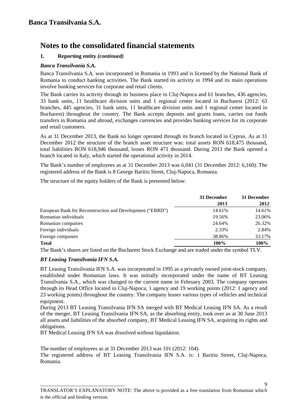## **1. Reporting entity** *(continued)*

### *Banca Transilvania S.A.*

Banca Transilvania S.A. was incorporated in Romania in 1993 and is licensed by the National Bank of Romania to conduct banking activities. The Bank started its activity in 1994 and its main operations involve banking services for corporate and retail clients.

The Bank carries its activity through its business place in Cluj-Napoca and 61 branches, 436 agencies, 33 bank units, 11 healthcare division units and 1 regional center located in Bucharest (2012: 63 branches, 445 agencies, 31 bank units, 11 healthcare division units and 1 regional center located in Bucharest) throughout the country. The Bank accepts deposits and grants loans, carries out funds transfers in Romania and abroad, exchanges currencies and provides banking services for its corporate and retail customers.

As at 31 December 2013, the Bank no longer operated through its branch located in Cyprus. As at 31 December 2012 the structure of the branch asset structure was: total assets RON 618,475 thousand, total liabilities RON 618,946 thousand, losses RON 471 thousand. During 2013 the Bank opened a branch located in Italy, which started the operational activity in 2014.

The Bank's number of employees as at 31 December 2013 was 6,041 (31 December 2012: 6,160). The registered address of the Bank is 8 George Baritiu Street, Cluj-Napoca, Romania.

The structure of the equity holders of the Bank is presented below:

|                                                           | 31 December | 31 December |
|-----------------------------------------------------------|-------------|-------------|
|                                                           | 2013        | 2012        |
| European Bank for Reconstruction and Development ("EBRD") | 14.61%      | 14.61%      |
| Romanian individuals                                      | 19.56%      | 23.06%      |
| Romanian companies                                        | 24.64%      | 26.32%      |
| Foreign individuals                                       | 2.33%       | 2.84%       |
| Foreign companies                                         | 38.86%      | 33.17%      |
| <b>Total</b>                                              | 100%        | 100%        |

The Bank's shares are listed on the Bucharest Stock Exchange and are traded under the symbol TLV.

### *BT Leasing Transilvania IFN S.A.*

\_\_\_\_\_\_\_\_\_\_\_\_\_\_\_\_\_\_\_\_\_\_\_\_\_\_\_\_\_\_\_\_\_\_

BT Leasing Transilvania IFN S.A. was incorporated in 1995 as a privately owned joint-stock company, established under Romanian laws. It was initially incorporated under the name of BT Leasing Transilvania S.A., which was changed to the current name in February 2003. The company operates through its Head Office located in Cluj-Napoca, 1 agency and 19 working points (2012: 1 agency and 23 working points) throughout the country. The company leases various types of vehicles and technical equipment.

During 2013 BT Leasing Transilvania IFN SA merged with BT Medical Leasing IFN SA. As a result of the merger, BT Leasing Transilvania IFN SA, as the absorbing entity, took over as at 30 June 2013 all assets and liabilities of the absorbed company, BT Medical Leasing IFN SA, acquiring its rights and obligations.

BT Medical Leasing IFN SA was dissolved without liquidation.

The number of employees as at 31 December 2013 was 101 (2012: 104).

The registered address of BT Leasing Transilvania IFN S.A. is: 1 Baritiu Street, Cluj-Napoca, Romania.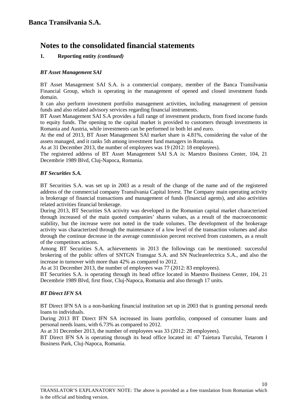### **1. Reporting entity** *(continued)*

#### *BT Asset Management SAI*

BT Asset Management SAI S.A. is a commercial company, member of the Banca Transilvania Financial Group, which is operating in the management of opened and closed investment funds domain.

It can also perform investment portfolio management activities, including management of pension funds and also related advisory services regarding financial instruments.

BT Asset Management SAI S.A provides a full range of investment products, from fixed income funds to equity funds. The opening to the capital market is provided to customers through investments in Romania and Austria, while investments can be performed in both lei and euro.

At the end of 2013, BT Asset Management SAI market share is 4.81%, considering the value of the assets managed, and it ranks 5th among investment fund managers in Romania.

As at 31 December 2013, the number of employees was 19 (2012: 18 employees).

The registered address of BT Asset Management SAI S.A is: Maestro Business Center, 104, 21 Decembrie 1989 Blvd, Cluj-Napoca, Romania.

#### *BT Securities S.A.*

BT Securities S.A. was set up in 2003 as a result of the change of the name and of the registered address of the commercial company Transilvania Capital Invest. The Company main operating activity is brokerage of financial transactions and management of funds (financial agents), and also activities related activities financial brokerage.

During 2013, BT Securities SA activity was developed in the Romanian capital market characterized through increased of the main quoted companies' shares values, as a result of the macroeconomic stability, but the increase were not noted in the trade volumes. The development of the brokerage activity was characterized through the maintenance of a low level of the transaction volumes and also through the continue decrease in the average commission percent received from customers, as a result of the competitors actions.

Among BT Securities S.A. achievements in 2013 the followings can be mentioned: successful brokering of the public offers of SNTGN Transgaz S.A. and SN Nuclearelectrica S.A., and also the increase in turnover with more than 42% as compared to 2012.

As at 31 December 2013, the number of employees was 77 (2012: 83 employees).

BT Securities S.A. is operating through its head office located in Maestro Business Center, 104, 21 Decembrie 1989 Blvd, first floor, Cluj-Napoca, Romania and also through 17 units.

### *BT Direct IFN SA*

\_\_\_\_\_\_\_\_\_\_\_\_\_\_\_\_\_\_\_\_\_\_\_\_\_\_\_\_\_\_\_\_\_\_

BT Direct IFN SA is a non-banking financial institution set up in 2003 that is granting personal needs loans to individuals.

During 2013 BT Direct IFN SA increased its loans portfolio, composed of consumer loans and personal needs loans, with 6.73% as compared to 2012.

As at 31 December 2013, the number of employees was 33 (2012: 28 employees).

BT Direct IFN SA is operating through its head office located in: 47 Taietura Turcului, Tetarom I Business Park, Cluj-Napoca, Romania.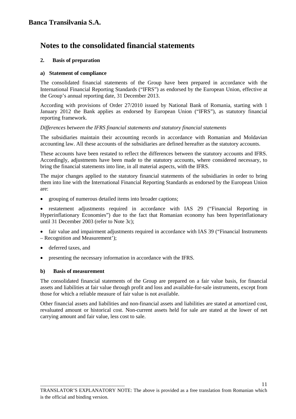### **2. Basis of preparation**

### **a) Statement of compliance**

The consolidated financial statements of the Group have been prepared in accordance with the International Financial Reporting Standards ("IFRS") as endorsed by the European Union, effective at the Group's annual reporting date, 31 December 2013.

According with provisions of Order 27/2010 issued by National Bank of Romania, starting with 1 January 2012 the Bank applies as endorsed by European Union ("IFRS"), as statutory financial reporting framework.

### *Differences between the IFRS financial statements and statutory financial statements*

The subsidiaries maintain their accounting records in accordance with Romanian and Moldavian accounting law. All these accounts of the subsidiaries are defined hereafter as the statutory accounts.

These accounts have been restated to reflect the differences between the statutory accounts and IFRS. Accordingly, adjustments have been made to the statutory accounts, where considered necessary, to bring the financial statements into line, in all material aspects, with the IFRS.

The major changes applied to the statutory financial statements of the subsidiaries in order to bring them into line with the International Financial Reporting Standards as endorsed by the European Union are:

• grouping of numerous detailed items into broader captions;

• restatement adjustments required in accordance with IAS 29 ("Financial Reporting in Hyperinflationary Economies") due to the fact that Romanian economy has been hyperinflationary until 31 December 2003 (refer to Note 3c);

fair value and impairment adjustments required in accordance with IAS 39 ("Financial Instruments – Recognition and Measurement');

- deferred taxes, and
- presenting the necessary information in accordance with the IFRS.

### **b) Basis of measurement**

\_\_\_\_\_\_\_\_\_\_\_\_\_\_\_\_\_\_\_\_\_\_\_\_\_\_\_\_\_\_\_\_\_\_

The consolidated financial statements of the Group are prepared on a fair value basis, for financial assets and liabilities at fair value through profit and loss and available-for-sale instruments, except from those for which a reliable measure of fair value is not available.

Other financial assets and liabilities and non-financial assets and liabilities are stated at amortized cost, revaluated amount or historical cost. Non-current assets held for sale are stated at the lower of net carrying amount and fair value, less cost to sale.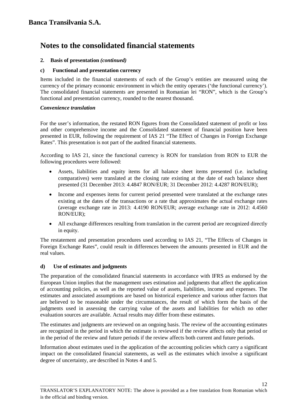### **2. Basis of presentation** *(continued)*

### **c) Functional and presentation currency**

Items included in the financial statements of each of the Group's entities are measured using the currency of the primary economic environment in which the entity operates ('the functional currency'). The consolidated financial statements are presented in Romanian lei "RON", which is the Group's functional and presentation currency, rounded to the nearest thousand.

### *Convenience translation*

For the user's information, the restated RON figures from the Consolidated statement of profit or loss and other comprehensive income and the Consolidated statement of financial position have been presented in EUR, following the requirement of IAS 21 "The Effect of Changes in Foreign Exchange Rates". This presentation is not part of the audited financial statements.

According to IAS 21, since the functional currency is RON for translation from RON to EUR the following procedures were followed:

- Assets, liabilities and equity items for all balance sheet items presented (i.e. including comparatives) were translated at the closing rate existing at the date of each balance sheet presented (31 December 2013: 4.4847 RON/EUR; 31 December 2012: 4.4287 RON/EUR);
- Income and expenses items for current period presented were translated at the exchange rates existing at the dates of the transactions or a rate that approximates the actual exchange rates (average exchange rate in 2013: 4.4190 RON/EUR; average exchange rate in 2012: 4.4560 RON/EUR);
- All exchange differences resulting from translation in the current period are recognized directly in equity.

The restatement and presentation procedures used according to IAS 21, "The Effects of Changes in Foreign Exchange Rates", could result in differences between the amounts presented in EUR and the real values.

### **d) Use of estimates and judgments**

\_\_\_\_\_\_\_\_\_\_\_\_\_\_\_\_\_\_\_\_\_\_\_\_\_\_\_\_\_\_\_\_\_\_

The preparation of the consolidated financial statements in accordance with IFRS as endorsed by the European Union implies that the management uses estimation and judgments that affect the application of accounting policies, as well as the reported value of assets, liabilities, income and expenses. The estimates and associated assumptions are based on historical experience and various other factors that are believed to be reasonable under the circumstances, the result of which form the basis of the judgments used in assessing the carrying value of the assets and liabilities for which no other evaluation sources are available. Actual results may differ from these estimates.

The estimates and judgments are reviewed on an ongoing basis. The review of the accounting estimates are recognized in the period in which the estimate is reviewed if the review affects only that period or in the period of the review and future periods if the review affects both current and future periods.

Information about estimates used in the application of the accounting policies which carry a significant impact on the consolidated financial statements, as well as the estimates which involve a significant degree of uncertainty, are described in Notes 4 and 5.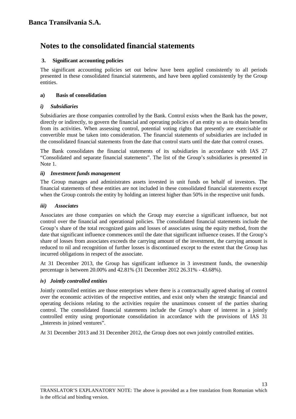### **3. Significant accounting policies**

The significant accounting policies set out below have been applied consistently to all periods presented in these consolidated financial statements, and have been applied consistently by the Group entities.

### **a) Basis of consolidation**

### *i) Subsidiaries*

Subsidiaries are those companies controlled by the Bank. Control exists when the Bank has the power, directly or indirectly, to govern the financial and operating policies of an entity so as to obtain benefits from its activities. When assessing control, potential voting rights that presently are exercisable or convertible must be taken into consideration. The financial statements of subsidiaries are included in the consolidated financial statements from the date that control starts until the date that control ceases.

The Bank consolidates the financial statements of its subsidiaries in accordance with IAS 27 "Consolidated and separate financial statements". The list of the Group's subsidiaries is presented in Note 1.

### *ii) Investment funds management*

The Group manages and administrates assets invested in unit funds on behalf of investors. The financial statements of these entities are not included in these consolidated financial statements except when the Group controls the entity by holding an interest higher than 50% in the respective unit funds.

### *iii) Associates*

Associates are those companies on which the Group may exercise a significant influence, but not control over the financial and operational policies. The consolidated financial statements include the Group's share of the total recognized gains and losses of associates using the equity method, from the date that significant influence commences until the date that significant influence ceases. If the Group's share of losses from associates exceeds the carrying amount of the investment, the carrying amount is reduced to nil and recognition of further losses is discontinued except to the extent that the Group has incurred obligations in respect of the associate.

At 31 December 2013, the Group has significant influence in 3 investment funds, the ownership percentage is between 20.00% and 42.81% (31 December 2012 26.31% - 43.68%).

### *iv) Jointly controlled entities*

\_\_\_\_\_\_\_\_\_\_\_\_\_\_\_\_\_\_\_\_\_\_\_\_\_\_\_\_\_\_\_\_\_\_

Jointly controlled entities are those enterprises where there is a contractually agreed sharing of control over the economic activities of the respective entities, and exist only when the strategic financial and operating decisions relating to the activities require the unanimous consent of the parties sharing control. The consolidated financial statements include the Group's share of interest in a jointly controlled entity using proportionate consolidation in accordance with the provisions of IAS 31 "Interests in joined ventures".

At 31 December 2013 and 31 December 2012, the Group does not own jointly controlled entities.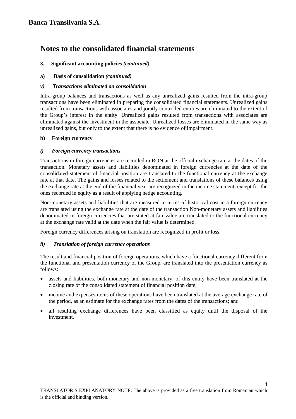- **3. Significant accounting policies** *(continued)*
- **a) Basis of consolidation** *(continued)*

### *v) Transactions eliminated on consolidation*

Intra-group balances and transactions as well as any unrealized gains resulted from the intra-group transactions have been eliminated in preparing the consolidated financial statements. Unrealized gains resulted from transactions with associates and jointly controlled entities are eliminated to the extent of the Group's interest in the entity. Unrealized gains resulted from transactions with associates are eliminated against the investment in the associate. Unrealized losses are eliminated in the same way as unrealized gains, but only to the extent that there is no evidence of impairment.

### **b) Foreign currency**

### *i) Foreign currency transactions*

Transactions in foreign currencies are recorded in RON at the official exchange rate at the dates of the transaction. Monetary assets and liabilities denominated in foreign currencies at the date of the consolidated statement of financial position are translated to the functional currency at the exchange rate at that date. The gains and losses related to the settlement and translations of these balances using the exchange rate at the end of the financial year are recognized in the income statement, except for the ones recorded in equity as a result of applying hedge accounting.

Non-monetary assets and liabilities that are measured in terms of historical cost in a foreign currency are translated using the exchange rate at the date of the transaction Non-monetary assets and liabilities denominated in foreign currencies that are stated at fair value are translated to the functional currency at the exchange rate valid at the date when the fair value is determined.

Foreign currency differences arising on translation are recognized in profit or loss.

### *ii) Translation of foreign currency operations*

\_\_\_\_\_\_\_\_\_\_\_\_\_\_\_\_\_\_\_\_\_\_\_\_\_\_\_\_\_\_\_\_\_\_

The result and financial position of foreign operations, which have a functional currency different from the functional and presentation currency of the Group, are translated into the presentation currency as follows:

- assets and liabilities, both monetary and non-monetary, of this entity have been translated at the closing rate of the consolidated statement of financial position date;
- income and expenses items of these operations have been translated at the average exchange rate of the period, as an estimate for the exchange rates from the dates of the transactions; and
- all resulting exchange differences have been classified as equity until the disposal of the investment.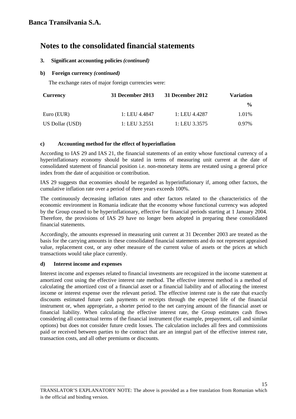### **3. Significant accounting policies** *(continued)*

### **b) Foreign currency** *(continued)*

The exchange rates of major foreign currencies were:

| <b>Currency</b> | 31 December 2013 | 31 December 2012 | <b>Variation</b> |
|-----------------|------------------|------------------|------------------|
|                 |                  |                  | $\frac{6}{10}$   |
| Euro (EUR)      | 1: LEU 4.4847    | 1: LEU 4.4287    | 1.01%            |
| US Dollar (USD) | 1: LEU 3.2551    | 1: LEU 3.3575    | 0.97%            |

### **c) Accounting method for the effect of hyperinflation**

According to IAS 29 and IAS 21, the financial statements of an entity whose functional currency of a hyperinflationary economy should be stated in terms of measuring unit current at the date of consolidated statement of financial position i.e. non-monetary items are restated using a general price index from the date of acquisition or contribution.

IAS 29 suggests that economies should be regarded as hyperinflationary if, among other factors, the cumulative inflation rate over a period of three years exceeds 100%.

The continuously decreasing inflation rates and other factors related to the characteristics of the economic environment in Romania indicate that the economy whose functional currency was adopted by the Group ceased to be hyperinflationary, effective for financial periods starting at 1 January 2004. Therefore, the provisions of IAS 29 have no longer been adopted in preparing these consolidated financial statements.

Accordingly, the amounts expressed in measuring unit current at 31 December 2003 are treated as the basis for the carrying amounts in these consolidated financial statements and do not represent appraised value, replacement cost, or any other measure of the current value of assets or the prices at which transactions would take place currently.

### **d) Interest income and expenses**

Interest income and expenses related to financial investments are recognized in the income statement at amortized cost using the effective interest rate method. The effective interest method is a method of calculating the amortized cost of a financial asset or a financial liability and of allocating the interest income or interest expense over the relevant period. The effective interest rate is the rate that exactly discounts estimated future cash payments or receipts through the expected life of the financial instrument or, when appropriate, a shorter period to the net carrying amount of the financial asset or financial liability. When calculating the effective interest rate, the Group estimates cash flows considering all contractual terms of the financial instrument (for example, prepayment, call and similar options) but does not consider future credit losses. The calculation includes all fees and commissions paid or received between parties to the contract that are an integral part of the effective interest rate, transaction costs, and all other premiums or discounts.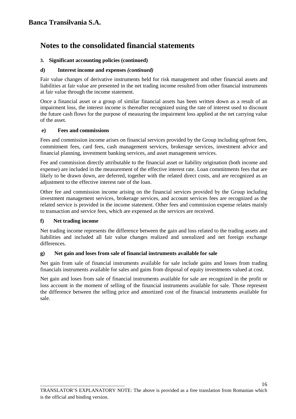### **3. Significant accounting policies (continued)**

### **d) Interest income and expenses** *(continued)*

Fair value changes of derivative instruments held for risk management and other financial assets and liabilities at fair value are presented in the net trading income resulted from other financial instruments at fair value through the income statement.

Once a financial asset or a group of similar financial assets has been written down as a result of an impairment loss, the interest income is thereafter recognized using the rate of interest used to discount the future cash flows for the purpose of measuring the impairment loss applied at the net carrying value of the asset.

### **e) Fees and commissions**

Fees and commission income arises on financial services provided by the Group including upfront fees, commitment fees, card fees, cash management services, brokerage services, investment advice and financial planning, investment banking services, and asset management services.

Fee and commission directly attributable to the financial asset or liability origination (both income and expense) are included in the measurement of the effective interest rate. Loan commitments fees that are likely to be drawn down, are deferred, together with the related direct costs, and are recognized as an adjustment to the effective interest rate of the loan.

Other fee and commission income arising on the financial services provided by the Group including investment management services, brokerage services, and account services fees are recognized as the related service is provided in the income statement. Other fees and commission expense relates mainly to transaction and service fees, which are expensed as the services are received.

### **f) Net trading income**

Net trading income represents the difference between the gain and loss related to the trading assets and liabilities and included all fair value changes realized and unrealized and net foreign exchange differences.

### **g) Net gain and loses from sale of financial instruments available for sale**

Net gain from sale of financial instruments available for sale include gains and losses from trading financials instruments available for sales and gains from disposal of equity investments valued at cost.

Net gain and loses from sale of financial instruments available for sale are recognized in the profit or loss account in the moment of selling of the financial instruments available for sale. Those represent the difference between the selling price and amortized cost of the financial instruments available for sale.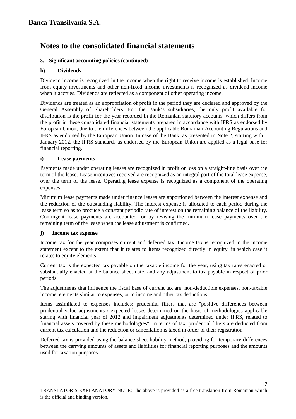### **3. Significant accounting policies (continued)**

### **h) Dividends**

Dividend income is recognized in the income when the right to receive income is established. Income from equity investments and other non-fixed income investments is recognized as dividend income when it accrues. Dividends are reflected as a component of other operating income.

Dividends are treated as an appropriation of profit in the period they are declared and approved by the General Assembly of Shareholders. For the Bank's subsidiaries, the only profit available for distribution is the profit for the year recorded in the Romanian statutory accounts, which differs from the profit in these consolidated financial statements prepared in accordance with IFRS as endorsed by European Union, due to the differences between the applicable Romanian Accounting Regulations and IFRS as endorsed by the European Union. In case of the Bank, as presented in Note 2, starting with 1 January 2012, the IFRS standards as endorsed by the European Union are applied as a legal base for financial reporting.

### **i) Lease payments**

Payments made under operating leases are recognized in profit or loss on a straight-line basis over the term of the lease. Lease incentives received are recognized as an integral part of the total lease expense, over the term of the lease. Operating lease expense is recognized as a component of the operating expenses.

Minimum lease payments made under finance leases are apportioned between the interest expense and the reduction of the outstanding liability. The interest expense is allocated to each period during the lease term so as to produce a constant periodic rate of interest on the remaining balance of the liability. Contingent lease payments are accounted for by revising the minimum lease payments over the remaining term of the lease when the lease adjustment is confirmed.

### **j) Income tax expense**

\_\_\_\_\_\_\_\_\_\_\_\_\_\_\_\_\_\_\_\_\_\_\_\_\_\_\_\_\_\_\_\_\_\_

Income tax for the year comprises current and deferred tax. Income tax is recognized in the income statement except to the extent that it relates to items recognized directly in equity, in which case it relates to equity elements.

Current tax is the expected tax payable on the taxable income for the year, using tax rates enacted or substantially enacted at the balance sheet date, and any adjustment to tax payable in respect of prior periods.

The adjustments that influence the fiscal base of current tax are: non-deductible expenses, non-taxable income, elements similar to expenses, or to income and other tax deductions.

Items assimilated to expenses includes: prudential filters that are "positive differences between prudential value adjustments / expected losses determined on the basis of methodologies applicable staring with financial year of 2012 and impairment adjustments determined under IFRS, related to financial assets covered by these methodologies". In terms of tax, prudential filters are deducted from current tax calculation and the reduction or cancellation is taxed in order of their registration

Deferred tax is provided using the balance sheet liability method, providing for temporary differences between the carrying amounts of assets and liabilities for financial reporting purposes and the amounts used for taxation purposes.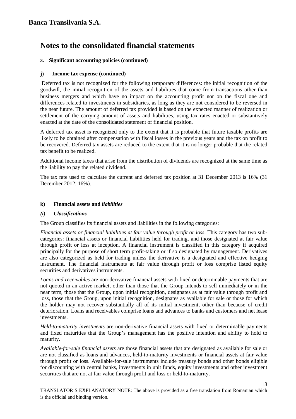### **3. Significant accounting policies (continued)**

### **j) Income tax expense (continued)**

Deferred tax is not recognized for the following temporary differences: the initial recognition of the goodwill, the initial recognition of the assets and liabilities that come from transactions other than business mergers and which have no impact on the accounting profit nor on the fiscal one and differences related to investments in subsidiaries, as long as they are not considered to be reversed in the near future. The amount of deferred tax provided is based on the expected manner of realization or settlement of the carrying amount of assets and liabilities, using tax rates enacted or substantively enacted at the date of the consolidated statement of financial position.

A deferred tax asset is recognized only to the extent that it is probable that future taxable profits are likely to be obtained after compensation with fiscal losses in the previous years and the tax on profit to be recovered. Deferred tax assets are reduced to the extent that it is no longer probable that the related tax benefit to be realized.

Additional income taxes that arise from the distribution of dividends are recognized at the same time as the liability to pay the related dividend.

The tax rate used to calculate the current and deferred tax position at 31 December 2013 is 16% (31 December 2012: 16%).

### **k) Financial assets and** *liabilities*

\_\_\_\_\_\_\_\_\_\_\_\_\_\_\_\_\_\_\_\_\_\_\_\_\_\_\_\_\_\_\_\_\_\_

### *(i) Classifications*

The Group classifies its financial assets and liabilities in the following categories:

*Financial assets or financial liabilities at fair value through profit or loss*. This category has two subcategories: financial assets or financial liabilities held for trading, and those designated at fair value through profit or loss at inception. A financial instrument is classified in this category if acquired principally for the purpose of short term profit-taking or if so designated by management. Derivatives are also categorized as held for trading unless the derivative is a designated and effective hedging instrument. The financial instruments at fair value through profit or loss comprise listed equity securities and derivatives instruments.

*Loans and receivables* are non-derivative financial assets with fixed or determinable payments that are not quoted in an active market, other than those that the Group intends to sell immediately or in the near term, those that the Group, upon initial recognition, designates as at fair value through profit and loss, those that the Group, upon initial recognition, designates as available for sale or those for which the holder may not recover substantially all of its initial investment, other than because of credit deterioration. Loans and receivables comprise loans and advances to banks and customers and net lease investments.

*Held-to-maturity investments* are non-derivative financial assets with fixed or determinable payments and fixed maturities that the Group's management has the positive intention and ability to hold to maturity.

*Available-for-sale financial assets* are those financial assets that are designated as available for sale or are not classified as loans and advances, held-to-maturity investments or financial assets at fair value through profit or loss. Available-for-sale instruments include treasury bonds and other bonds eligible for discounting with central banks, investments in unit funds, equity investments and other investment securities that are not at fair value through profit and loss or held-to-maturity.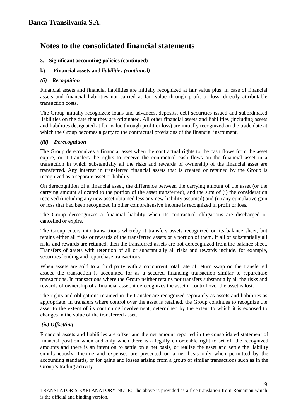### **3. Significant accounting policies (continued)**

### **k) Financial assets and** *liabilities (continued)*

#### *(ii) Recognition*

Financial assets and financial liabilities are initially recognized at fair value plus, in case of financial assets and financial liabilities not carried at fair value through profit or loss, directly attributable transaction costs.

The Group initially recognizes: loans and advances, deposits, debt securities issued and subordinated liabilities on the date that they are originated. All other financial assets and liabilities (including assets and liabilities designated at fair value through profit or loss) are initially recognized on the trade date at which the Group becomes a party to the contractual provisions of the financial instrument.

#### *(iii) Derecognition*

The Group derecognizes a financial asset when the contractual rights to the cash flows from the asset expire, or it transfers the rights to receive the contractual cash flows on the financial asset in a transaction in which substantially all the risks and rewards of ownership of the financial asset are transferred. Any interest in transferred financial assets that is created or retained by the Group is recognized as a separate asset or liability.

On derecognition of a financial asset, the difference between the carrying amount of the asset (or the carrying amount allocated to the portion of the asset transferred), and the sum of (i) the consideration received (including any new asset obtained less any new liability assumed) and (ii) any cumulative gain or loss that had been recognized in other comprehensive income is recognized in profit or loss.

The Group derecognizes a financial liability when its contractual obligations are discharged or cancelled or expire.

The Group enters into transactions whereby it transfers assets recognized on its balance sheet, but retains either all risks or rewards of the transferred assets or a portion of them. If all or substantially all risks and rewards are retained, then the transferred assets are not derecognized from the balance sheet. Transfers of assets with retention of all or substantially all risks and rewards include, for example, securities lending and repurchase transactions.

When assets are sold to a third party with a concurrent total rate of return swap on the transferred assets, the transaction is accounted for as a secured financing transaction similar to repurchase transactions. In transactions where the Group neither retains nor transfers substantially all the risks and rewards of ownership of a financial asset, it derecognizes the asset if control over the asset is lost.

The rights and obligations retained in the transfer are recognized separately as assets and liabilities as appropriate. In transfers where control over the asset is retained, the Group continues to recognize the asset to the extent of its continuing involvement, determined by the extent to which it is exposed to changes in the value of the transferred asset.

### *(iv) Offsetting*

\_\_\_\_\_\_\_\_\_\_\_\_\_\_\_\_\_\_\_\_\_\_\_\_\_\_\_\_\_\_\_\_\_\_

Financial assets and liabilities are offset and the net amount reported in the consolidated statement of financial position when and only when there is a legally enforceable right to set off the recognized amounts and there is an intention to settle on a net basis, or realize the asset and settle the liability simultaneously. Income and expenses are presented on a net basis only when permitted by the accounting standards, or for gains and losses arising from a group of similar transactions such as in the Group's trading activity.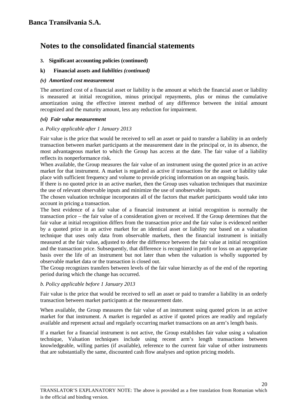#### **3. Significant accounting policies (continued)**

#### **k) Financial assets and** *liabilities (continued)*

#### *(v) Amortized cost measurement*

The amortized cost of a financial asset or liability is the amount at which the financial asset or liability is measured at initial recognition, minus principal repayments, plus or minus the cumulative amortization using the effective interest method of any difference between the initial amount recognized and the maturity amount, less any reduction for impairment.

#### *(vi) Fair value measurement*

#### *a. Policy applicable after 1 January 2013*

Fair value is the price that would be received to sell an asset or paid to transfer a liability in an orderly transaction between market participants at the measurement date in the principal or, in its absence, the most advantageous market to which the Group has access at the date. The fair value of a liability reflects its nonperformance risk.

When available, the Group measures the fair value of an instrument using the quoted price in an active market for that instrument. A market is regarded as active if transactions for the asset or liability take place with sufficient frequency and volume to provide pricing information on an ongoing basis.

If there is no quoted price in an active market, then the Group uses valuation techniques that maximize the use of relevant observable inputs and minimize the use of unobservable inputs.

The chosen valuation technique incorporates all of the factors that market participants would take into account in pricing a transaction.

The best evidence of a fair value of a financial instrument at initial recognition is normally the transaction price – the fair value of a consideration given or received. If the Group determines that the fair value at initial recognition differs from the transaction price and the fair value is evidenced neither by a quoted price in an active market for an identical asset or liability nor based on a valuation technique that uses only data from observable markets, then the financial instrument is initially measured at the fair value, adjusted to defer the difference between the fair value at initial recognition and the transaction price. Subsequently, that difference is recognized in profit or loss on an appropriate basis over the life of an instrument but not later than when the valuation is wholly supported by observable market data or the transaction is closed out.

The Group recognizes transfers between levels of the fair value hierarchy as of the end of the reporting period during which the change has occurred.

### *b. Policy applicable before 1 January 2013*

\_\_\_\_\_\_\_\_\_\_\_\_\_\_\_\_\_\_\_\_\_\_\_\_\_\_\_\_\_\_\_\_\_\_

Fair value is the price that would be received to sell an asset or paid to transfer a liability in an orderly transaction between market participants at the measurement date.

When available, the Group measures the fair value of an instrument using quoted prices in an active market for that instrument. A market is regarded as active if quoted prices are readily and regularly available and represent actual and regularly occurring market transactions on an arm's length basis.

If a market for a financial instrument is not active, the Group establishes fair value using a valuation technique, Valuation techniques include using recent arm's length transactions between knowledgeable, willing parties (if available), reference to the current fair value of other instruments that are substantially the same, discounted cash flow analyses and option pricing models.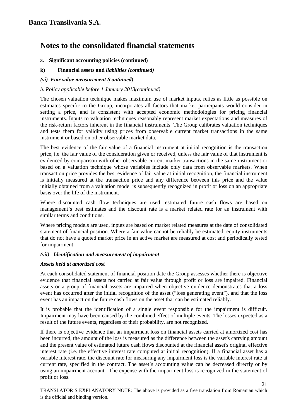- **3. Significant accounting policies (continued)**
- **k) Financial assets and** *liabilities (continued)*
- *(vi) Fair value measurement (continued)*

### *b. Policy applicable before 1 January 2013(continued)*

The chosen valuation technique makes maximum use of market inputs, relies as little as possible on estimates specific to the Group, incorporates all factors that market participants would consider in setting a price, and is consistent with accepted economic methodologies for pricing financial instruments. Inputs to valuation techniques reasonably represent market expectations and measures of the risk-return factors inherent in the financial instruments. The Group calibrates valuation techniques and tests them for validity using prices from observable current market transactions in the same instrument or based on other observable market data.

The best evidence of the fair value of a financial instrument at initial recognition is the transaction price, i.e. the fair value of the consideration given or received, unless the fair value of that instrument is evidenced by comparison with other observable current market transactions in the same instrument or based on a valuation technique whose variables include only data from observable markets. When transaction price provides the best evidence of fair value at initial recognition, the financial instrument is initially measured at the transaction price and any difference between this price and the value initially obtained from a valuation model is subsequently recognized in profit or loss on an appropriate basis over the life of the instrument.

Where discounted cash flow techniques are used, estimated future cash flows are based on management's best estimates and the discount rate is a market related rate for an instrument with similar terms and conditions.

Where pricing models are used, inputs are based on market related measures at the date of consolidated statement of financial position. Where a fair value cannot be reliably be estimated, equity instruments that do not have a quoted market price in an active market are measured at cost and periodically tested for impairment.

### *(vii) Identification and measurement of impairment*

### *Assets held at amortized cost*

\_\_\_\_\_\_\_\_\_\_\_\_\_\_\_\_\_\_\_\_\_\_\_\_\_\_\_\_\_\_\_\_\_\_

At each consolidated statement of financial position date the Group assesses whether there is objective evidence that financial assets not carried at fair value through profit or loss are impaired. Financial assets or a group of financial assets are impaired when objective evidence demonstrates that a loss event has occurred after the initial recognition of the asset ("loss generating event"), and that the loss event has an impact on the future cash flows on the asset that can be estimated reliably.

It is probable that the identification of a single event responsible for the impairment is difficult. Impairment may have been caused by the combined effect of multiple events. The losses expected as a result of the future events, regardless of their probability, are not recognized.

If there is objective evidence that an impairment loss on financial assets carried at amortized cost has been incurred, the amount of the loss is measured as the difference between the asset's carrying amount and the present value of estimated future cash flows discounted at the financial asset's original effective interest rate (i.e. the effective interest rate computed at initial recognition). If a financial asset has a variable interest rate, the discount rate for measuring any impairment loss is the variable interest rate at current rate, specified in the contract. The asset's accounting value can be decreased directly or by using an impairment account. The expense with the impairment loss is recognized in the statement of profit or loss.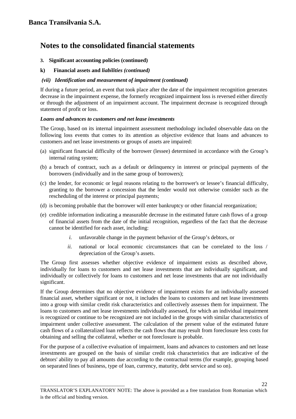### **3. Significant accounting policies (continued)**

### **k) Financial assets and** *liabilities (continued)*

### *(vii) Identification and measurement of impairment (continued)*

If during a future period, an event that took place after the date of the impairment recognition generates decrease in the impairment expense, the formerly recognized impairment loss is reversed either directly or through the adjustment of an impairment account. The impairment decrease is recognized through statement of profit or loss.

### *Loans and advances to customers and net lease investments*

The Group, based on its internal impairment assessment methodology included observable data on the following loss events that comes to its attention as objective evidence that loans and advances to customers and net lease investments or groups of assets are impaired:

- (a) significant financial difficulty of the borrower (lessee) determined in accordance with the Group's internal rating system;
- (b) a breach of contract, such as a default or delinquency in interest or principal payments of the borrowers (individually and in the same group of borrowers);
- (c) the lender, for economic or legal reasons relating to the borrower's or lessee's financial difficulty, granting to the borrower a concession that the lender would not otherwise consider such as the rescheduling of the interest or principal payments;
- (d) is becoming probable that the borrower will enter bankruptcy or other financial reorganization;
- (e) credible information indicating a measurable decrease in the estimated future cash flows of a group of financial assets from the date of the initial recognition, regardless of the fact that the decrease cannot be identified for each asset, including:
	- *i.* unfavorable change in the payment behavior of the Group's debtors, or
	- *ii.* national or local economic circumstances that can be correlated to the loss / depreciation of the Group's assets.

The Group first assesses whether objective evidence of impairment exists as described above, individually for loans to customers and net lease investments that are individually significant, and individually or collectively for loans to customers and net lease investments that are not individually significant.

If the Group determines that no objective evidence of impairment exists for an individually assessed financial asset, whether significant or not, it includes the loans to customers and net lease investments into a group with similar credit risk characteristics and collectively assesses them for impairment. The loans to customers and net lease investments individually assessed, for which an individual impairment is recognized or continue to be recognized are not included in the groups with similar characteristics of impairment under collective assessment. The calculation of the present value of the estimated future cash flows of a collateralized loan reflects the cash flows that may result from foreclosure less costs for obtaining and selling the collateral, whether or not foreclosure is probable.

For the purpose of a collective evaluation of impairment, loans and advances to customers and net lease investments are grouped on the basis of similar credit risk characteristics that are indicative of the debtors' ability to pay all amounts due according to the contractual terms (for example, grouping based on separated lines of business, type of loan, currency, maturity, debt service and so on).

\_\_\_\_\_\_\_\_\_\_\_\_\_\_\_\_\_\_\_\_\_\_\_\_\_\_\_\_\_\_\_\_\_\_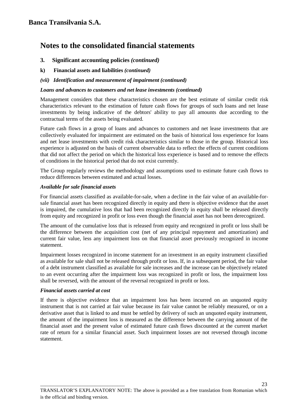- **3. Significant accounting policies** *(continued)*
- **k) Financial assets and liabilities** *(continued)*
- *(vii) Identification and measurement of impairment (continued)*

### *Loans and advances to customers and net lease investments (continued)*

Management considers that these characteristics chosen are the best estimate of similar credit risk characteristics relevant to the estimation of future cash flows for groups of such loans and net lease investments by being indicative of the debtors' ability to pay all amounts due according to the contractual terms of the assets being evaluated.

Future cash flows in a group of loans and advances to customers and net lease investments that are collectively evaluated for impairment are estimated on the basis of historical loss experience for loans and net lease investments with credit risk characteristics similar to those in the group. Historical loss experience is adjusted on the basis of current observable data to reflect the effects of current conditions that did not affect the period on which the historical loss experience is based and to remove the effects of conditions in the historical period that do not exist currently.

The Group regularly reviews the methodology and assumptions used to estimate future cash flows to reduce differences between estimated and actual losses.

### *Available for sale financial assets*

For financial assets classified as available-for-sale, when a decline in the fair value of an available-forsale financial asset has been recognized directly in equity and there is objective evidence that the asset is impaired, the cumulative loss that had been recognized directly in equity shall be released directly from equity and recognized in profit or loss even though the financial asset has not been derecognized.

The amount of the cumulative loss that is released from equity and recognized in profit or loss shall be the difference between the acquisition cost (net of any principal repayment and amortization) and current fair value, less any impairment loss on that financial asset previously recognized in income statement.

Impairment losses recognized in income statement for an investment in an equity instrument classified as available for sale shall not be released through profit or loss. If, in a subsequent period, the fair value of a debt instrument classified as available for sale increases and the increase can be objectively related to an event occurring after the impairment loss was recognized in profit or loss, the impairment loss shall be reversed, with the amount of the reversal recognized in profit or loss.

### *Financial assets carried at cost*

If there is objective evidence that an impairment loss has been incurred on an unquoted equity instrument that is not carried at fair value because its fair value cannot be reliably measured, or on a derivative asset that is linked to and must be settled by delivery of such an unquoted equity instrument, the amount of the impairment loss is measured as the difference between the carrying amount of the financial asset and the present value of estimated future cash flows discounted at the current market rate of return for a similar financial asset. Such impairment losses are not reversed through income statement.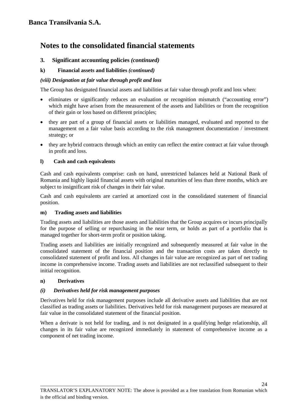### **3.****Significant accounting policies** *(continued)*

### **k) Financial assets and liabilities** *(continued)*

### *(viii) Designation at fair value through profit and loss*

The Group has designated financial assets and liabilities at fair value through profit and loss when:

- eliminates or significantly reduces an evaluation or recognition mismatch ("accounting error") which might have arisen from the measurement of the assets and liabilities or from the recognition of their gain or loss based on different principles;
- they are part of a group of financial assets or liabilities managed, evaluated and reported to the management on a fair value basis according to the risk management documentation / investment strategy; or
- they are hybrid contracts through which an entity can reflect the entire contract at fair value through in profit and loss.

### **l) Cash and cash equivalents**

Cash and cash equivalents comprise: cash on hand, unrestricted balances held at National Bank of Romania and highly liquid financial assets with original maturities of less than three months, which are subject to insignificant risk of changes in their fair value.

Cash and cash equivalents are carried at amortized cost in the consolidated statement of financial position.

### **m) Trading assets and liabilities**

\_\_\_\_\_\_\_\_\_\_\_\_\_\_\_\_\_\_\_\_\_\_\_\_\_\_\_\_\_\_\_\_\_\_

Trading assets and liabilities are those assets and liabilities that the Group acquires or incurs principally for the purpose of selling or repurchasing in the near term, or holds as part of a portfolio that is managed together for short-term profit or position taking.

Trading assets and liabilities are initially recognized and subsequently measured at fair value in the consolidated statement of the financial position and the transaction costs are taken directly to consolidated statement of profit and loss. All changes in fair value are recognized as part of net trading income in comprehensive income. Trading assets and liabilities are not reclassified subsequent to their initial recognition.

### **n) Derivatives**

### *(i) Derivatives held for risk management purposes*

Derivatives held for risk management purposes include all derivative assets and liabilities that are not classified as trading assets or liabilities. Derivatives held for risk management purposes are measured at fair value in the consolidated statement of the financial position.

When a derivate is not held for trading, and is not designated in a qualifying hedge relationship, all changes in its fair value are recognized immediately in statement of comprehensive income as a component of net trading income.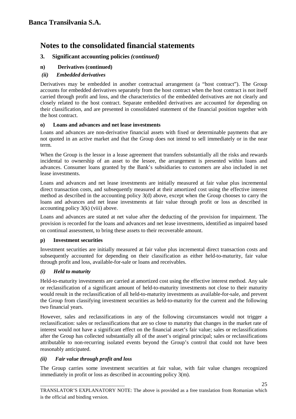## **3. Significant accounting policies** *(continued)*

**n) Derivatives (continued)**

### *(ii) Embedded derivatives*

Derivatives may be embedded in another contractual arrangement (a "host contract"). The Group accounts for embedded derivatives separately from the host contract when the host contract is not itself carried through profit and loss, and the characteristics of the embedded derivatives are not clearly and closely related to the host contract. Separate embedded derivatives are accounted for depending on their classification, and are presented in consolidated statement of the financial position together with the host contract.

### **o) Loans and advances and net lease investments**

Loans and advances are non-derivative financial assets with fixed or determinable payments that are not quoted in an active market and that the Group does not intend to sell immediately or in the near term.

When the Group is the lessor in a lease agreement that transfers substantially all the risks and rewards incidental to ownership of an asset to the lessee, the arrangement is presented within loans and advances. Consumer loans granted by the Bank's subsidiaries to customers are also included in net lease investments.

Loans and advances and net lease investments are initially measured at fair value plus incremental direct transaction costs, and subsequently measured at their amortized cost using the effective interest method as described in the accounting policy 3(d) above, except when the Group chooses to carry the loans and advances and net lease investments at fair value through profit or loss as described in accounting policy 3(k) (viii) above.

Loans and advances are stated at net value after the deducting of the provision for impairment. The provision is recorded for the loans and advances and net lease investments, identified as impaired based on continual assessment, to bring these assets to their recoverable amount.

### **p) Investment securities**

Investment securities are initially measured at fair value plus incremental direct transaction costs and subsequently accounted for depending on their classification as either held-to-maturity, fair value through profit and loss, available-for-sale or loans and receivables.

### *(i) Held to maturity*

Held-to-maturity investments are carried at amortized cost using the effective interest method. Any sale or reclassification of a significant amount of held-to-maturity investments not close to their maturity would result in the reclassification of all held-to-maturity investments as available-for-sale, and prevent the Group from classifying investment securities as held-to-maturity for the current and the following two financial years.

However, sales and reclassifications in any of the following circumstances would not trigger a reclassification: sales or reclassifications that are so close to maturity that changes in the market rate of interest would not have a significant effect on the financial asset's fair value; sales or reclassifications after the Group has collected substantially all of the asset's original principal; sales or reclassifications attributable to non-recurring isolated events beyond the Group's control that could not have been reasonably anticipated.

### *(ii) Fair value through profit and loss*

\_\_\_\_\_\_\_\_\_\_\_\_\_\_\_\_\_\_\_\_\_\_\_\_\_\_\_\_\_\_\_\_\_\_

The Group carries some investment securities at fair value, with fair value changes recognized immediately in profit or loss as described in accounting policy 3(m).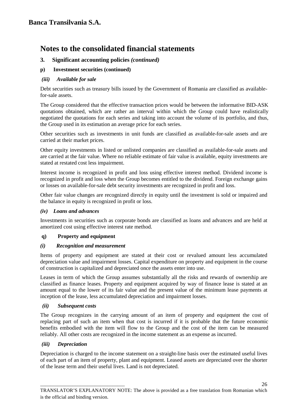## **3. Significant accounting policies** *(continued)*

### **p) Investment securities (continued)**

### *(iii) Available for sale*

Debt securities such as treasury bills issued by the Government of Romania are classified as availablefor-sale assets.

The Group considered that the effective transaction prices would be between the informative BID-ASK quotations obtained, which are rather an interval within which the Group could have realistically negotiated the quotations for each series and taking into account the volume of its portfolio, and thus, the Group used in its estimation an average price for each series.

Other securities such as investments in unit funds are classified as available-for-sale assets and are carried at their market prices.

Other equity investments in listed or unlisted companies are classified as available-for-sale assets and are carried at the fair value. Where no reliable estimate of fair value is available, equity investments are stated at restated cost less impairment.

Interest income is recognized in profit and loss using effective interest method. Dividend income is recognized in profit and loss when the Group becomes entitled to the dividend. Foreign exchange gains or losses on available-for-sale debt security investments are recognized in profit and loss.

Other fair value changes are recognized directly in equity until the investment is sold or impaired and the balance in equity is recognized in profit or loss.

### *(iv) Loans and advances*

Investments in securities such as corporate bonds are classified as loans and advances and are held at amortized cost using effective interest rate method.

### **q) Property and equipment**

### *(i) Recognition and measurement*

Items of property and equipment are stated at their cost or revalued amount less accumulated depreciation value and impairment losses. Capital expenditure on property and equipment in the course of construction is capitalized and depreciated once the assets enter into use.

Leases in term of which the Group assumes substantially all the risks and rewards of ownership are classified as finance leases. Property and equipment acquired by way of finance lease is stated at an amount equal to the lower of its fair value and the present value of the minimum lease payments at inception of the lease, less accumulated depreciation and impairment losses.

### *(ii) Subsequent costs*

The Group recognizes in the carrying amount of an item of property and equipment the cost of replacing part of such an item when that cost is incurred if it is probable that the future economic benefits embodied with the item will flow to the Group and the cost of the item can be measured reliably. All other costs are recognized in the income statement as an expense as incurred.

### *(iii) Depreciation*

\_\_\_\_\_\_\_\_\_\_\_\_\_\_\_\_\_\_\_\_\_\_\_\_\_\_\_\_\_\_\_\_\_\_

Depreciation is charged to the income statement on a straight-line basis over the estimated useful lives of each part of an item of property, plant and equipment. Leased assets are depreciated over the shorter of the lease term and their useful lives. Land is not depreciated.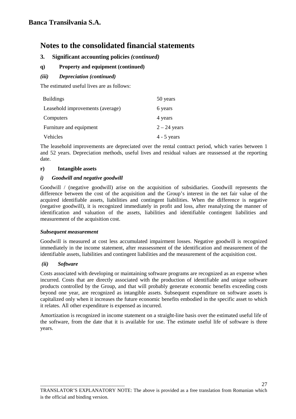### **3. Significant accounting policies** *(continued)*

### **q) Property and equipment (continued)**

### *(iii) Depreciation (continued)*

The estimated useful lives are as follows:

| <b>Buildings</b>                 | 50 years       |
|----------------------------------|----------------|
| Leasehold improvements (average) | 6 years        |
| Computers                        | 4 years        |
| Furniture and equipment          | $2 - 24$ years |
| Vehicles                         | $4 - 5$ years  |

The leasehold improvements are depreciated over the rental contract period, which varies between 1 and 52 years. Depreciation methods, useful lives and residual values are reassessed at the reporting date.

#### **r) Intangible assets**

#### *i) Goodwill and negative goodwill*

\_\_\_\_\_\_\_\_\_\_\_\_\_\_\_\_\_\_\_\_\_\_\_\_\_\_\_\_\_\_\_\_\_\_

Goodwill / (negative goodwill) arise on the acquisition of subsidiaries. Goodwill represents the difference between the cost of the acquisition and the Group's interest in the net fair value of the acquired identifiable assets, liabilities and contingent liabilities. When the difference is negative (negative goodwill), it is recognized immediately in profit and loss, after reanalyzing the manner of identification and valuation of the assets, liabilities and identifiable contingent liabilities and measurement of the acquisition cost.

#### *Subsequent measurement*

Goodwill is measured at cost less accumulated impairment losses. Negative goodwill is recognized immediately in the income statement, after reassessment of the identification and measurement of the identifiable assets, liabilities and contingent liabilities and the measurement of the acquisition cost.

#### *(ii) Software*

Costs associated with developing or maintaining software programs are recognized as an expense when incurred. Costs that are directly associated with the production of identifiable and unique software products controlled by the Group, and that will probably generate economic benefits exceeding costs beyond one year, are recognized as intangible assets. Subsequent expenditure on software assets is capitalized only when it increases the future economic benefits embodied in the specific asset to which it relates. All other expenditure is expensed as incurred.

Amortization is recognized in income statement on a straight-line basis over the estimated useful life of the software, from the date that it is available for use. The estimate useful life of software is three years.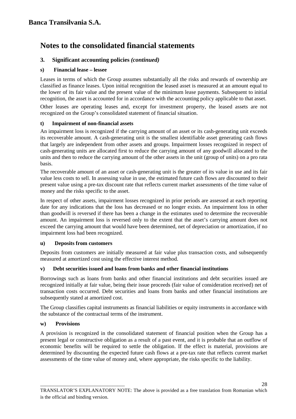## **3. Significant accounting policies** *(continued)*

### **s) Financial lease – lessee**

Leases in terms of which the Group assumes substantially all the risks and rewards of ownership are classified as finance leases. Upon initial recognition the leased asset is measured at an amount equal to the lower of its fair value and the present value of the minimum lease payments. Subsequent to initial recognition, the asset is accounted for in accordance with the accounting policy applicable to that asset.

Other leases are operating leases and, except for investment property, the leased assets are not recognized on the Group's consolidated statement of financial situation.

### **t) Impairment of non-financial assets**

An impairment loss is recognized if the carrying amount of an asset or its cash-generating unit exceeds its recoverable amount. A cash-generating unit is the smallest identifiable asset generating cash flows that largely are independent from other assets and groups. Impairment losses recognized in respect of cash-generating units are allocated first to reduce the carrying amount of any goodwill allocated to the units and then to reduce the carrying amount of the other assets in the unit (group of units) on a pro rata basis.

The recoverable amount of an asset or cash-generating unit is the greater of its value in use and its fair value less costs to sell. In assessing value in use, the estimated future cash flows are discounted to their present value using a pre-tax discount rate that reflects current market assessments of the time value of money and the risks specific to the asset.

In respect of other assets, impairment losses recognized in prior periods are assessed at each reporting date for any indications that the loss has decreased or no longer exists. An impairment loss in other than goodwill is reversed if there has been a change in the estimates used to determine the recoverable amount. An impairment loss is reversed only to the extent that the asset's carrying amount does not exceed the carrying amount that would have been determined, net of depreciation or amortization, if no impairment loss had been recognized.

### **u) Deposits from customers**

\_\_\_\_\_\_\_\_\_\_\_\_\_\_\_\_\_\_\_\_\_\_\_\_\_\_\_\_\_\_\_\_\_\_

Deposits from customers are initially measured at fair value plus transaction costs, and subsequently measured at amortized cost using the effective interest method.

### **v) Debt securities issued and loans from banks and other financial institutions**

Borrowings such as loans from banks and other financial institutions and debt securities issued are recognized initially at fair value, being their issue proceeds (fair value of consideration received) net of transaction costs occurred. Debt securities and loans from banks and other financial institutions are subsequently stated at amortized cost.

The Group classifies capital instruments as financial liabilities or equity instruments in accordance with the substance of the contractual terms of the instrument.

### **w) Provisions**

A provision is recognized in the consolidated statement of financial position when the Group has a present legal or constructive obligation as a result of a past event, and it is probable that an outflow of economic benefits will be required to settle the obligation. If the effect is material, provisions are determined by discounting the expected future cash flows at a pre-tax rate that reflects current market assessments of the time value of money and, where appropriate, the risks specific to the liability.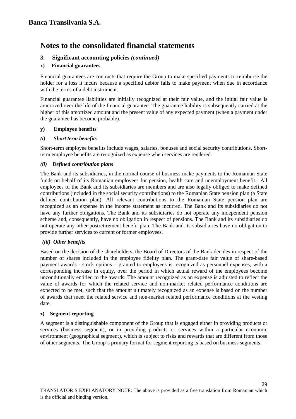### **3. Significant accounting policies** *(continued)*

### **x) Financial guarantees**

Financial guarantees are contracts that require the Group to make specified payments to reimburse the holder for a loss it incurs because a specified debtor fails to make payment when due in accordance with the terms of a debt instrument.

Financial guarantee liabilities are initially recognized at their fair value, and the initial fair value is amortized over the life of the financial guarantee. The guarantee liability is subsequently carried at the higher of this amortized amount and the present value of any expected payment (when a payment under the guarantee has become probable).

### **y) Employee benefits**

### *(i) Short term benefits*

Short-term employee benefits include wages, salaries, bonuses and social security contributions. Shortterm employee benefits are recognized as expense when services are rendered.

### *(ii) Defined contribution plans*

The Bank and its subsidiaries, in the normal course of business make payments to the Romanian State funds on behalf of its Romanian employees for pension, health care and unemployment benefit. All employees of the Bank and its subsidiaries are members and are also legally obliged to make defined contributions (included in the social security contributions) to the Romanian State pension plan (a State defined contribution plan). All relevant contributions to the Romanian State pension plan are recognized as an expense in the income statement as incurred. The Bank and its subsidiaries do not have any further obligations. The Bank and its subsidiaries do not operate any independent pension scheme and, consequently, have no obligation in respect of pensions. The Bank and its subsidiaries do not operate any other postretirement benefit plan. The Bank and its subsidiaries have no obligation to provide further services to current or former employees.

### *(iii) Other benefits*

Based on the decision of the shareholders, the Board of Directors of the Bank decides in respect of the number of shares included in the employee fidelity plan. The grant-date fair value of share-based payment awards - stock options – granted to employees is recognized as personnel expenses, with a corresponding increase in equity, over the period in which actual reward of the employees become unconditionally entitled to the awards. The amount recognized as an expense is adjusted to reflect the value of awards for which the related service and non-market related performance conditions are expected to be met, such that the amount ultimately recognized as an expense is based on the number of awards that meet the related service and non-market related performance conditions at the vesting date.

#### **z) Segment reporting**

\_\_\_\_\_\_\_\_\_\_\_\_\_\_\_\_\_\_\_\_\_\_\_\_\_\_\_\_\_\_\_\_\_\_

A segment is a distinguishable component of the Group that is engaged either in providing products or services (business segment), or in providing products or services within a particular economic environment (geographical segment), which is subject to risks and rewards that are different from those of other segments. The Group's primary format for segment reporting is based on business segments.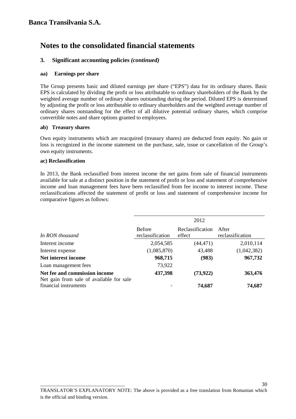### **3. Significant accounting policies** *(continued)*

### **aa) Earnings per share**

The Group presents basic and diluted earnings per share ("EPS") data for its ordinary shares. Basic EPS is calculated by dividing the profit or loss attributable to ordinary shareholders of the Bank by the weighted average number of ordinary shares outstanding during the period. Diluted EPS is determined by adjusting the profit or loss attributable to ordinary shareholders and the weighted average number of ordinary shares outstanding for the effect of all dilutive potential ordinary shares, which comprise convertible notes and share options granted to employees.

### **ab) Treasury shares**

Own equity instruments which are reacquired (treasury shares) are deducted from equity. No gain or loss is recognized in the income statement on the purchase, sale, issue or cancellation of the Group's own equity instruments.

### **ac) Reclassification**

In 2013, the Bank reclassified from interest income the net gains from sale of financial instruments available for sale at a distinct position in the statement of profit or loss and statement of comprehensive income and loan management fees have been reclassified from fee income to interest income. These reclassifications affected the statement of profit or loss and statement of comprehensive income for comparative figures as follows:

|                                                                           | 2012                              |                            |                           |
|---------------------------------------------------------------------------|-----------------------------------|----------------------------|---------------------------|
| In RON thousand                                                           | <b>Before</b><br>reclassification | Reclassification<br>effect | After<br>reclassification |
| Interest income                                                           | 2,054,585                         | (44, 471)                  | 2,010,114                 |
| Interest expense                                                          | (1,085,870)                       | 43,488                     | (1,042,382)               |
| Net interest income                                                       | 968,715                           | (983)                      | 967,732                   |
| Loan management fees                                                      | 73,922                            |                            |                           |
| Net fee and commission income<br>Net gain from sale of available for sale | 437,398                           | (73, 922)                  | 363,476                   |
| financial instruments                                                     |                                   | 74,687                     | 74,687                    |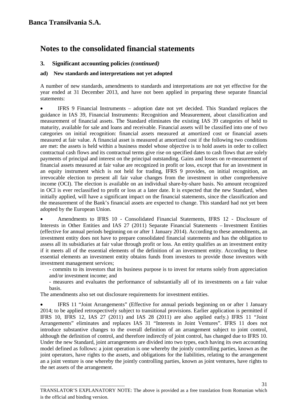## **3. Significant accounting policies** *(continued)*

### **ad) New standards and interpretations not yet adopted**

A number of new standards, amendments to standards and interpretations are not yet effective for the year ended at 31 December 2013, and have not been applied in preparing these separate financial statements:

• IFRS 9 Financial Instruments – adoption date not yet decided. This Standard replaces the guidance in IAS 39, Financial Instruments: Recognition and Measurement, about classification and measurement of financial assets. The Standard eliminates the existing IAS 39 categories of held to maturity, available for sale and loans and receivable. Financial assets will be classified into one of two categories on initial recognition: financial assets measured at amortized cost or financial assets measured at fair value. A financial asset is measured at amortized cost if the following two conditions are met: the assets is held within a business model whose objective is to hold assets in order to collect contractual cash flows and its contractual terms give rise on specified dates to cash flows that are solely payments of principal and interest on the principal outstanding. Gains and losses on re-measurement of financial assets measured at fair value are recognized in profit or loss, except that for an investment in an equity instrument which is not held for trading, IFRS 9 provides, on initial recognition, an irrevocable election to present all fair value changes from the investment in other comprehensive income (OCI). The election is available on an individual share-by-share basis. No amount recognized in OCI is ever reclassified to profit or loss at a later date. It is expected that the new Standard, when initially applied, will have a significant impact on the financial statements, since the classification and the measurement of the Bank's financial assets are expected to change. This standard had not yet been adopted by the European Union.

• Amendments to IFRS 10 - Consolidated Financial Statements, IFRS 12 - Disclosure of Interests in Other Entities and IAS 27 (2011) Separate Financial Statements – Investment Entities (effective for annual periods beginning on or after 1 January 2014). According to these amendments, an investment entity does not have to prepare consolidated financial statements and has the obligation to assess all its subsidiaries at fair value through profit or loss. An entity qualifies as an investment entity if it meets all of the essential elements of the definition of an investment entity. According to these essential elements an investment entity obtains funds from investors to provide those investors with investment management services;

- commits to its investors that its business purpose is to invest for returns solely from appreciation and/or investment income; and

- measures and evaluates the performance of substantially all of its investments on a fair value basis.

The amendments also set out disclosure requirements for investment entities.

\_\_\_\_\_\_\_\_\_\_\_\_\_\_\_\_\_\_\_\_\_\_\_\_\_\_\_\_\_\_\_\_\_\_

• IFRS 11 "Joint Arrangements" (Effective for annual periods beginning on or after 1 January 2014; to be applied retrospectively subject to transitional provisions. Earlier application is permitted if IFRS 10, IFRS 12, IAS 27 (2011) and IAS 28 (2011) are also applied early.) IFRS 11 "Joint Arrangements" eliminates and replaces IAS 31 "Interests in Joint Ventures". IFRS 11 does not introduce substantive changes to the overall definition of an arrangement subject to joint control, although the definition of control, and therefore indirectly of joint control, has changed due to IFRS 10. Under the new Standard, joint arrangements are divided into two types, each having its own accounting model defined as follows: a joint operation is one whereby the jointly controlling parties, known as the joint operators, have rights to the assets, and obligations for the liabilities, relating to the arrangement an a joint venture is one whereby the jointly controlling parties, known as joint ventures, have rights to the net assets of the arrangement.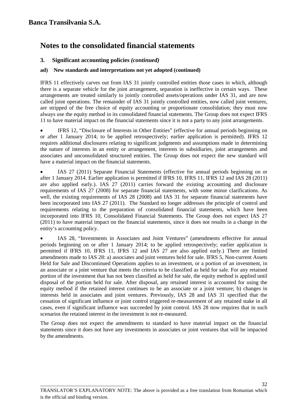## **3. Significant accounting policies** *(continued)*

### **ad) New standards and interpretations not yet adopted (continued)**

IFRS 11 effectively carves out from IAS 31 jointly controlled entities those cases in which, although there is a separate vehicle for the joint arrangement, separation is ineffective in certain ways. These arrangements are treated similarly to jointly controlled assets/operations under IAS 31, and are now called joint operations. The remainder of IAS 31 jointly controlled entities, now called joint ventures, are stripped of the free choice of equity accounting or proportionate consolidation; they must now always use the equity method in its consolidated financial statements. The Group does not expect IFRS 11 to have material impact on the financial statements since it is not a party to any joint arrangements.

• IFRS 12, "Disclosure of Interests in Other Entities" (effective for annual periods beginning on or after 1 January 2014; to be applied retrospectively; earlier application is permitted). IFRS 12 requires additional disclosures relating to significant judgments and assumptions made in determining the nature of interests in an entity or arrangement, interests in subsidiaries, joint arrangements and associates and unconsolidated structured entities. The Group does not expect the new standard will have a material impact on the financial statements.

• IAS 27 (2011) Separate Financial Statements (effective for annual periods beginning on or after 1 January 2014. Earlier application is permitted if IFRS 10, IFRS 11, IFRS 12 and IAS 28 (2011) are also applied early.). IAS 27 (2011) carries forward the existing accounting and disclosure requirements of IAS 27 (2008) for separate financial statements, with some minor clarifications. As well, the existing requirements of IAS 28 (2008) and IAS 31 for separate financial statements have been incorporated into IAS 27 (2011). The Standard no longer addresses the principle of control and requirements relating to the preparation of consolidated financial statements, which have been incorporated into IFRS 10, Consolidated Financial Statements. The Group does not expect IAS 27 (2011) to have material impact on the financial statements, since it does not results in a change in the entity's accounting policy.

• IAS 28, "Investments in Associates and Joint Ventures" (amendments effective for annual periods beginning on or after 1 January 2014; to be applied retrospectively; earlier application is permitted if IFRS 10, IFRS 11, IFRS 12 and IAS 27 are also applied early.) There are limited amendments made to IAS 28: a) associates and joint ventures held for sale. IFRS 5, Non-current Assets Held for Sale and Discontinued Operations applies to an investment, or a portion of an investment, in an associate or a joint venture that meets the criteria to be classified as held for sale. For any retained portion of the investment that has not been classified as held for sale, the equity method is applied until disposal of the portion held for sale. After disposal, any retained interest is accounted for using the equity method if the retained interest continues to be an associate or a joint venture; b) changes in interests held in associates and joint ventures. Previously, IAS 28 and IAS 31 specified that the cessation of significant influence or joint control triggered re-measurement of any retained stake in all cases, even if significant influence was succeeded by joint control. IAS 28 now requires that in such scenarios the retained interest in the investment is not re-measured.

The Group does not expect the amendments to standard to have material impact on the financial statements since it does not have any investments in associates or joint ventures that will be impacted by the amendments.

32

\_\_\_\_\_\_\_\_\_\_\_\_\_\_\_\_\_\_\_\_\_\_\_\_\_\_\_\_\_\_\_\_\_\_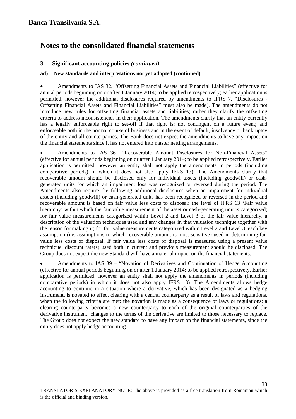## **3. Significant accounting policies** *(continued)*

### **ad) New standards and interpretations not yet adopted (continued)**

• Amendments to IAS 32, "Offsetting Financial Assets and Financial Liabilities" (effective for annual periods beginning on or after 1 January 2014; to be applied retrospectively; earlier application is permitted, however the additional disclosures required by amendments to IFRS 7, "Disclosures - Offsetting Financial Assets and Financial Liabilities" must also be made). The amendments do not introduce new rules for offsetting financial assets and liabilities; rather they clarify the offsetting criteria to address inconsistencies in their application. The amendments clarify that an entity currently has a legally enforceable right to set-off if that right is: not contingent on a future event; and enforceable both in the normal course of business and in the event of default, insolvency or bankruptcy of the entity and all counterparties. The Bank does not expect the amendments to have any impact on the financial statements since it has not entered into master netting arrangements.

• Amendments to IAS 36 –"Recoverable Amount Disclosures for Non-Financial Assets" (effective for annual periods beginning on or after 1 January 2014; to be applied retrospectively. Earlier application is permitted, however an entity shall not apply the amendments in periods (including comparative periods) in which it does not also apply IFRS 13). The Amendments clarify that recoverable amount should be disclosed only for individual assets (including goodwill) or cashgenerated units for which an impairment loss was recognized or reversed during the period. The Amendments also require the following additional disclosures when an impairment for individual assets (including goodwill) or cash-generated units has been recognized or reversed in the period and recoverable amount is based on fair value less costs to disposal: the level of IFRS 13 'Fair value hierarchy' within which the fair value measurement of the asset or cash-generating unit is categorized; for fair value measurements categorized within Level 2 and Level 3 of the fair value hierarchy, a description of the valuation techniques used and any changes in that valuation technique together with the reason for making it; for fair value measurements categorized within Level 2 and Level 3, each key assumption (i.e. assumptions to which recoverable amount is most sensitive) used in determining fair value less costs of disposal. If fair value less costs of disposal is measured using a present value technique, discount rate(s) used both in current and previous measurement should be disclosed. The Group does not expect the new Standard will have a material impact on the financial statements.

• Amendments to IAS 39 – "Novation of Derivatives and Continuation of Hedge Accounting (effective for annual periods beginning on or after 1 January 2014; to be applied retrospectively. Earlier application is permitted, however an entity shall not apply the amendments in periods (including comparative periods) in which it does not also apply IFRS 13). The Amendments allows hedge accounting to continue in a situation where a derivative, which has been designated as a hedging instrument, is novated to effect clearing with a central counterparty as a result of laws and regulations, when the following criteria are met: the novation is made as a consequence of laws or regulations; a clearing counterparty becomes a new counterparty to each of the original counterparties of the derivative instrument; changes to the terms of the derivative are limited to those necessary to replace. The Group does not expect the new standard to have any impact on the financial statements, since the entity does not apply hedge accounting.

\_\_\_\_\_\_\_\_\_\_\_\_\_\_\_\_\_\_\_\_\_\_\_\_\_\_\_\_\_\_\_\_\_\_ TRANSLATOR'S EXPLANATORY NOTE: The above is provided as a free translation from Romanian which is the official and binding version.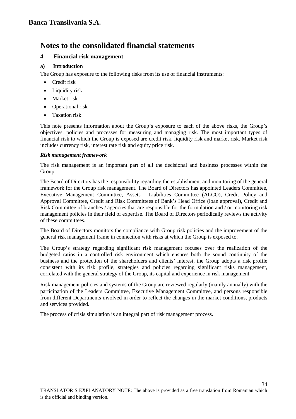### **4 Financial risk management**

### **a) Introduction**

The Group has exposure to the following risks from its use of financial instruments:

- Credit risk
- Liquidity risk
- Market risk
- Operational risk
- Taxation risk

This note presents information about the Group's exposure to each of the above risks, the Group's objectives, policies and processes for measuring and managing risk. The most important types of financial risk to which the Group is exposed are credit risk, liquidity risk and market risk. Market risk includes currency risk, interest rate risk and equity price risk.

### *Risk management framework*

The risk management is an important part of all the decisional and business processes within the Group.

The Board of Directors has the responsibility regarding the establishment and monitoring of the general framework for the Group risk management. The Board of Directors has appointed Leaders Committee, Executive Management Committee, Assets - Liabilities Committee (ALCO), Credit Policy and Approval Committee, Credit and Risk Committees of Bank's Head Office (loan approval), Credit and Risk Committee of branches / agencies that are responsible for the formulation and / or monitoring risk management policies in their field of expertise. The Board of Directors periodically reviews the activity of these committees.

The Board of Directors monitors the compliance with Group risk policies and the improvement of the general risk management frame in connection with risks at which the Group is exposed to.

The Group's strategy regarding significant risk management focuses over the realization of the budgeted ratios in a controlled risk environment which ensures both the sound continuity of the business and the protection of the shareholders and clients' interest, the Group adopts a risk profile consistent with its risk profile, strategies and policies regarding significant risks management, correlated with the general strategy of the Group, its capital and experience in risk management.

Risk management policies and systems of the Group are reviewed regularly (mainly annually) with the participation of the Leaders Committee, Executive Management Committee, and persons responsible from different Departments involved in order to reflect the changes in the market conditions, products and services provided.

The process of crisis simulation is an integral part of risk management process.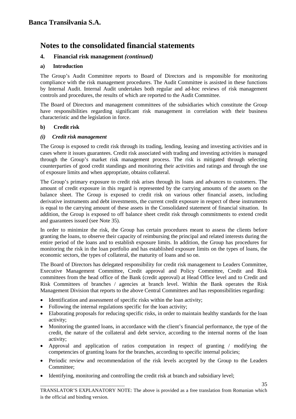#### **4. Financial risk management** *(continued)*

#### **a) Introduction**

The Group's Audit Committee reports to Board of Directors and is responsible for monitoring compliance with the risk management procedures. The Audit Committee is assisted in these functions by Internal Audit. Internal Audit undertakes both regular and ad-hoc reviews of risk management controls and procedures, the results of which are reported to the Audit Committee.

The Board of Directors and management committees of the subsidiaries which constitute the Group have responsibilities regarding significant risk management in correlation with their business characteristic and the legislation in force.

#### **b) Credit risk**

#### *(i) Credit risk management*

The Group is exposed to credit risk through its trading, lending, leasing and investing activities and in cases where it issues guarantees. Credit risk associated with trading and investing activities is managed through the Group's market risk management process. The risk is mitigated through selecting counterparties of good credit standings and monitoring their activities and ratings and through the use of exposure limits and when appropriate, obtains collateral.

The Group's primary exposure to credit risk arises through its loans and advances to customers. The amount of credit exposure in this regard is represented by the carrying amounts of the assets on the balance sheet. The Group is exposed to credit risk on various other financial assets, including derivative instruments and debt investments, the current credit exposure in respect of these instruments is equal to the carrying amount of these assets in the Consolidated statement of financial situation. In addition, the Group is exposed to off balance sheet credit risk through commitments to extend credit and guarantees issued (see Note 35).

In order to minimize the risk, the Group has certain procedures meant to assess the clients before granting the loans, to observe their capacity of reimbursing the principal and related interests during the entire period of the loans and to establish exposure limits. In addition, the Group has procedures for monitoring the risk in the loan portfolio and has established exposure limits on the types of loans, the economic sectors, the types of collateral, the maturity of loans and so on.

The Board of Directors has delegated responsibility for credit risk management to Leaders Committee, Executive Management Committee, Credit approval and Policy Committee, Credit and Risk committees from the head office of the Bank (credit approval) at Head Office level and to Credit and Risk Committees of branches / agencies at branch level. Within the Bank operates the Risk Management Division that reports to the above Central Committees and has responsibilities regarding:

- Identification and assessment of specific risks within the loan activity;
- Following the internal regulations specific for the loan activity;

\_\_\_\_\_\_\_\_\_\_\_\_\_\_\_\_\_\_\_\_\_\_\_\_\_\_\_\_\_\_\_\_\_\_

- Elaborating proposals for reducing specific risks, in order to maintain healthy standards for the loan activity;
- Monitoring the granted loans, in accordance with the client's financial performance, the type of the credit, the nature of the collateral and debt service, according to the internal norms of the loan activity;
- Approval and application of ratios computation in respect of granting / modifying the competencies of granting loans for the branches, according to specific internal policies;
- Periodic review and recommendation of the risk levels accepted by the Group to the Leaders Committee;
- Identifying, monitoring and controlling the credit risk at branch and subsidiary level;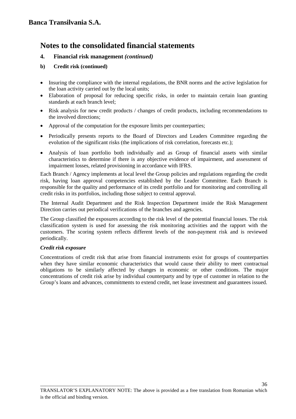#### **4. Financial risk management** *(continued)*

#### **b) Credit risk (continued)**

- Insuring the compliance with the internal regulations, the BNR norms and the active legislation for the loan activity carried out by the local units;
- Elaboration of proposal for reducing specific risks, in order to maintain certain loan granting standards at each branch level;
- Risk analysis for new credit products / changes of credit products, including recommendations to the involved directions;
- Approval of the computation for the exposure limits per counterparties;
- Periodically presents reports to the Board of Directors and Leaders Committee regarding the evolution of the significant risks (the implications of risk correlation, forecasts etc.);
- Analysis of loan portfolio both individually and as Group of financial assets with similar characteristics to determine if there is any objective evidence of impairment, and assessment of impairment losses, related provisioning in accordance with IFRS.

Each Branch / Agency implements at local level the Group policies and regulations regarding the credit risk, having loan approval competencies established by the Leader Committee. Each Branch is responsible for the quality and performance of its credit portfolio and for monitoring and controlling all credit risks in its portfolios, including those subject to central approval.

The Internal Audit Department and the Risk Inspection Department inside the Risk Management Direction carries out periodical verifications of the branches and agencies.

The Group classified the exposures according to the risk level of the potential financial losses. The risk classification system is used for assessing the risk monitoring activities and the rapport with the customers. The scoring system reflects different levels of the non-payment risk and is reviewed periodically.

#### *Credit risk exposure*

Concentrations of credit risk that arise from financial instruments exist for groups of counterparties when they have similar economic characteristics that would cause their ability to meet contractual obligations to be similarly affected by changes in economic or other conditions. The major concentrations of credit risk arise by individual counterparty and by type of customer in relation to the Group's loans and advances, commitments to extend credit, net lease investment and guarantees issued.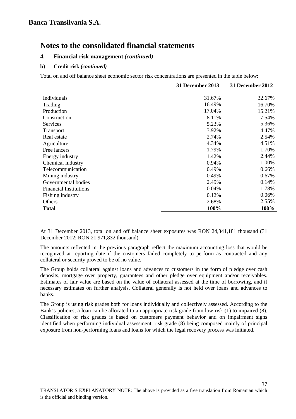#### **4. Financial risk management** *(continued)*

#### **b) Credit risk** *(continued)*

\_\_\_\_\_\_\_\_\_\_\_\_\_\_\_\_\_\_\_\_\_\_\_\_\_\_\_\_\_\_\_\_\_\_

Total on and off balance sheet economic sector risk concentrations are presented in the table below:

|                               | 31 December 2013 | 31 December 2012 |
|-------------------------------|------------------|------------------|
| Individuals                   | 31.67%           | 32.67%           |
| Trading                       | 16.49%           | 16.70%           |
| Production                    | 17.04%           | 15.21%           |
| Construction                  | 8.11%            | 7.54%            |
| Services                      | 5.23%            | 5.36%            |
| Transport                     | 3.92%            | 4.47%            |
| Real estate                   | 2.74%            | 2.54%            |
| Agriculture                   | 4.34%            | 4.51%            |
| Free lancers                  | 1.79%            | 1.70%            |
| Energy industry               | 1.42%            | 2.44%            |
| Chemical industry             | 0.94%            | 1.00%            |
| Telecommunication             | 0.49%            | 0.66%            |
| Mining industry               | 0.49%            | 0.67%            |
| Governmental bodies           | 2.49%            | 0.14%            |
| <b>Financial Institutions</b> | 0.04%            | 1.78%            |
| Fishing industry              | 0.12%            | 0.06%            |
| Others                        | 2.68%            | 2.55%            |
| <b>Total</b>                  | 100%             | 100%             |

At 31 December 2013, total on and off balance sheet exposures was RON 24,341,181 thousand (31 December 2012: RON 21,971,832 thousand).

The amounts reflected in the previous paragraph reflect the maximum accounting loss that would be recognized at reporting date if the customers failed completely to perform as contracted and any collateral or security proved to be of no value.

The Group holds collateral against loans and advances to customers in the form of pledge over cash deposits, mortgage over property, guarantees and other pledge over equipment and/or receivables. Estimates of fair value are based on the value of collateral assessed at the time of borrowing, and if necessary estimates on further analysis. Collateral generally is not held over loans and advances to banks.

The Group is using risk grades both for loans individually and collectively assessed. According to the Bank's policies, a loan can be allocated to an appropriate risk grade from low risk (1) to impaired (8). Classification of risk grades is based on customers payment behavior and on impairment signs identified when performing individual assessment, risk grade (8) being composed mainly of principal exposure from non-performing loans and loans for which the legal recovery process was initiated.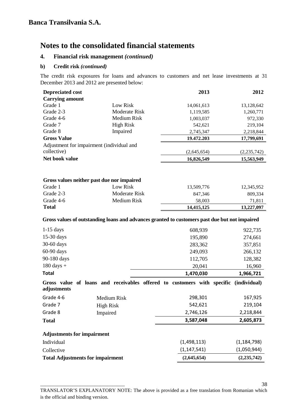#### **4. Financial risk management** *(continued)*

**b) Credit risk** *(continued)*

\_\_\_\_\_\_\_\_\_\_\_\_\_\_\_\_\_\_\_\_\_\_\_\_\_\_\_\_\_\_\_\_\_\_

The credit risk exposures for loans and advances to customers and net lease investments at 31 December 2013 and 2012 are presented below:

| <b>Depreciated cost</b>                                |                              | 2013                                                                                                                | 2012               |  |
|--------------------------------------------------------|------------------------------|---------------------------------------------------------------------------------------------------------------------|--------------------|--|
| <b>Carrying amount</b>                                 |                              |                                                                                                                     |                    |  |
| Grade 1                                                | Low Risk                     | 14,061,613                                                                                                          | 13,128,642         |  |
| Grade 2-3                                              | Moderate Risk                | 1,119,585                                                                                                           | 1,260,771          |  |
| Grade 4-6                                              | Medium Risk                  | 1,003,037                                                                                                           | 972,330            |  |
| Grade 7                                                | <b>High Risk</b>             | 542,621                                                                                                             | 219,104            |  |
| Grade 8                                                | Impaired                     | 2,745,347                                                                                                           | 2,218,844          |  |
| <b>Gross Value</b>                                     |                              | 19.472.203                                                                                                          | 17,799,691         |  |
| Adjustment for impairment (individual and              |                              |                                                                                                                     |                    |  |
| collective)                                            |                              | (2,645,654)                                                                                                         | (2, 235, 742)      |  |
| Net book value                                         |                              | 16,826,549                                                                                                          | 15,563,949         |  |
| Gross values neither past due nor impaired<br>Grade 1  | Low Risk                     | 13,509,776                                                                                                          | 12,345,952         |  |
| Grade 2-3                                              | Moderate Risk                | 847,346                                                                                                             | 809,334            |  |
| Grade 4-6                                              | Medium Risk                  | 58,003                                                                                                              | 71,811             |  |
| <b>Total</b>                                           |                              | 14,415,125                                                                                                          | 13,227,097         |  |
| $1-15$ days<br>15-30 days                              |                              | Gross values of outstanding loans and advances granted to customers past due but not impaired<br>608,939<br>195,890 | 922,735<br>274,661 |  |
| 30-60 days                                             |                              | 283,362                                                                                                             | 357,851            |  |
| 60-90 days                                             |                              | 249,093                                                                                                             | 266,132            |  |
| 90-180 days                                            |                              | 112,705                                                                                                             | 128,382            |  |
| $180 \text{ days} +$                                   |                              | 20,041                                                                                                              | 16,960             |  |
| <b>Total</b>                                           |                              | 1,470,030                                                                                                           | 1,966,721          |  |
| adjustments                                            |                              | Gross value of loans and receivables offered to customers with specific (individual)                                |                    |  |
| Grade 4-6                                              | Medium Risk                  | 298,301                                                                                                             | 167,925            |  |
| Grade 7                                                | <b>High Risk</b>             | 542,621                                                                                                             | 219,104            |  |
| Grade 8                                                | Impaired                     | 2,746,126                                                                                                           | 2,218,844          |  |
| <b>Total</b>                                           |                              | 3,587,048                                                                                                           | 2,605,873          |  |
| <b>Adjustments for impairment</b>                      |                              |                                                                                                                     |                    |  |
| Individual                                             |                              | (1,498,113)                                                                                                         | (1, 184, 798)      |  |
| Collective                                             | (1, 147, 541)<br>(1,050,944) |                                                                                                                     |                    |  |
| <b>Total Adjustments for impairment</b><br>(2,645,654) |                              |                                                                                                                     | (2, 235, 742)      |  |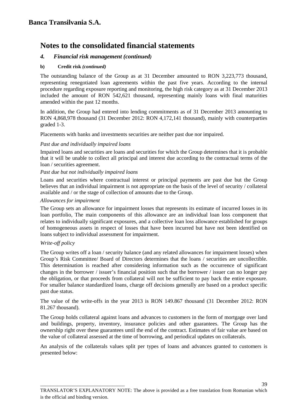#### *4. Financial risk management (continued)*

#### **b) Credit risk** *(continued)*

The outstanding balance of the Group as at 31 December amounted to RON 3,223,773 thousand, representing renegotiated loan agreements within the past five years. According to the internal procedure regarding exposure reporting and monitoring, the high risk category as at 31 December 2013 included the amount of RON 542,621 thousand, representing mainly loans with final maturities amended within the past 12 months.

In addition, the Group had entered into lending commitments as of 31 December 2013 amounting to RON 4,868,978 thousand (31 December 2012: RON 4,172,141 thousand), mainly with counterparties graded 1-3.

Placements with banks and investments securities are neither past due nor impaired.

#### *Past due and individually impaired loans*

Impaired loans and securities are loans and securities for which the Group determines that it is probable that it will be unable to collect all principal and interest due according to the contractual terms of the loan / securities agreement.

#### *Past due but not individually impaired loans*

\_\_\_\_\_\_\_\_\_\_\_\_\_\_\_\_\_\_\_\_\_\_\_\_\_\_\_\_\_\_\_\_\_\_

Loans and securities where contractual interest or principal payments are past due but the Group believes that an individual impairment is not appropriate on the basis of the level of security / collateral available and / or the stage of collection of amounts due to the Group.

#### *Allowances for impairment*

The Group sets an allowance for impairment losses that represents its estimate of incurred losses in its loan portfolio, The main components of this allowance are an individual loan loss component that relates to individually significant exposures, and a collective loan loss allowance established for groups of homogeneous assets in respect of losses that have been incurred but have not been identified on loans subject to individual assessment for impairment.

#### *Write-off policy*

The Group writes off a loan / security balance (and any related allowances for impairment losses) when Group's Risk Committee/ Board of Directors determines that the loans / securities are uncollectible. This determination is reached after considering information such as the occurrence of significant changes in the borrower / issuer's financial position such that the borrower / issuer can no longer pay the obligation, or that proceeds from collateral will not be sufficient to pay back the entire exposure. For smaller balance standardized loans, charge off decisions generally are based on a product specific past due status.

The value of the write-offs in the year 2013 is RON 149.867 thousand (31 December 2012: RON 81.267 thousand).

The Group holds collateral against loans and advances to customers in the form of mortgage over land and buildings, property, inventory, insurance policies and other guarantees. The Group has the ownership right over these guarantees until the end of the contract. Estimates of fair value are based on the value of collateral assessed at the time of borrowing, and periodical updates on collaterals.

An analysis of the collaterals values split per types of loans and advances granted to customers is presented below: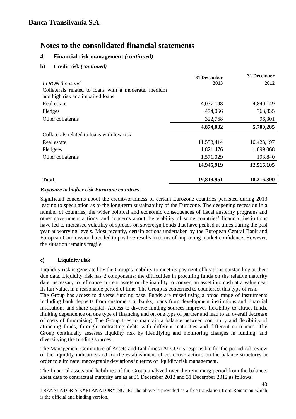#### **4. Financial risk management** *(continued)*

#### **b) Credit risk** *(continued)*

|                                                                                          | 31 December | <b>31 December</b> |
|------------------------------------------------------------------------------------------|-------------|--------------------|
| In RON thousand                                                                          | 2013        | 2012               |
| Collaterals related to loans with a moderate, medium<br>and high risk and impaired loans |             |                    |
| Real estate                                                                              | 4,077,198   | 4,840,149          |
| Pledges                                                                                  | 474,066     | 763,835            |
| Other collaterals                                                                        | 322,768     | 96,301             |
|                                                                                          | 4,874,032   | 5,700,285          |
| Collaterals related to loans with low risk                                               |             |                    |
| Real estate                                                                              | 11,553,414  | 10,423,197         |
| Pledgees                                                                                 | 1,821,476   | 1.899.068          |
| Other collaterals                                                                        | 1,571,029   | 193.840            |
|                                                                                          | 14,945,919  | 12.516.105         |
| <b>Total</b>                                                                             | 19,819,951  | 18.216.390         |

#### *Exposure to higher risk Eurozone countries*

Significant concerns about the creditworthiness of certain Eurozone countries persisted during 2013 leading to speculation as to the long-term sustainability of the Eurozone. The deepening recession in a number of countries, the wider political and economic consequences of fiscal austerity programs and other government actions, and concerns about the viability of some countries' financial institutions have led to increased volatility of spreads on sovereign bonds that have peaked at times during the past year at worrying levels. Most recently, certain actions undertaken by the European Central Bank and European Commission have led to positive results in terms of improving market confidence. However, the situation remains fragile.

#### **c) Liquidity risk**

\_\_\_\_\_\_\_\_\_\_\_\_\_\_\_\_\_\_\_\_\_\_\_\_\_\_\_\_\_\_\_\_\_\_

Liquidity risk is generated by the Group's inability to meet its payment obligations outstanding at their due date. Liquidity risk has 2 components: the difficulties in procuring funds on the relative maturity date, necessary to refinance current assets or the inability to convert an asset into cash at a value near its fair value, in a reasonable period of time. The Group is concerned to counteract this type of risk. The Group has access to diverse funding base. Funds are raised using a broad range of instruments including bank deposits from customers or banks, loans from development institutions and financial institutions and share capital. Access to diverse funding sources improves flexibility to attract funds, limiting dependence on one type of financing and on one type of partner and lead to an overall decrease of costs of fundraising. The Group tries to maintain a balance between continuity and flexibility of attracting funds, through contracting debts with different maturities and different currencies. The Group continually assesses liquidity risk by identifying and monitoring changes in funding, and diversifying the funding sources.

The Management Committee of Assets and Liabilities (ALCO) is responsible for the periodical review of the liquidity indicators and for the establishment of corrective actions on the balance structures in order to eliminate unacceptable deviations in terms of liquidity risk management.

The financial assets and liabilities of the Group analyzed over the remaining period from the balance: sheet date to contractual maturity are as at 31 December 2013 and 31 December 2012 as follows: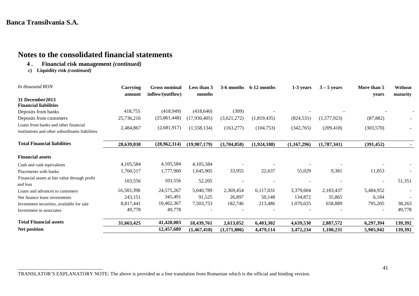## **Notes to the consolidated financial statements**

- **4 . Financial risk management** *(continued)*
- **c) Liquidity risk** *(continued)*

\_\_\_\_\_\_\_\_\_\_\_\_\_\_\_\_\_\_\_\_\_\_\_\_\_\_\_\_\_\_\_\_\_\_

| In thousand RON                                           | Carrying<br>amount | <b>Gross nominal</b><br>inflow/(outflow) | Less than 3<br>months | 3-6 months  | 6-12 months | 1-3 years   | $3 - 5$ years | More than 5<br>years | Without<br>maturity |
|-----------------------------------------------------------|--------------------|------------------------------------------|-----------------------|-------------|-------------|-------------|---------------|----------------------|---------------------|
| 31 December 2013                                          |                    |                                          |                       |             |             |             |               |                      |                     |
| <b>Financial liabilities</b>                              |                    |                                          |                       |             |             |             |               |                      |                     |
| Deposits from banks                                       | 418,755            | (418,949)                                | (418, 640)            | (309)       |             |             |               |                      |                     |
| Deposits from customers                                   | 25,736,216         | (25,861,448)                             | (17,930,405)          | (3,621,272) | (1,819,435) | (824, 531)  | (1,577,923)   | (87, 882)            |                     |
| Loans from banks and other financial                      | 2,484,867          | (2,681,917)                              | (1,558,134)           | (163, 277)  | (104, 753)  | (342,765)   | (209, 418)    | (303,570)            |                     |
| institutions and other subordinates liabilities           |                    |                                          |                       |             |             |             |               |                      |                     |
| <b>Total Financial liabilities</b>                        | 28,639,838         | (28,962,314)                             | (19,907,179)          | (3,784,858) | (1,924,188) | (1,167,296) | (1,787,341)   | (391, 452)           |                     |
| <b>Financial assets</b>                                   |                    |                                          |                       |             |             |             |               |                      |                     |
| Cash and cash equivalents                                 | 4,105,584          | 4,105,584                                | 4,105,584             |             |             |             |               |                      |                     |
| Placements with banks                                     | 1,760,517          | 1,777,960                                | 1,645,905             | 33,955      | 22,637      | 55,029      | 9,381         | 11,053               |                     |
| Financial assets at fair value through profit<br>and loss | 103,556            | 103,556                                  | 52,205                |             |             |             |               | $\blacksquare$       | 51,351              |
| Loans and advances to customers                           | 16,583,398         | 24,575,267                               | 5,040,789             | 2,369,454   | 6,117,031   | 3,379,604   | 2,183,437     | 5,484,952            |                     |
| Net finance lease investments                             | 243,151            | 345,491                                  | 91,525                | 26,897      | 50,148      | 134,872     | 35,865        | 6,184                |                     |
| Investment securities, available for sale                 | 8,817,441          | 10,462,367                               | 7,503,753             | 182,746     | 213,486     | 1,070,025   | 658,889       | 795,205              | 38,263              |
| Investment in associates                                  | 49,778             | 49,778                                   |                       |             |             |             |               |                      | 49,778              |
| <b>Total Financial assets</b>                             | 31,663,425         | 41,420,003                               | 18,439,761            | 2,613,052   | 6,403,302   | 4,639,530   | 2,887,572     | 6,297,394            | 139,392             |
| Net position                                              |                    | 12,457,689                               | (1,467,418)           | (1,171,806) | 4,479,114   | 3,472,234   | 1,100,231     | 5,905,942            | 139,392             |

TRANSLATOR'S EXPLANATORY NOTE: The above is provided as a free translation from Romanian which is the official and binding version.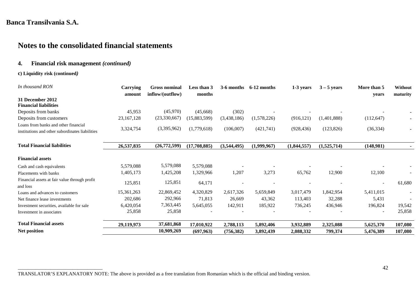## **Notes to the consolidated financial statements**

#### **4. Financial risk management** *(continued)*

#### **c) Liquidity risk (continued***)*

\_\_\_\_\_\_\_\_\_\_\_\_\_\_\_\_\_\_\_\_\_\_\_\_\_\_\_\_\_\_\_\_\_\_

| In thousand RON                                           | Carrying<br>amount | <b>Gross nominal</b><br>inflow/(outflow) | Less than 3<br>months | 3-6 months  | 6-12 months | 1-3 years   | $3 - 5$ years | More than 5<br>vears | Without<br>maturity |
|-----------------------------------------------------------|--------------------|------------------------------------------|-----------------------|-------------|-------------|-------------|---------------|----------------------|---------------------|
| 31 December 2012                                          |                    |                                          |                       |             |             |             |               |                      |                     |
| <b>Financial liabilities</b>                              |                    |                                          |                       |             |             |             |               |                      |                     |
| Deposits from banks                                       | 45,953             | (45,970)                                 | (45,668)              | (302)       |             |             |               |                      |                     |
| Deposits from customers                                   | 23, 167, 128       | (23,330,667)                             | (15,883,599)          | (3,438,186) | (1,578,226) | (916, 121)  | (1,401,888)   | (112, 647)           |                     |
| Loans from banks and other financial                      |                    |                                          |                       |             |             |             |               |                      |                     |
| institutions and other subordinates liabilities           | 3,324,754          | (3,395,962)                              | (1,779,618)           | (106,007)   | (421,741)   | (928, 436)  | (123, 826)    | (36, 334)            |                     |
| <b>Total Financial liabilities</b>                        | 26,537,835         | (26,772,599)                             | (17,708,885)          | (3,544,495) | (1,999,967) | (1,844,557) | (1,525,714)   | (148,981)            |                     |
| <b>Financial assets</b>                                   |                    |                                          |                       |             |             |             |               |                      |                     |
| Cash and cash equivalents                                 | 5,579,088          | 5,579,088                                | 5,579,088             |             |             |             |               |                      |                     |
| Placements with banks                                     | 1,405,173          | 1,425,208                                | 1,329,966             | 1,207       | 3,273       | 65,762      | 12,900        | 12,100               |                     |
| Financial assets at fair value through profit<br>and loss | 125,851            | 125,851                                  | 64,171                |             |             |             |               |                      | 61,680              |
| Loans and advances to customers                           | 15,361,263         | 22,869,452                               | 4,320,829             | 2,617,326   | 5,659,849   | 3,017,479   | 1,842,954     | 5,411,015            |                     |
| Net finance lease investments                             | 202,686            | 292,966                                  | 71,813                | 26,669      | 43,362      | 113,403     | 32,288        | 5,431                |                     |
| Investment securities, available for sale                 | 6,420,054          | 7,363,445                                | 5,645,055             | 142,911     | 185,922     | 736,245     | 436,946       | 196,824              | 19,542              |
| Investment in associates                                  | 25,858             | 25,858                                   |                       |             |             |             |               |                      | 25,858              |
| <b>Total Financial assets</b>                             | 29,119,973         | 37,681,868                               | 17,010,922            | 2,788,113   | 5,892,406   | 3,932,889   | 2,325,088     | 5,625,370            | 107,080             |
| <b>Net position</b>                                       |                    | 10,909,269                               | (697, 963)            | (756, 382)  | 3,892,439   | 2,088,332   | 799,374       | 5,476,389            | 107,080             |

TRANSLATOR'S EXPLANATORY NOTE: The above is provided as a free translation from Romanian which is the official and binding version.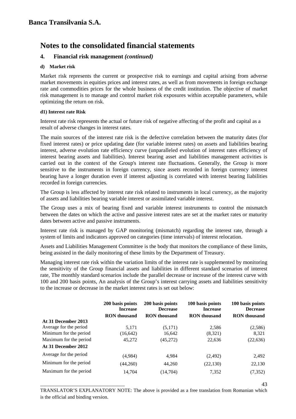#### **4. Financial risk management** *(continued)*

#### **d) Market risk**

Market risk represents the current or prospective risk to earnings and capital arising from adverse market movements in equities prices and interest rates, as well as from movements in foreign exchange rate and commodities prices for the whole business of the credit institution. The objective of market risk management is to manage and control market risk exposures within acceptable parameters, while optimizing the return on risk.

#### **d1) Interest rate Risk**

Interest rate risk represents the actual or future risk of negative affecting of the profit and capital as a result of adverse changes in interest rates.

The main sources of the interest rate risk is the defective correlation between the maturity dates (for fixed interest rates) or price updating date (for variable interest rates) on assets and liabilities bearing interest, adverse evolution rate efficiency curve (unparalleled evolution of interest rates efficiency of interest bearing assets and liabilities). Interest bearing asset and liabilities management activities is carried out in the context of the Group's interest rate fluctuations. Generally, the Group is more sensitive to the instruments in foreign currency, since assets recorded in foreign currency interest bearing have a longer duration even if interest adjusting is correlated with interest bearing liabilities recorded in foreign currencies.

The Group is less affected by interest rate risk related to instruments in local currency, as the majority of assets and liabilities bearing variable interest or assimilated variable interest.

The Group uses a mix of bearing fixed and variable interest instruments to control the mismatch between the dates on which the active and passive interest rates are set at the market rates or maturity dates between active and passive instruments.

Interest rate risk is managed by GAP monitoring (mismatch) regarding the interest rate, through a system of limits and indicators approved on categories (time intervals) of interest relocation.

Assets and Liabilities Management Committee is the body that monitors the compliance of these limits, being assisted in the daily monitoring of these limits by the Department of Treasury.

Managing interest rate risk within the variation limits of the interest rate is supplemented by monitoring the sensitivity of the Group financial assets and liabilities in different standard scenarios of interest rate, The monthly standard scenarios include the parallel decrease or increase of the interest curve with 100 and 200 basis points, An analysis of the Group's interest carrying assets and liabilities sensitivity to the increase or decrease in the market interest rates is set out below:

|                        | 200 basis points<br><b>Increase</b> | 200 basis points<br><b>Decrease</b> | 100 basis points<br><b>Increase</b> | 100 basis points<br><b>Decrease</b> |
|------------------------|-------------------------------------|-------------------------------------|-------------------------------------|-------------------------------------|
|                        | <b>RON</b> thousand                 | <b>RON</b> thousand                 | <b>RON</b> thousand                 | <b>RON</b> thousand                 |
| At 31 December 2013    |                                     |                                     |                                     |                                     |
| Average for the period | 5.171                               | (5,171)                             | 2,586                               | (2,586)                             |
| Minimum for the period | (16, 642)                           | 16,642                              | (8,321)                             | 8,321                               |
| Maximum for the period | 45,272                              | (45,272)                            | 22,636                              | (22, 636)                           |
| At 31 December 2012    |                                     |                                     |                                     |                                     |
| Average for the period | (4,984)                             | 4,984                               | (2,492)                             | 2,492                               |
| Minimum for the period | (44,260)                            | 44,260                              | (22, 130)                           | 22,130                              |
| Maximum for the period | 14,704                              | (14,704)                            | 7,352                               | (7, 352)                            |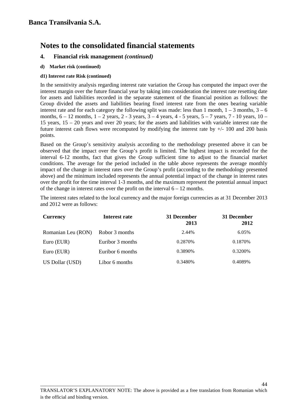#### **4. Financial risk management** *(continued)*

**d) Market risk (continued)**

#### **d1) Interest rate Risk (continued)**

\_\_\_\_\_\_\_\_\_\_\_\_\_\_\_\_\_\_\_\_\_\_\_\_\_\_\_\_\_\_\_\_\_\_

In the sensitivity analysis regarding interest rate variation the Group has computed the impact over the interest margin over the future financial year by taking into consideration the interest rate resetting date for assets and liabilities recorded in the separate statement of the financial position as follows: the Group divided the assets and liabilities bearing fixed interest rate from the ones bearing variable interest rate and for each category the following split was made: less than 1 month,  $1 - 3$  months,  $3 - 6$ months,  $6 - 12$  months,  $1 - 2$  years,  $2 - 3$  years,  $3 - 4$  years,  $4 - 5$  years,  $5 - 7$  years,  $7 - 10$  years,  $10 -$ 15 years, 15 – 20 years and over 20 years; for the assets and liabilities with variable interest rate the future interest cash flows were recomputed by modifying the interest rate by +/- 100 and 200 basis points.

Based on the Group's sensitivity analysis according to the methodology presented above it can be observed that the impact over the Group's profit is limited. The highest impact is recorded for the interval 6-12 months, fact that gives the Group sufficient time to adjust to the financial market conditions. The average for the period included in the table above represents the average monthly impact of the change in interest rates over the Group's profit (according to the methodology presented above) and the minimum included represents the annual potential impact of the change in interest rates over the profit for the time interval 1-3 months, and the maximum represent the potential annual impact of the change in interest rates over the profit on the interval 6 – 12 months.

The interest rates related to the local currency and the major foreign currencies as at 31 December 2013 and 2012 were as follows:

| <b>Currency</b>    | Interest rate    | 31 December<br>2013 | 31 December<br>2012 |
|--------------------|------------------|---------------------|---------------------|
| Romanian Leu (RON) | Robor 3 months   | 2.44%               | 6.05%               |
| Euro (EUR)         | Euribor 3 months | 0.2870\%            | 0.1870\%            |
| Euro (EUR)         | Euribor 6 months | 0.3890%             | 0.3200\%            |
| US Dollar (USD)    | Libor 6 months   | 0.3480\%            | 0.4089%             |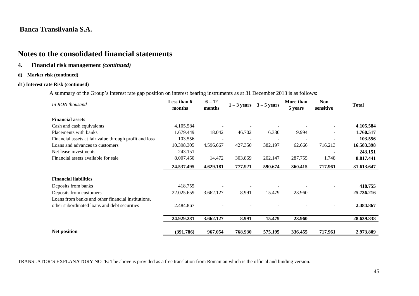### **Notes to the consolidated financial statements**

#### **4. Financial risk management** *(continued)*

#### **d) Market risk (continued)**

#### **d1) Interest rate Risk (continued)**

A summary of the Group's interest rate gap position on interest bearing instruments as at 31 December 2013 is as follows:

| In RON thousand                                        | Less than 6<br>months | $6 - 12$<br>months       | $1 - 3$ years | $3 - 5$ years | More than<br>5 years | <b>Non</b><br>sensitive | <b>Total</b> |
|--------------------------------------------------------|-----------------------|--------------------------|---------------|---------------|----------------------|-------------------------|--------------|
| <b>Financial assets</b>                                |                       |                          |               |               |                      |                         |              |
| Cash and cash equivalents                              | 4.105.584             |                          |               |               |                      |                         | 4.105.584    |
| Placements with banks                                  | 1.679.449             | 18.042                   | 46.702        | 6.330         | 9.994                |                         | 1.760.517    |
| Financial assets at fair value through profit and loss | 103.556               | $\overline{\phantom{a}}$ |               |               | $\overline{a}$       |                         | 103.556      |
| Loans and advances to customers                        | 10.398.305            | 4.596.667                | 427.350       | 382.197       | 62.666               | 716.213                 | 16.583.398   |
| Net lease investments                                  | 243.151               |                          |               |               |                      |                         | 243.151      |
| Financial assets available for sale                    | 8.007.450             | 14.472                   | 303.869       | 202.147       | 287.755              | 1.748                   | 8.817.441    |
|                                                        | 24.537.495            | 4.629.181                | 777.921       | 590.674       | 360.415              | 717.961                 | 31.613.647   |
| <b>Financial liabilities</b>                           |                       |                          |               |               |                      |                         |              |
| Deposits from banks                                    | 418.755               |                          |               |               |                      |                         | 418.755      |
| Deposits from customers                                | 22.025.659            | 3.662.127                | 8.991         | 15.479        | 23.960               |                         | 25.736.216   |
| Loans from banks and other financial institutions,     |                       |                          |               |               |                      |                         |              |
| other subordinated loans and debt securities           | 2.484.867             |                          |               |               |                      |                         | 2.484.867    |
|                                                        | 24.929.281            | 3.662.127                | 8.991         | 15.479        | 23.960               |                         | 28.639.838   |
| Net position                                           | (391.786)             | 967.054                  | 768.930       | 575.195       | 336.455              | 717.961                 | 2.973.809    |

\_\_\_\_\_\_\_\_\_\_\_\_\_\_\_\_\_\_\_\_\_\_\_\_\_\_\_\_\_\_\_\_\_\_\_\_\_ TRANSLATOR'S EXPLANATORY NOTE: The above is provided as a free translation from Romanian which is the official and binding version.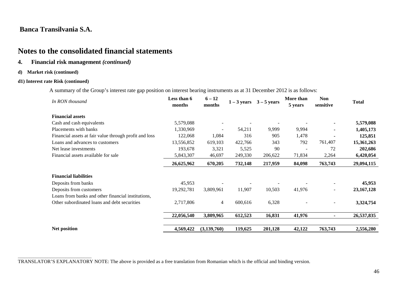### **Notes to the consolidated financial statements**

#### **4. Financial risk management** *(continued)*

#### **d) Market risk (continued)**

#### **d1) Interest rate Risk (continued)**

A summary of the Group's interest rate gap position on interest bearing instruments as at 31 December 2012 is as follows:

| In RON thousand                                        | Less than 6<br>months | $6 - 12$<br>months | $1 - 3$ years | $3 - 5$ years | More than<br>5 years | <b>Non</b><br>sensitive | <b>Total</b> |
|--------------------------------------------------------|-----------------------|--------------------|---------------|---------------|----------------------|-------------------------|--------------|
| <b>Financial assets</b>                                |                       |                    |               |               |                      |                         |              |
| Cash and cash equivalents                              | 5,579,088             | $\sim$             |               |               |                      |                         | 5,579,088    |
| Placements with banks                                  | 1,330,969             | $\sim$             | 54,211        | 9,999         | 9,994                |                         | 1,405,173    |
| Financial assets at fair value through profit and loss | 122,068               | 1,084              | 316           | 905           | 1,478                |                         | 125,851      |
| Loans and advances to customers                        | 13,556,852            | 619,103            | 422,766       | 343           | 792                  | 761,407                 | 15,361,263   |
| Net lease investments                                  | 193,678               | 3,321              | 5,525         | 90            |                      | 72                      | 202,686      |
| Financial assets available for sale                    | 5,843,307             | 46,697             | 249,330       | 206,622       | 71,834               | 2,264                   | 6,420,054    |
|                                                        | 26,625,962            | 670,205            | 732,148       | 217,959       | 84,098               | 763,743                 | 29,094,115   |
| <b>Financial liabilities</b>                           |                       |                    |               |               |                      |                         |              |
| Deposits from banks                                    | 45,953                |                    |               |               |                      |                         | 45,953       |
| Deposits from customers                                | 19,292,781            | 3,809,961          | 11,907        | 10,503        | 41,976               | Ξ.                      | 23, 167, 128 |
| Loans from banks and other financial institutions,     |                       |                    |               |               |                      |                         |              |
| Other subordinated loans and debt securities           | 2,717,806             | 4                  | 600,616       | 6,328         |                      |                         | 3,324,754    |
|                                                        | 22,056,540            | 3,809,965          | 612,523       | 16,831        | 41,976               |                         | 26,537,835   |
| Net position                                           | 4,569,422             | (3,139,760)        | 119,625       | 201,128       | 42,122               | 763,743                 | 2,556,280    |

\_\_\_\_\_\_\_\_\_\_\_\_\_\_\_\_\_\_\_\_\_\_\_\_\_\_\_\_\_\_\_\_\_\_\_\_\_ TRANSLATOR'S EXPLANATORY NOTE: The above is provided as a free translation from Romanian which is the official and binding version.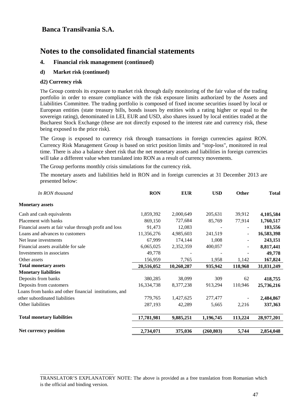## **Notes to the consolidated financial statements**

#### **4. Financial risk management (continued)**

#### **d) Market risk (continued)**

\_\_\_\_\_\_\_\_\_\_\_\_\_\_\_\_\_\_\_\_\_\_\_\_\_\_\_\_\_\_\_\_\_\_\_\_\_

#### **d2) Currency risk**

The Group controls its exposure to market risk through daily monitoring of the fair value of the trading portfolio in order to ensure compliance with the risk exposure limits authorized by the Assets and Liabilities Committee. The trading portfolio is composed of fixed income securities issued by local or European entities (state treasury bills, bonds issues by entities with a rating higher or equal to the sovereign rating), denominated in LEI, EUR and USD, also shares issued by local entities traded at the Bucharest Stock Exchange (these are not directly exposed to the interest rate and currency risk, these being exposed to the price risk).

The Group is exposed to currency risk through transactions in foreign currencies against RON. Currency Risk Management Group is based on strict position limits and "stop-loss", monitored in real time. There is also a balance sheet risk that the net monetary assets and liabilities in foreign currencies will take a different value when translated into RON as a result of currency movements.

The Group performs monthly crisis simulations for the currency risk.

The monetary assets and liabilities held in RON and in foreign currencies at 31 December 2013 are presented below:

| <b>RON</b> | <b>EUR</b> | <b>USD</b> | <b>Other</b>             | <b>Total</b> |
|------------|------------|------------|--------------------------|--------------|
|            |            |            |                          |              |
| 1,859,392  | 2,000,649  | 205,631    | 39,912                   | 4,105,584    |
| 869,150    | 727,684    | 85,769     | 77,914                   | 1,760,517    |
| 91,473     | 12,083     |            |                          | 103,556      |
| 11,356,276 | 4,985,603  | 241,519    | -                        | 16,583,398   |
| 67,999     | 174,144    | 1,008      | $\overline{\phantom{a}}$ | 243,151      |
| 6,065,025  | 2,352,359  | 400,057    | $\overline{a}$           | 8,817,441    |
| 49,778     |            |            |                          | 49,778       |
| 156,959    | 7,765      | 1,958      | 1,142                    | 167,824      |
| 20,516,052 | 10,260,287 | 935,942    | 118,968                  | 31,831,249   |
|            |            |            |                          |              |
| 380,285    | 38,099     | 309        | 62                       | 418,755      |
| 16,334,738 | 8,377,238  | 913,294    | 110,946                  | 25,736,216   |
|            |            |            |                          |              |
| 779,765    | 1,427,625  | 277,477    |                          | 2,484,867    |
| 287,193    | 42,289     | 5,665      | 2,216                    | 337,363      |
| 17,781,981 | 9,885,251  | 1,196,745  | 113,224                  | 28,977,201   |
|            |            |            |                          | 2,854,048    |
|            | 2,734,071  | 375,036    | (260, 803)               | 5,744        |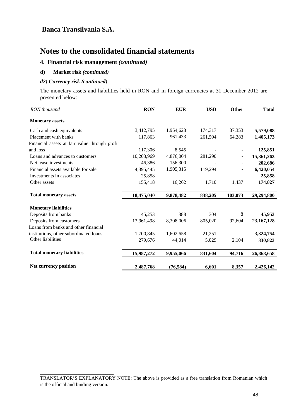## **Notes to the consolidated financial statements**

#### **4. Financial risk management** *(continued)*

#### **d) Market risk** *(continued)*

#### *d2) Currency risk (continued)*

\_\_\_\_\_\_\_\_\_\_\_\_\_\_\_\_\_\_\_\_\_\_\_\_\_\_\_\_\_\_\_\_\_\_\_\_\_

The monetary assets and liabilities held in RON and in foreign currencies at 31 December 2012 are presented below:

| RON thousand                                  | <b>RON</b> | <b>EUR</b> | <b>USD</b> | Other                    | <b>Total</b> |
|-----------------------------------------------|------------|------------|------------|--------------------------|--------------|
| <b>Monetary</b> assets                        |            |            |            |                          |              |
| Cash and cash equivalents                     | 3,412,795  | 1,954,623  | 174,317    | 37,353                   | 5,579,088    |
| Placement with banks                          | 117,863    | 961,433    | 261,594    | 64,283                   | 1,405,173    |
| Financial assets at fair value through profit |            |            |            |                          |              |
| and loss                                      | 117,306    | 8,545      |            |                          | 125,851      |
| Loans and advances to customers               | 10,203,969 | 4,876,004  | 281,290    | $\overline{\phantom{a}}$ | 15,361,263   |
| Net lease investments                         | 46,386     | 156,300    |            |                          | 202,686      |
| Financial assets available for sale           | 4,395,445  | 1,905,315  | 119,294    |                          | 6,420,054    |
| Investments in associates                     | 25,858     |            |            |                          | 25,858       |
| Other assets                                  | 155,418    | 16,262     | 1,710      | 1,437                    | 174,827      |
| <b>Total monetary assets</b>                  | 18,475,040 | 9,878,482  | 838,205    | 103,073                  | 29,294,800   |
| <b>Monetary liabilities</b>                   |            |            |            |                          |              |
| Deposits from banks                           | 45,253     | 388        | 304        | 8                        | 45,953       |
| Deposits from customers                       | 13,961,498 | 8,308,006  | 805,020    | 92,604                   | 23, 167, 128 |
| Loans from banks and other financial          |            |            |            |                          |              |
| institutions, other subordinated loans        | 1,700,845  | 1,602,658  | 21,251     |                          | 3,324,754    |
| Other liabilities                             | 279,676    | 44,014     | 5,029      | 2,104                    | 330,823      |
| <b>Total monetary liabilities</b>             | 15,987,272 | 9,955,066  | 831,604    | 94,716                   | 26,868,658   |
| <b>Net currency position</b>                  | 2,487,768  | (76, 584)  | 6,601      | 8,357                    | 2,426,142    |

TRANSLATOR'S EXPLANATORY NOTE: The above is provided as a free translation from Romanian which is the official and binding version.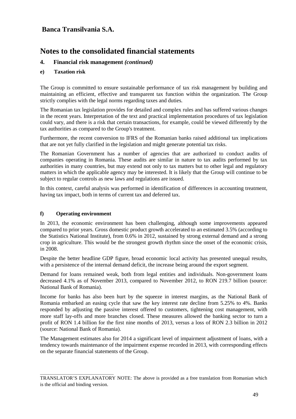## **Notes to the consolidated financial statements**

#### **4. Financial risk management** *(continued)*

#### **e) Taxation risk**

The Group is committed to ensure sustainable performance of tax risk management by building and maintaining an efficient, effective and transparent tax function within the organization. The Group strictly complies with the legal norms regarding taxes and duties.

The Romanian tax legislation provides for detailed and complex rules and has suffered various changes in the recent years. Interpretation of the text and practical implementation procedures of tax legislation could vary, and there is a risk that certain transactions, for example, could be viewed differently by the tax authorities as compared to the Group's treatment.

Furthermore, the recent conversion to IFRS of the Romanian banks raised additional tax implications that are not yet fully clarified in the legislation and might generate potential tax risks.

The Romanian Government has a number of agencies that are authorized to conduct audits of companies operating in Romania. These audits are similar in nature to tax audits performed by tax authorities in many countries, but may extend not only to tax matters but to other legal and regulatory matters in which the applicable agency may be interested. It is likely that the Group will continue to be subject to regular controls as new laws and regulations are issued.

In this context, careful analysis was performed in identification of differences in accounting treatment, having tax impact, both in terms of current tax and deferred tax.

#### **f) Operating environment**

\_\_\_\_\_\_\_\_\_\_\_\_\_\_\_\_\_\_\_\_\_\_\_\_\_\_\_\_\_\_\_\_\_\_\_\_\_

In 2013, the economic environment has been challenging, although some improvements appeared compared to prior years. Gross domestic product growth accelerated to an estimated 3.5% (according to the Statistics National Institute), from 0.6% in 2012, sustained by strong external demand and a strong crop in agriculture. This would be the strongest growth rhythm since the onset of the economic crisis, in 2008.

Despite the better headline GDP figure, broad economic local activity has presented unequal results, with a persistence of the internal demand deficit, the increase being around the export segment.

Demand for loans remained weak, both from legal entities and individuals. Non-government loans decreased 4.1% as of November 2013, compared to November 2012, to RON 219.7 billion (source: National Bank of Romania).

Income for banks has also been hurt by the squeeze in interest margins, as the National Bank of Romania embarked an easing cycle that saw the key interest rate decline from 5.25% to 4%. Banks responded by adjusting the passive interest offered to customers, tightening cost management, with more staff lay-offs and more branches closed. These measures allowed the banking sector to turn a profit of RON 1.4 billion for the first nine months of 2013, versus a loss of RON 2.3 billion in 2012 (source: National Bank of Romania).

The Management estimates also for 2014 a significant level of impairment adjustment of loans, with a tendency towards maintenance of the impairment expense recorded in 2013, with corresponding effects on the separate financial statements of the Group.

TRANSLATOR'S EXPLANATORY NOTE: The above is provided as a free translation from Romanian which is the official and binding version.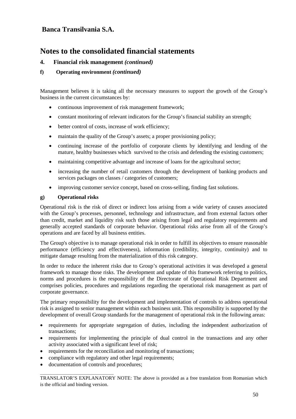## **Notes to the consolidated financial statements**

#### **4. Financial risk management** *(continued)*

#### **f) Operating environment** *(continued)*

Management believes it is taking all the necessary measures to support the growth of the Group's business in the current circumstances by:

- continuous improvement of risk management framework;
- constant monitoring of relevant indicators for the Group's financial stability an strength;
- better control of costs, increase of work efficiency;
- maintain the quality of the Group's assets; a proper provisioning policy;
- continuing increase of the portfolio of corporate clients by identifying and lending of the mature, healthy businesses which survived to the crisis and defending the existing customers;
- maintaining competitive advantage and increase of loans for the agricultural sector;
- increasing the number of retail customers through the development of banking products and services packages on classes / categories of customers;
- improving customer service concept, based on cross-selling, finding fast solutions.

#### **g) Operational risks**

Operational risk is the risk of direct or indirect loss arising from a wide variety of causes associated with the Group's processes, personnel, technology and infrastructure, and from external factors other than credit, market and liquidity risk such those arising from legal and regulatory requirements and generally accepted standards of corporate behavior. Operational risks arise from all of the Group's operations and are faced by all business entities.

The Group's objective is to manage operational risk in order to fulfill its objectives to ensure reasonable performance (efficiency and effectiveness), information (credibility, integrity, continuity) and to mitigate damage resulting from the materialization of this risk category.

In order to reduce the inherent risks due to Group's operational activities it was developed a general framework to manage those risks. The development and update of this framework referring to politics, norms and procedures is the responsibility of the Directorate of Operational Risk Department and comprises policies, procedures and regulations regarding the operational risk management as part of corporate governance.

The primary responsibility for the development and implementation of controls to address operational risk is assigned to senior management within each business unit. This responsibility is supported by the development of overall Group standards for the management of operational risk in the following areas:

- requirements for appropriate segregation of duties, including the independent authorization of transactions;
- requirements for implementing the principle of dual control in the transactions and any other activity associated with a significant level of risk;
- requirements for the reconciliation and monitoring of transactions;
- compliance with regulatory and other legal requirements;
- documentation of controls and procedures;

\_\_\_\_\_\_\_\_\_\_\_\_\_\_\_\_\_\_\_\_\_\_\_\_\_\_\_\_\_\_\_\_\_\_\_\_\_ TRANSLATOR'S EXPLANATORY NOTE: The above is provided as a free translation from Romanian which is the official and binding version.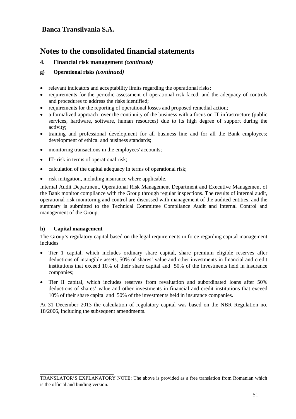## **Notes to the consolidated financial statements**

#### **4. Financial risk management** *(continued)*

#### **g) Operational risks** *(continued)*

- relevant indicators and acceptability limits regarding the operational risks;
- requirements for the periodic assessment of operational risk faced, and the adequacy of controls and procedures to address the risks identified;
- requirements for the reporting of operational losses and proposed remedial action;
- a formalized approach over the continuity of the business with a focus on IT infrastructure (public services, hardware, software, human resources) due to its high degree of support during the activity;
- training and professional development for all business line and for all the Bank employees; development of ethical and business standards;
- monitoring transactions in the employees' accounts;
- IT- risk in terms of operational risk;
- calculation of the capital adequacy in terms of operational risk;
- risk mitigation, including insurance where applicable.

Internal Audit Department, Operational Risk Management Department and Executive Management of the Bank monitor compliance with the Group through regular inspections. The results of internal audit, operational risk monitoring and control are discussed with management of the audited entities, and the summary is submitted to the Technical Committee Compliance Audit and Internal Control and management of the Group.

#### **h) Capital management**

\_\_\_\_\_\_\_\_\_\_\_\_\_\_\_\_\_\_\_\_\_\_\_\_\_\_\_\_\_\_\_\_\_\_\_\_\_

The Group's regulatory capital based on the legal requirements in force regarding capital management includes

- Tier 1 capital, which includes ordinary share capital, share premium eligible reserves after deductions of intangible assets, 50% of shares' value and other investments in financial and credit institutions that exceed 10% of their share capital and 50% of the investments held in insurance companies;
- Tier II capital, which includes reserves from revaluation and subordinated loans after 50% deductions of shares' value and other investments in financial and credit institutions that exceed 10% of their share capital and 50% of the investments held in insurance companies.

At 31 December 2013 the calculation of regulatory capital was based on the NBR Regulation no. 18/2006, including the subsequent amendments.

TRANSLATOR'S EXPLANATORY NOTE: The above is provided as a free translation from Romanian which is the official and binding version.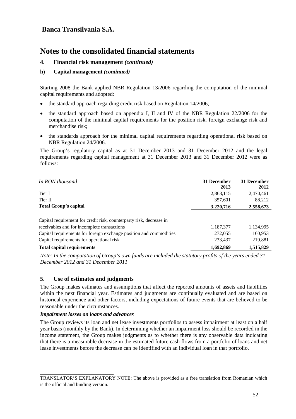## **Notes to the consolidated financial statements**

#### **4. Financial risk management** *(continued)*

#### **h) Capital management** *(continued)*

Starting 2008 the Bank applied NBR Regulation 13/2006 regarding the computation of the minimal capital requirements and adopted:

- the standard approach regarding credit risk based on Regulation 14/2006;
- the standard approach based on appendix I, II and IV of the NBR Regulation 22/2006 for the computation of the minimal capital requirements for the position risk, foreign exchange risk and merchandise risk;
- the standards approach for the minimal capital requirements regarding operational risk based on NBR Regulation 24/2006.

The Group's regulatory capital as at 31 December 2013 and 31 December 2012 and the legal requirements regarding capital management at 31 December 2013 and 31 December 2012 were as follows:

| In RON thousand                                                                                                    | 31 December<br>2013 | 31 December<br>2012 |
|--------------------------------------------------------------------------------------------------------------------|---------------------|---------------------|
| Tier I                                                                                                             | 2,863,115           | 2,470,461           |
| Tier II                                                                                                            | 357,601             | 88,212              |
| <b>Total Group's capital</b>                                                                                       | 3,220,716           | 2,558,673           |
| Capital requirement for credit risk, counterparty risk, decrease in<br>receivables and for incomplete transactions | 1,187,377           | 1,134,995           |
| Capital requirements for foreign exchange position and commodities                                                 | 272,055             | 160,953             |
| Capital requirements for operational risk                                                                          | 233,437             | 219,881             |
| <b>Total capital requirements</b>                                                                                  | 1,692,869           | 1,515,829           |

*Note: In the computation of Group's own funds are included the statutory profits of the years ended 31 December 2012 and 31 December 2011*

#### **5. Use of estimates and judgments**

The Group makes estimates and assumptions that affect the reported amounts of assets and liabilities within the next financial year. Estimates and judgments are continually evaluated and are based on historical experience and other factors, including expectations of future events that are believed to be reasonable under the circumstances.

#### *Impairment losses on loans and advances*

\_\_\_\_\_\_\_\_\_\_\_\_\_\_\_\_\_\_\_\_\_\_\_\_\_\_\_\_\_\_\_\_\_\_\_\_\_

The Group reviews its loan and net lease investments portfolios to assess impairment at least on a half year basis (monthly by the Bank). In determining whether an impairment loss should be recorded in the income statement, the Group makes judgments as to whether there is any observable data indicating that there is a measurable decrease in the estimated future cash flows from a portfolio of loans and net lease investments before the decrease can be identified with an individual loan in that portfolio.

TRANSLATOR'S EXPLANATORY NOTE: The above is provided as a free translation from Romanian which is the official and binding version.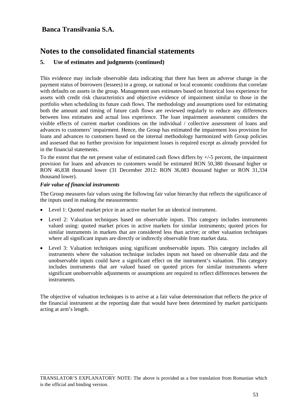## **Notes to the consolidated financial statements**

#### **5. Use of estimates and judgments (continued)**

This evidence may include observable data indicating that there has been an adverse change in the payment status of borrowers (lessees) in a group, or national or local economic conditions that correlate with defaults on assets in the group. Management uses estimates based on historical loss experience for assets with credit risk characteristics and objective evidence of impairment similar to those in the portfolio when scheduling its future cash flows. The methodology and assumptions used for estimating both the amount and timing of future cash flows are reviewed regularly to reduce any differences between loss estimates and actual loss experience. The loan impairment assessment considers the visible effects of current market conditions on the individual / collective assessment of loans and advances to customers' impairment. Hence, the Group has estimated the impairment loss provision for loans and advances to customers based on the internal methodology harmonized with Group policies and assessed that no further provision for impairment losses is required except as already provided for in the financial statements.

To the extent that the net present value of estimated cash flows differs by +/-5 percent, the impairment provision for loans and advances to customers would be estimated RON 50,380 thousand higher or RON 46,838 thousand lower (31 December 2012: RON 36,083 thousand higher or RON 31,334 thousand lower).

#### *Fair value of financial instruments*

\_\_\_\_\_\_\_\_\_\_\_\_\_\_\_\_\_\_\_\_\_\_\_\_\_\_\_\_\_\_\_\_\_\_\_\_\_

The Group measures fair values using the following fair value hierarchy that reflects the significance of the inputs used in making the measurements:

- Level 1: Quoted market price in an active market for an identical instrument.
- Level 2: Valuation techniques based on observable inputs. This category includes instruments valued using: quoted market prices in active markets for similar instruments; quoted prices for similar instruments in markets that are considered less than active; or other valuation techniques where all significant inputs are directly or indirectly observable from market data.
- Level 3: Valuation techniques using significant unobservable inputs. This category includes all instruments where the valuation technique includes inputs not based on observable data and the unobservable inputs could have a significant effect on the instrument's valuation. This category includes instruments that are valued based on quoted prices for similar instruments where significant unobservable adjustments or assumptions are required to reflect differences between the instruments.

The objective of valuation techniques is to arrive at a fair value determination that reflects the price of the financial instrument at the reporting date that would have been determined by market participants acting at arm's length.

TRANSLATOR'S EXPLANATORY NOTE: The above is provided as a free translation from Romanian which is the official and binding version.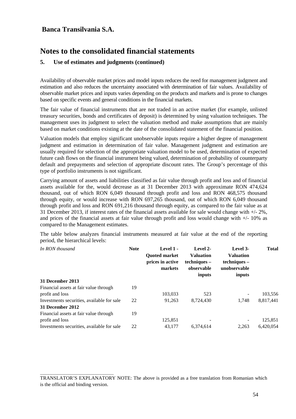\_\_\_\_\_\_\_\_\_\_\_\_\_\_\_\_\_\_\_\_\_\_\_\_\_\_\_\_\_\_\_\_\_\_\_\_\_

## **Notes to the consolidated financial statements**

#### **5. Use of estimates and judgments (continued)**

Availability of observable market prices and model inputs reduces the need for management judgment and estimation and also reduces the uncertainty associated with determination of fair values. Availability of observable market prices and inputs varies depending on the products and markets and is prone to changes based on specific events and general conditions in the financial markets.

The fair value of financial instruments that are not traded in an active market (for example, unlisted treasury securities, bonds and certificates of deposit) is determined by using valuation techniques. The management uses its judgment to select the valuation method and make assumptions that are mainly based on market conditions existing at the date of the consolidated statement of the financial position.

Valuation models that employ significant unobservable inputs require a higher degree of management judgment and estimation in determination of fair value. Management judgment and estimation are usually required for selection of the appropriate valuation model to be used, determination of expected future cash flows on the financial instrument being valued, determination of probability of counterparty default and prepayments and selection of appropriate discount rates. The Group's percentage of this type of portfolio instruments is not significant.

Carrying amount of assets and liabilities classified as fair value through profit and loss and of financial assets available for the, would decrease as at 31 December 2013 with approximate RON 474,624 thousand, out of which RON 6,049 thousand through profit and loss and RON 468,575 thousand through equity, or would increase with RON 697,265 thousand, out of which RON 6,049 thousand through profit and loss and RON 691,216 thousand through equity, as compared to the fair value as at 31 December 2013, if interest rates of the financial assets available for sale would change with +/- 2%, and prices of the financial assets at fair value through profit and loss would change with +/- 10% as compared to the Management estimates.

The table below analyzes financial instruments measured at fair value at the end of the reporting period, the hierarchical levels:

| In RON thousand                            | <b>Note</b> | Level 1 -<br><b>Ouoted market</b><br>prices in active<br>markets | Level 2-<br><b>Valuation</b><br>$techniques -$<br>observable<br>inputs | Level 3-<br><b>Valuation</b><br>$techniques -$<br>unobservable<br>inputs | <b>Total</b> |
|--------------------------------------------|-------------|------------------------------------------------------------------|------------------------------------------------------------------------|--------------------------------------------------------------------------|--------------|
| 31 December 2013                           |             |                                                                  |                                                                        |                                                                          |              |
| Financial assets at fair value through     | 19          |                                                                  |                                                                        |                                                                          |              |
| profit and loss                            |             | 103.033                                                          | 523                                                                    |                                                                          | 103,556      |
| Investments securities, available for sale | 22          | 91,263                                                           | 8,724,430                                                              | 1.748                                                                    | 8,817,441    |
| 31 December 2012                           |             |                                                                  |                                                                        |                                                                          |              |
| Financial assets at fair value through     | 19          |                                                                  |                                                                        |                                                                          |              |
| profit and loss                            |             | 125,851                                                          |                                                                        |                                                                          | 125,851      |
| Investments securities, available for sale | 22          | 43.177                                                           | 6,374,614                                                              | 2.263                                                                    | 6,420,054    |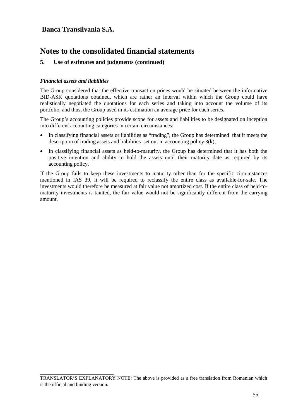## **Notes to the consolidated financial statements**

#### **5. Use of estimates and judgments (continued)**

#### *Financial assets and liabilities*

\_\_\_\_\_\_\_\_\_\_\_\_\_\_\_\_\_\_\_\_\_\_\_\_\_\_\_\_\_\_\_\_\_\_\_\_\_

The Group considered that the effective transaction prices would be situated between the informative BID-ASK quotations obtained, which are rather an interval within which the Group could have realistically negotiated the quotations for each series and taking into account the volume of its portfolio, and thus, the Group used in its estimation an average price for each series.

The Group's accounting policies provide scope for assets and liabilities to be designated on inception into different accounting categories in certain circumstances:

- In classifying financial assets or liabilities as "trading", the Group has determined that it meets the description of trading assets and liabilities set out in accounting policy 3(k);
- In classifying financial assets as held-to-maturity, the Group has determined that it has both the positive intention and ability to hold the assets until their maturity date as required by its accounting policy.

If the Group fails to keep these investments to maturity other than for the specific circumstances mentioned in IAS 39, it will be required to reclassify the entire class as available-for-sale. The investments would therefore be measured at fair value not amortized cost. If the entire class of held-tomaturity investments is tainted, the fair value would not be significantly different from the carrying amount.

TRANSLATOR'S EXPLANATORY NOTE: The above is provided as a free translation from Romanian which is the official and binding version.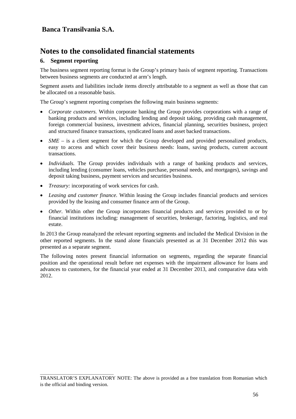## **Notes to the consolidated financial statements**

#### **6. Segment reporting**

The business segment reporting format is the Group's primary basis of segment reporting. Transactions between business segments are conducted at arm's length.

Segment assets and liabilities include items directly attributable to a segment as well as those that can be allocated on a reasonable basis.

The Group's segment reporting comprises the following main business segments:

- *Corporate customers.* Within corporate banking the Group provides corporations with a range of banking products and services, including lending and deposit taking, providing cash management, foreign commercial business, investment advices, financial planning, securities business, project and structured finance transactions, syndicated loans and asset backed transactions.
- *SME* is a client segment for which the Group developed and provided personalized products, easy to access and which cover their business needs: loans, saving products, current account transactions.
- *Individuals*. The Group provides individuals with a range of banking products and services, including lending (consumer loans, vehicles purchase, personal needs, and mortgages), savings and deposit taking business, payment services and securities business.
- *Treasury:* incorporating of work services for cash.

\_\_\_\_\_\_\_\_\_\_\_\_\_\_\_\_\_\_\_\_\_\_\_\_\_\_\_\_\_\_\_\_\_\_\_\_\_

- *Leasing and customer finance.* Within leasing the Group includes financial products and services provided by the leasing and consumer finance arm of the Group.
- *Other.* Within other the Group incorporates financial products and services provided to or by financial institutions including: management of securities, brokerage, factoring, logistics, and real estate.

In 2013 the Group reanalyzed the relevant reporting segments and included the Medical Division in the other reported segments. In the stand alone financials presented as at 31 December 2012 this was presented as a separate segment.

The following notes present financial information on segments, regarding the separate financial position and the operational result before net expenses with the impairment allowance for loans and advances to customers, for the financial year ended at 31 December 2013, and comparative data with 2012.

TRANSLATOR'S EXPLANATORY NOTE: The above is provided as a free translation from Romanian which is the official and binding version.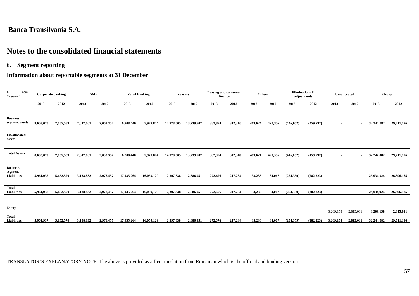## **Notes to the consolidated financial statements**

**6. Segment reporting**

\_\_\_\_\_\_\_\_\_\_\_\_\_\_\_\_\_\_\_\_\_\_\_\_\_\_\_\_\_\_\_\_\_\_\_\_\_

### **Information about reportable segments at 31 December**

| <b>RON</b><br>In<br>thousand                     |           | <b>Corporate banking</b> | <b>SME</b> |           | <b>Retail Banking</b> |            | <b>Treasury</b> |            | Leasing and consumer<br>finance |         | <b>Others</b> |         |            | Eliminations &<br>adjustments | <b>Un-allocated</b> |                |            | Group      |
|--------------------------------------------------|-----------|--------------------------|------------|-----------|-----------------------|------------|-----------------|------------|---------------------------------|---------|---------------|---------|------------|-------------------------------|---------------------|----------------|------------|------------|
|                                                  | 2013      | 2012                     | 2013       | 2012      | 2013                  | 2012       | 2013            | 2012       | 2013                            | 2012    | 2013          | 2012    | 2013       | 2012                          | 2013                | 2012           | 2013       | 2012       |
| <b>Business</b><br>segment assets                | 8,603,070 | 7,655,589                | 2,047,601  | 2,063,357 | 6,208,440             | 5,979,874  | 14,978,505      | 13,739,502 | 382,894                         | 312,310 | 469,624       | 420,356 | (446, 052) | (459,792)                     | $\blacksquare$      | $\blacksquare$ | 32,244,082 | 29,711,196 |
| <b>Un-allocated</b><br>assets                    |           |                          |            |           |                       |            |                 |            |                                 |         |               |         |            |                               |                     |                |            |            |
| <b>Total Assets</b>                              | 8,603,070 | 7,655,589                | 2,047,601  | 2,063,357 | 6,208,440             | 5,979,874  | 14,978,505      | 13,739,502 | 382,894                         | 312,310 | 469,624       | 420,356 | (446, 052) | (459,792)                     | $\blacksquare$      |                | 32,244,082 | 29,711,196 |
| <b>Business</b><br>segment<br><b>Liabilities</b> | 5,961,937 | 5,152,570                | 3,188,832  | 2,978,457 | 17,435,264            | 16,059,129 | 2,397,338       | 2,686,951  | 272,676                         | 217,234 | 33,236        | 84,067  | (254, 359) | (282, 223)                    | $\blacksquare$      | $\sim$         | 29,034,924 | 26,896,185 |
| <b>Total</b><br><b>Liabilities</b>               | 5,961,937 | 5,152,570                | 3,188,832  | 2,978,457 | 17,435,264            | 16,059,129 | 2,397,338       | 2,686,951  | 272,676                         | 217,234 | 33,236        | 84,067  | (254, 359) | (282, 223)                    | $\blacksquare$      | $\sim$         | 29,034,924 | 26,896,185 |
| Equity                                           |           |                          |            |           |                       |            |                 |            |                                 |         |               |         |            |                               | 3,209,158           | 2,815,011      | 3,209,158  | 2,815,011  |
| <b>Total</b><br><b>Liabilities</b>               | 5,961,937 | 5,152,570                | 3,188,832  | 2,978,457 | 17,435,264            | 16,059,129 | 2,397,338       | 2,686,951  | 272,676                         | 217,234 | 33,236        | 84,067  | (254, 359) | (282, 223)                    | 3,209,158           | 2,815,011      | 32,244,082 | 29,711,196 |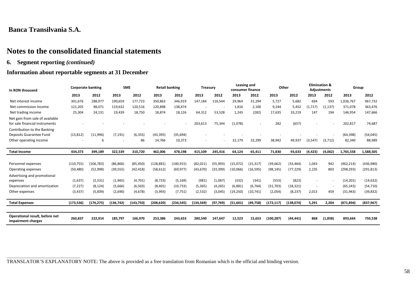\_\_\_\_\_\_\_\_\_\_\_\_\_\_\_\_\_\_\_\_\_\_\_\_\_\_\_\_\_\_\_\_\_\_\_\_\_

### **Notes to the consolidated financial statements**

**6. Segment reporting** *(continued)*

#### **Information about reportable segments at 31 December**

| In RON thousand                                                   | <b>Corporate banking</b> |            | <b>SME</b> |           | <b>Retail banking</b> |            | <b>Treasury</b> |           |           | Leasing and<br>consumer finance | Other      |           |          | <b>Elimination &amp;</b><br><b>Adjustments</b> | Group      |            |
|-------------------------------------------------------------------|--------------------------|------------|------------|-----------|-----------------------|------------|-----------------|-----------|-----------|---------------------------------|------------|-----------|----------|------------------------------------------------|------------|------------|
|                                                                   | 2013                     | 2012       | 2013       | 2012      | 2013                  | 2012       | 2013            | 2012      | 2013      | 2012                            | 2013       | 2012      | 2013     | 2012                                           | 2013       | 2012       |
| Net interest income                                               | 301,676                  | 288,977    | 190,659    | 177,723   | 350,863               | 346,919    | 147,184         | 116,544   | 29,964    | 31,294                          | 5,727      | 5,682     | 694      | 593                                            | 1,026,767  | 967,732    |
| Net commission income                                             | 121,205                  | 98,071     | 119,632    | 120,516   | 120,898               | 138,474    |                 |           | 1,816     | 2,100                           | 9,244      | 5,452     | (1,717)  | (1, 137)                                       | 371,078    | 363,476    |
| Net trading income                                                | 25,304                   | 24,131     | 19,439     | 18,750    | 18,874                | 18,126     | 64,312          | 53,528    | 1,243     | (282)                           | 17,635     | 33,219    | 147      | 194                                            | 146,954    | 147,666    |
| Net gain from sale of available<br>for sale financial instruments |                          |            |            |           |                       |            | 203,613         | 75,344    | (1,078)   |                                 | 282        | (657)     |          |                                                | 202,817    | 74,687     |
| Contribution to the Banking<br>Deposits Guarantee Fund            | (13, 812)                | (11,996)   | (7, 191)   | (6, 355)  | (43, 395)             | (35, 694)  |                 |           |           |                                 |            |           |          |                                                | (64, 398)  | (54, 045)  |
| Other operating income                                            |                          | 6          |            | 86        | 14,766                | 10,373     |                 |           | 32,179    | 32,299                          | 38,942     | 49,937    | (3,547)  | (3, 712)                                       | 82,340     | 88,989     |
| <b>Total Income</b>                                               | 434,373                  | 399,189    | 322,539    | 310,720   | 462,006               | 478,198    | 415,109         | 245,416   | 64,124    | 65,411                          | 71,830     | 93,633    | (4, 423) | (4,062)                                        | 1,765,558  | 1,588,505  |
|                                                                   |                          |            |            |           |                       |            |                 |           |           |                                 |            |           |          |                                                |            |            |
| Personnel expenses                                                | (110, 755)               | (106, 783) | (86, 866)  | (85, 450) | (128, 881)            | (140, 915) | (82, 021)       | (55, 993) | (15,072)  | (15, 317)                       | (39, 662)  | (33, 464) | 1,043    | 942                                            | (462, 214) | (436,980)  |
| Operating expenses                                                | (50, 480)                | (52,998)   | (39, 555)  | (42, 418) | (58, 612)             | (69, 977)  | (43, 670)       | (33, 399) | (10,066)  | (16, 595)                       | (98, 145)  | (77, 229) | 2,235    | 803                                            | (298, 293) | (291,813)  |
| Advertising and promotional                                       |                          |            |            |           |                       |            |                 |           |           |                                 |            |           |          |                                                |            |            |
| expenses                                                          | (1,637)                  | (2,531)    | (1, 965)   | (4,701)   | (8, 733)              | (5, 169)   | (981)           | (1,067)   | (332)     | (341)                           | (553)      | (823)     | ٠        | $\overline{\phantom{a}}$                       | (14, 201)  | (14, 632)  |
| Depreciation and amortization                                     | (7, 227)                 | (8, 124)   | (5,666)    | (6, 503)  | (8,401)               | (10, 733)  | (5, 365)        | (4, 265)  | (6, 881)  | (6, 764)                        | (31,703)   | (18, 321) | ٠        | $\overline{\phantom{a}}$                       | (65, 243)  | (54, 710)  |
| Other expenses                                                    | (3, 437)                 | (5,839)    | (2,690)    | (4, 678)  | (3,993)               | (7, 751)   | (2,532)         | (3,045)   | (19, 250) | (10, 741)                       | (2,054)    | (8, 237)  | 2,013    | 459                                            | (31, 943)  | (39, 832)  |
| <b>Total Expenses</b>                                             | (173, 536)               | (176, 275) | (136, 742) | (143,750) | (208, 620)            | (234, 545) | (134, 569)      | (97, 769) | (51,601)  | (49, 758)                       | (172, 117) | (138,074) | 5,291    | 2,204                                          | (871, 894) | (837, 967) |
|                                                                   |                          |            |            |           |                       |            |                 |           |           |                                 |            |           |          |                                                |            |            |
| Operational result, before net                                    |                          |            |            |           |                       |            |                 |           |           |                                 |            |           |          |                                                |            |            |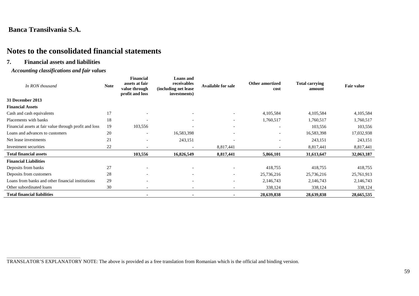\_\_\_\_\_\_\_\_\_\_\_\_\_\_\_\_\_\_\_\_\_\_\_\_\_\_\_\_\_\_\_\_\_\_\_\_\_

## **Notes to the consolidated financial statements**

#### **7. Financial assets and liabilities**

#### *Accounting classifications and fair values*

| In RON thousand                                        | <b>Note</b> | <b>Financial</b><br>assets at fair<br>value through<br>profit and loss | <b>Loans</b> and<br>receivables<br>(including net lease)<br>investments) | <b>Available for sale</b> | <b>Other amortized</b><br>cost | <b>Total carrying</b><br>amount | <b>Fair value</b> |
|--------------------------------------------------------|-------------|------------------------------------------------------------------------|--------------------------------------------------------------------------|---------------------------|--------------------------------|---------------------------------|-------------------|
| 31 December 2013                                       |             |                                                                        |                                                                          |                           |                                |                                 |                   |
| <b>Financial Assets</b>                                |             |                                                                        |                                                                          |                           |                                |                                 |                   |
| Cash and cash equivalents                              | 17          |                                                                        |                                                                          |                           | 4,105,584                      | 4,105,584                       | 4,105,584         |
| Placements with banks                                  | 18          |                                                                        | $\overline{\phantom{0}}$                                                 | $\overline{\phantom{a}}$  | 1,760,517                      | 1,760,517                       | 1,760,517         |
| Financial assets at fair value through profit and loss | 19          | 103,556                                                                |                                                                          | $\overline{\phantom{a}}$  |                                | 103,556                         | 103,556           |
| Loans and advances to customers                        | 20          | $\overline{\phantom{a}}$                                               | 16,583,398                                                               | $\overline{\phantom{a}}$  | $\overline{\phantom{a}}$       | 16,583,398                      | 17,032,938        |
| Net lease investments                                  | 21          | $\overline{\phantom{a}}$                                               | 243,151                                                                  | $\overline{\phantom{a}}$  |                                | 243,151                         | 243,151           |
| Investment securities                                  | 22          |                                                                        | $\overline{\phantom{a}}$                                                 | 8,817,441                 |                                | 8,817,441                       | 8,817,441         |
| <b>Total financial assets</b>                          |             | 103,556                                                                | 16,826,549                                                               | 8,817,441                 | 5,866,101                      | 31,613,647                      | 32,063,187        |
| <b>Financial Liabilities</b>                           |             |                                                                        |                                                                          |                           |                                |                                 |                   |
| Deposits from banks                                    | 27          | $\overline{\phantom{0}}$                                               | $\overline{\phantom{a}}$                                                 | $\overline{\phantom{a}}$  | 418,755                        | 418,755                         | 418,755           |
| Deposits from customers                                | 28          | $\overline{\phantom{0}}$                                               | $\overline{\phantom{a}}$                                                 | $\overline{\phantom{a}}$  | 25,736,216                     | 25,736,216                      | 25,761,913        |
| Loans from banks and other financial institutions      | 29          | $\overline{\phantom{0}}$                                               | $\overline{\phantom{a}}$                                                 | $\overline{\phantom{a}}$  | 2,146,743                      | 2,146,743                       | 2,146,743         |
| Other subordinated loans                               | 30          | $\overline{\phantom{a}}$                                               | $\overline{\phantom{a}}$                                                 | $\overline{\phantom{a}}$  | 338,124                        | 338,124                         | 338,124           |
| <b>Total financial liabilities</b>                     |             |                                                                        |                                                                          |                           | 28,639,838                     | 28,639,838                      | 28,665,535        |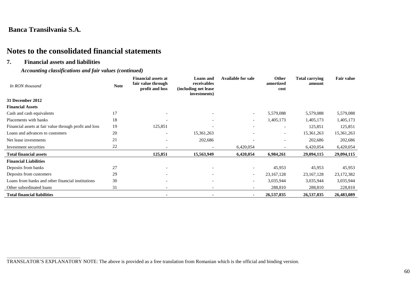## **Notes to the consolidated financial statements**

#### **7. Financial assets and liabilities**

#### *Accounting classifications and fair values (continued)*

| In RON thousand                                        | <b>Note</b> | <b>Financial assets at</b><br>fair value through<br>profit and loss | <b>Loans and</b><br>receivables<br>(including net lease<br>investments) | <b>Available for sale</b> | Other<br>amortized<br>cost | <b>Total carrying</b><br>amount | <b>Fair value</b> |
|--------------------------------------------------------|-------------|---------------------------------------------------------------------|-------------------------------------------------------------------------|---------------------------|----------------------------|---------------------------------|-------------------|
| 31 December 2012                                       |             |                                                                     |                                                                         |                           |                            |                                 |                   |
| <b>Financial Assets</b>                                |             |                                                                     |                                                                         |                           |                            |                                 |                   |
| Cash and cash equivalents                              | 17          |                                                                     |                                                                         | $\overline{\phantom{a}}$  | 5,579,088                  | 5,579,088                       | 5,579,088         |
| Placements with banks                                  | 18          |                                                                     |                                                                         | $\overline{\phantom{a}}$  | 1,405,173                  | 1,405,173                       | 1,405,173         |
| Financial assets at fair value through profit and loss | 19          | 125,851                                                             |                                                                         |                           | $\overline{\phantom{a}}$   | 125,851                         | 125,851           |
| Loans and advances to customers                        | 20          | $\overline{\phantom{a}}$                                            | 15,361,263                                                              |                           | $\overline{\phantom{a}}$   | 15,361,263                      | 15,361,263        |
| Net lease investments                                  | 21          |                                                                     | 202,686                                                                 |                           |                            | 202,686                         | 202,686           |
| Investment securities                                  | 22          |                                                                     |                                                                         | 6,420,054                 |                            | 6,420,054                       | 6,420,054         |
| <b>Total financial assets</b>                          |             | 125,851                                                             | 15,563,949                                                              | 6,420,054                 | 6,984,261                  | 29,094,115                      | 29,094,115        |
| <b>Financial Liabilities</b>                           |             |                                                                     |                                                                         |                           |                            |                                 |                   |
| Deposits from banks                                    | 27          | $\overline{\phantom{a}}$                                            | $\overline{\phantom{a}}$                                                | -                         | 45,953                     | 45,953                          | 45,953            |
| Deposits from customers                                | 29          | $\overline{\phantom{a}}$                                            | $\overline{\phantom{a}}$                                                | $\overline{\phantom{a}}$  | 23, 167, 128               | 23, 167, 128                    | 23,172,382        |
| Loans from banks and other financial institutions      | 30          |                                                                     |                                                                         | -                         | 3,035,944                  | 3,035,944                       | 3,035,944         |
| Other subordinated loans                               | 31          |                                                                     | $\overline{\phantom{a}}$                                                |                           | 288,810                    | 288,810                         | 228,810           |
| <b>Total financial liabilities</b>                     |             |                                                                     | $\blacksquare$                                                          |                           | 26,537,835                 | 26,537,835                      | 26,483,089        |

\_\_\_\_\_\_\_\_\_\_\_\_\_\_\_\_\_\_\_\_\_\_\_\_\_\_\_\_\_\_\_\_\_\_\_\_\_ TRANSLATOR'S EXPLANATORY NOTE: The above is provided as a free translation from Romanian which is the official and binding version.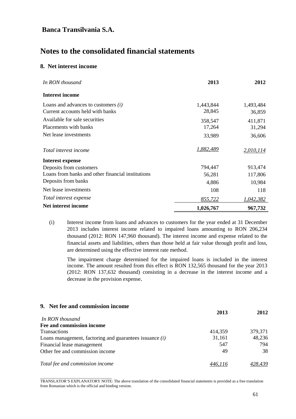## **Notes to the consolidated financial statements**

#### **8. Net interest income**

| In RON thousand                                   | 2013      | 2012             |
|---------------------------------------------------|-----------|------------------|
| <b>Interest income</b>                            |           |                  |
| Loans and advances to customers $(i)$             | 1,443,844 | 1,493,484        |
| Current accounts held with banks                  | 28,845    | 36,859           |
| Available for sale securities                     | 358,547   | 411,871          |
| Placements with banks                             | 17,264    | 31,294           |
| Net lease investments                             | 33,989    | 36,606           |
| Total interest income                             | 1,882,489 | 2,010,114        |
| <b>Interest expense</b>                           |           |                  |
| Deposits from customers                           | 794,447   | 913,474          |
| Loans from banks and other financial institutions | 56,281    | 117,806          |
| Deposits from banks                               | 4,886     | 10,984           |
| Net lease investments                             | 108       | 118              |
| Total interest expense                            | 855,722   | <u>1,042,382</u> |
| Net interest income                               | 1,026,767 | 967,732          |

(i) Interest income from loans and advances to customers for the year ended at 31 December 2013 includes interest income related to impaired loans amounting to RON 206,234 thousand (2012: RON 147,960 thousand). The interest income and expense related to the financial assets and liabilities, others than those held at fair value through profit and loss, are determined using the effective interest rate method.

The impairment charge determined for the impaired loans is included in the interest income. The amount resulted from this effect is RON 132,565 thousand for the year 2013 (2012: RON 137,632 thousand) consisting in a decrease in the interest income and a decrease in the provision expense.

#### **9. Net fee and commission income**

|                                                           | 2013    | 2012    |
|-----------------------------------------------------------|---------|---------|
| In RON thousand                                           |         |         |
| Fee and commission income                                 |         |         |
| <b>Transactions</b>                                       | 414,359 | 379,371 |
| Loans management, factoring and guarantees issuance $(i)$ | 31,161  | 48,236  |
| Financial lease management                                | 547     | 794     |
| Other fee and commission income                           | 49      | 38      |
| Total fee and commission income                           | 446.116 | 428.439 |

\_\_\_\_\_\_\_\_\_\_\_\_\_\_\_\_\_\_\_\_\_\_\_\_\_\_\_\_\_\_\_\_\_\_\_\_ TRANSLATOR'S EXPLANATORY NOTE: The above translation of the consolidated financial statements is provided as a free translation from Romanian which is the official and binding version.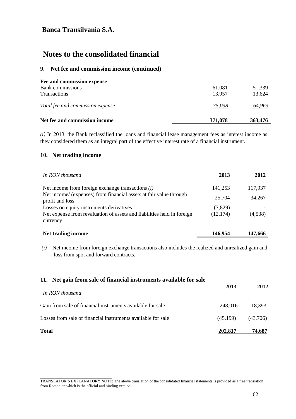## **Notes to the consolidated financial**

#### **9. Net fee and commission income (continued)**

| Net fee and commission income                                         | 371,078          | 363,476          |
|-----------------------------------------------------------------------|------------------|------------------|
| Total fee and commission expense                                      | 75,038           | 64,963           |
| Fee and commission expense<br>Bank commissions<br><b>Transactions</b> | 61,081<br>13,957 | 51.339<br>13,624 |

*(i)* In 2013, the Bank reclassified the loans and financial lease management fees as interest income as they considered them as an integral part of the effective interest rate of a financial instrument.

#### **10. Net trading income**

\_\_\_\_\_\_\_\_\_\_\_\_\_\_\_\_\_\_\_\_\_\_\_\_\_\_\_\_\_\_\_\_\_\_\_\_

| In RON thousand                                                                       | 2013      | 2012    |
|---------------------------------------------------------------------------------------|-----------|---------|
| Net income from foreign exchange transactions $(i)$                                   | 141,253   | 117,937 |
| Net income/ (expenses) from financial assets at fair value through<br>profit and loss | 25,704    | 34,267  |
| Losses on equity instruments derivatives                                              | (7,829)   |         |
| Net expense from revaluation of assets and liabilities held in foreign<br>currency    | (12, 174) | (4,538) |
| Net trading income                                                                    | 146,954   | 147.666 |

*(i)* Net income from foreign exchange transactions also includes the realized and unrealized gain and loss from spot and forward contracts.

| 11. Net gain from sale of financial instruments available for sale | 2013     | 2012     |
|--------------------------------------------------------------------|----------|----------|
| In RON thousand                                                    |          |          |
| Gain from sale of financial instruments available for sale         | 248,016  | 118.393  |
| Losses from sale of financial instruments available for sale       | (45,199) | (43,706) |
| <b>Total</b>                                                       | 202,817  | 74.687   |

TRANSLATOR'S EXPLANATORY NOTE: The above translation of the consolidated financial statements is provided as a free translation from Romanian which is the official and binding version.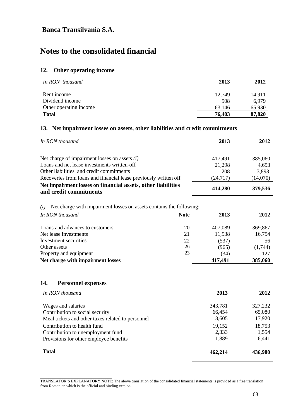# **Notes to the consolidated financial**

### **12. Other operating income**

| In RON thousand        | 2013   | 2012   |
|------------------------|--------|--------|
| Rent income            | 12.749 | 14,911 |
| Dividend income        | 508    | 6,979  |
| Other operating income | 63.146 | 65,930 |
| <b>Total</b>           | 76,403 | 87,820 |

#### **13. Net impairment losses on assets, other liabilities and credit commitments**

| In RON thousand                                                                        | 2013     | 2012     |
|----------------------------------------------------------------------------------------|----------|----------|
| Net charge of impairment losses on assets $(i)$                                        | 417,491  | 385,060  |
| Loans and net lease investments written-off                                            | 21,298   | 4,653    |
| Other liabilities and credit commitments                                               | 208      | 3,893    |
| Recoveries from loans and financial lease previously written off                       | (24,717) | (14,070) |
| Net impairment losses on financial assets, other liabilities<br>and credit commitments | 414,280  | 379,536  |

*(i)* Net charge with impairment losses on assets contains the following:

| In RON thousand<br><b>Note</b>        | 2013    | 2012    |
|---------------------------------------|---------|---------|
| Loans and advances to customers<br>20 | 407,089 | 369,867 |
| Net lease investments<br>21           | 11,938  | 16,754  |
| Investment securities<br>22           | (537)   | 56      |
| 26<br>Other assets                    | (965)   | (1,744) |
| 23<br>Property and equipment          | (34)    | 127     |
| Net charge with impairment losses     | 417,491 | 385,060 |

#### **14. Personnel expenses**

\_\_\_\_\_\_\_\_\_\_\_\_\_\_\_\_\_\_\_\_\_\_\_\_\_\_\_\_\_\_\_\_\_\_\_\_

| In RON thousand                                   | 2013    | 2012    |
|---------------------------------------------------|---------|---------|
| Wages and salaries                                | 343,781 | 327,232 |
| Contribution to social security                   | 66,454  | 65,080  |
| Meal tickets and other taxes related to personnel | 18,605  | 17,920  |
| Contribution to health fund                       | 19,152  | 18,753  |
| Contribution to unemployment fund                 | 2,333   | 1,554   |
| Provisions for other employee benefits            | 11,889  | 6,441   |
| <b>Total</b>                                      | 462,214 | 436,980 |

TRANSLATOR'S EXPLANATORY NOTE: The above translation of the consolidated financial statements is provided as a free translation from Romanian which is the official and binding version.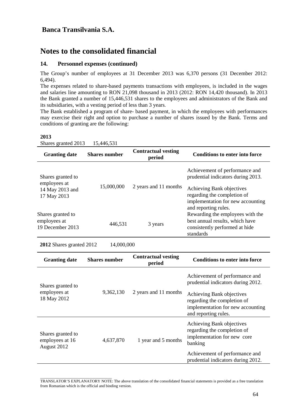## **Notes to the consolidated financial**

#### **14. Personnel expenses (continued)**

The Group's number of employees at 31 December 2013 was 6,370 persons (31 December 2012: 6,494).

The expenses related to share-based payments transactions with employees, is included in the wages and salaries line amounting to RON 21,098 thousand in 2013 (2012: RON 14,420 thousand). In 2013 the Bank granted a number of 15,446,531 shares to the employees and administrators of the Bank and its subsidiaries, with a vesting period of less than 3 years.

The Bank established a program of share- based payment, in which the employees with performances may exercise their right and option to purchase a number of shares issued by the Bank. Terms and conditions of granting are the following:

#### **2013**

Shares granted 2013 15,446,531

| <b>Granting date</b>                           | <b>Shares number</b> | <b>Contractual vesting</b><br>period | <b>Conditions to enter into force</b>                                |
|------------------------------------------------|----------------------|--------------------------------------|----------------------------------------------------------------------|
| Shares granted to                              |                      |                                      | Achievement of performance and<br>prudential indicators during 2013. |
| employees at<br>14 May 2013 and<br>17 May 2013 | 15,000,000           | 2 years and 11 months                | Achieving Bank objectives<br>regarding the completion of             |
|                                                |                      |                                      | implementation for new accounting<br>and reporting rules.            |
| Shares granted to<br>employees at              | 446,531              | 3 years                              | Rewarding the employees with the<br>best annual results, which have  |
| 19 December 2013                               |                      |                                      | consistently performed at hide<br>standards                          |

**2012** Shares granted 2012 14,000,000

\_\_\_\_\_\_\_\_\_\_\_\_\_\_\_\_\_\_\_\_\_\_\_\_\_\_\_\_\_\_\_\_\_\_\_\_

| <b>Granting date</b>                                | <b>Shares number</b>             | <b>Contractual vesting</b><br>period | <b>Conditions to enter into force</b>                                                                                 |
|-----------------------------------------------------|----------------------------------|--------------------------------------|-----------------------------------------------------------------------------------------------------------------------|
| Shares granted to                                   |                                  |                                      | Achievement of performance and<br>prudential indicators during 2012.                                                  |
| employees at<br>18 May 2012                         | 9,362,130                        | 2 years and 11 months                | Achieving Bank objectives<br>regarding the completion of<br>implementation for new accounting<br>and reporting rules. |
| Shares granted to<br>employees at 16<br>August 2012 | 1 year and 5 months<br>4,637,870 |                                      | Achieving Bank objectives<br>regarding the completion of<br>implementation for new core<br>banking                    |
|                                                     |                                  |                                      | Achievement of performance and<br>prudential indicators during 2012.                                                  |

TRANSLATOR'S EXPLANATORY NOTE: The above translation of the consolidated financial statements is provided as a free translation from Romanian which is the official and binding version.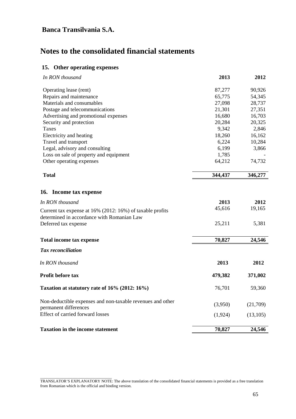# **Notes to the consolidated financial statements**

### **15. Other operating expenses**

\_\_\_\_\_\_\_\_\_\_\_\_\_\_\_\_\_\_\_\_\_\_\_\_\_\_\_\_\_\_\_\_\_\_\_\_

| In RON thousand                                                                                         | 2013    | 2012      |
|---------------------------------------------------------------------------------------------------------|---------|-----------|
| Operating lease (rent)                                                                                  | 87,277  | 90,926    |
| Repairs and maintenance                                                                                 | 65,775  | 54,345    |
| Materials and consumables                                                                               | 27,098  | 28,737    |
| Postage and telecommunications                                                                          | 21,301  | 27,351    |
| Advertising and promotional expenses                                                                    | 16,680  | 16,703    |
| Security and protection                                                                                 | 20,284  | 20,325    |
| <b>Taxes</b>                                                                                            | 9,342   | 2,846     |
| Electricity and heating                                                                                 | 18,260  | 16,162    |
| Travel and transport                                                                                    | 6,224   | 10,284    |
| Legal, advisory and consulting                                                                          | 6,199   | 3,866     |
| Loss on sale of property and equipment                                                                  | 1,785   |           |
| Other operating expenses                                                                                | 64,212  | 74,732    |
| <b>Total</b>                                                                                            | 344,437 | 346,277   |
| 16. Income tax expense                                                                                  |         |           |
| In RON thousand                                                                                         | 2013    | 2012      |
| Current tax expense at 16% (2012: 16%) of taxable profits<br>determined in accordance with Romanian Law | 45,616  | 19,165    |
| Deferred tax expense                                                                                    | 25,211  | 5,381     |
| <b>Total income tax expense</b>                                                                         | 70,827  | 24,546    |
| <b>Tax</b> reconciliation                                                                               |         |           |
| In RON thousand                                                                                         | 2013    | 2012      |
| Profit before tax                                                                                       | 479,382 | 371,002   |
| Taxation at statutory rate of 16% (2012: 16%)                                                           | 76,701  | 59,360    |
| Non-deductible expenses and non-taxable revenues and other<br>permanent differences                     | (3,950) | (21,709)  |
| <b>Effect of carried forward losses</b>                                                                 | (1,924) | (13, 105) |
| <b>Taxation in the income statement</b>                                                                 | 70,827  | 24,546    |

TRANSLATOR'S EXPLANATORY NOTE: The above translation of the consolidated financial statements is provided as a free translation from Romanian which is the official and binding version.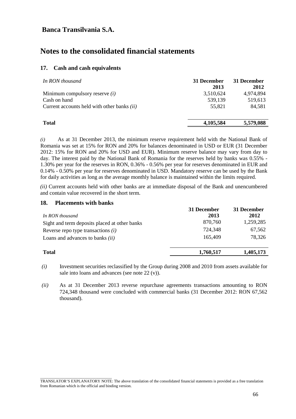## **Notes to the consolidated financial statements**

#### **17. Cash and cash equivalents**

| 31 December<br>2013 | 31 December<br>2012 |
|---------------------|---------------------|
| 3,510,624           | 4,974,894           |
| 539,139             | 519,613             |
| 55.821              | 84,581              |
|                     | 5,579,088           |
|                     | 4,105,584           |

*(i)* As at 31 December 2013, the minimum reserve requirement held with the National Bank of Romania was set at 15% for RON and 20% for balances denominated in USD or EUR (31 December 2012: 15% for RON and 20% for USD and EUR). Minimum reserve balance may vary from day to day. The interest paid by the National Bank of Romania for the reserves held by banks was 0.55% - 1.30% per year for the reserves in RON, 0.36% - 0.56% per year for reserves denominated in EUR and 0.14% - 0.50% per year for reserves denominated in USD. Mandatory reserve can be used by the Bank for daily activities as long as the average monthly balance is maintained within the limits required.

*(ii)* Current accounts held with other banks are at immediate disposal of the Bank and unencumbered and contain value recovered in the short term.

#### **18. Placements with banks**

|                                               | 31 December | 31 December |
|-----------------------------------------------|-------------|-------------|
| In RON thousand                               | 2013        | 2012        |
| Sight and term deposits placed at other banks | 870,760     | 1,259,285   |
| Reverse repo type transactions $(i)$          | 724,348     | 67,562      |
| Loans and advances to banks $(ii)$            | 165,409     | 78,326      |
|                                               |             |             |
| <b>Total</b>                                  | 1,760,517   | 1,405,173   |
|                                               |             |             |

*(i)* Investment securities reclassified by the Group during 2008 and 2010 from assets available for sale into loans and advances (see note 22 (v)).

*(ii)* As at 31 December 2013 reverse repurchase agreements transactions amounting to RON 724,348 thousand were concluded with commercial banks (31 December 2012: RON 67,562 thousand).

\_\_\_\_\_\_\_\_\_\_\_\_\_\_\_\_\_\_\_\_\_\_\_\_\_\_\_\_\_\_\_\_\_\_\_\_ TRANSLATOR'S EXPLANATORY NOTE: The above translation of the consolidated financial statements is provided as a free translation from Romanian which is the official and binding version.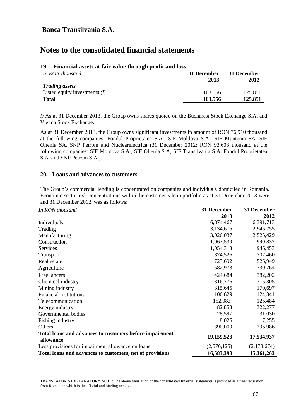## **Notes to the consolidated financial statements**

#### **19. Financial assets at fair value through profit and loss**

| In RON thousand                 | 31 December<br>2013 | 31 December<br>2012 |
|---------------------------------|---------------------|---------------------|
| <b>Trading assets</b>           |                     |                     |
| Listed equity investments $(i)$ | 103.556             | 125.851             |
| <b>Total</b>                    | 103.556             | 125,851             |

*i)* As at 31 December 2013, the Group owns shares quoted on the Bucharest Stock Exchange S.A. and Vienna Stock Exchange.

As at 31 December 2013, the Group owns significant investments in amount of RON 76,910 thousand at the following companies: Fondul Proprietatea S.A., SIF Moldova S.A., SIF Muntenia SA, SIF Oltenia SA, SNP Petrom and Nuclearelectrica (31 December 2012: RON 93,608 thousand at the following companies: SIF Moldova S.A., SIF Oltenia S.A, SIF Transilvania S.A, Fondul Proprietatea S.A. and SNP Petrom S.A.)

#### **20. Loans and advances to customers**

The Group's commercial lending is concentrated on companies and individuals domiciled in Romania. Economic sector risk concentrations within the customer's loan portfolio as at 31 December 2013 were and 31 December 2012, was as follows:

| In RON thousand                                                      | 31 December | 31 December |
|----------------------------------------------------------------------|-------------|-------------|
|                                                                      | 2013        | 2012        |
| Individuals                                                          | 6,874,467   | 6,391,713   |
| Trading                                                              | 3,134,675   | 2,945,755   |
| Manufacturing                                                        | 3,026,037   | 2,525,429   |
| Construction                                                         | 1,063,539   | 990,837     |
| Services                                                             | 1,054,313   | 946,453     |
| Transport                                                            | 874,526     | 702,460     |
| Real estate                                                          | 723,692     | 526,949     |
| Agriculture                                                          | 582,973     | 730,764     |
| Free lancers                                                         | 424,684     | 382,202     |
| Chemical industry                                                    | 316,776     | 315,305     |
| Mining industry                                                      | 315,645     | 170,697     |
| <b>Financial institutions</b>                                        | 106,629     | 124,341     |
| Telecommunication                                                    | 152,083     | 125,484     |
| Energy industry                                                      | 82,853      | 322,277     |
| Governmental bodies                                                  | 28,597      | 31,030      |
| Fishing industry                                                     | 8,025       | 7,255       |
| Others                                                               | 390,009     | 295,986     |
| Total loans and advances to customers before impairment<br>allowance | 19,159,523  | 17,534,937  |
| Less provisions for impairment allowance on loans                    | (2,576,125) | (2,173,674) |
| Total loans and advances to customers, net of provisions             | 16,583,398  | 15,361,263  |

\_\_\_\_\_\_\_\_\_\_\_\_\_\_\_\_\_\_\_\_\_\_\_\_\_\_\_\_\_\_\_\_\_\_\_\_ TRANSLATOR'S EXPLANATORY NOTE: The above translation of the consolidated financial statements is provided as a free translation from Romanian which is the official and binding version.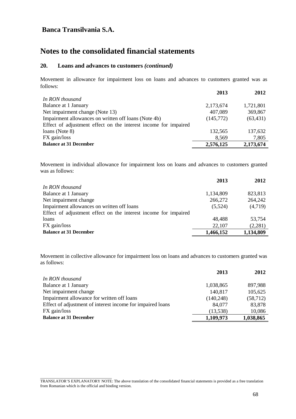\_\_\_\_\_\_\_\_\_\_\_\_\_\_\_\_\_\_\_\_\_\_\_\_\_\_\_\_\_\_\_\_\_\_\_\_

## **Notes to the consolidated financial statements**

#### **20. Loans and advances to customers** *(continued)*

Movement in allowance for impairment loss on loans and advances to customers granted was as follows:

|                                                                 | 2013      | 2012      |
|-----------------------------------------------------------------|-----------|-----------|
| In RON thousand                                                 |           |           |
| Balance at 1 January                                            | 2,173,674 | 1,721,801 |
| Net impairment change (Note 13)                                 | 407,089   | 369,867   |
| Impairment allowances on written off loans (Note 4b)            | (145,772) | (63, 431) |
| Effect of adjustment effect on the interest income for impaired |           |           |
| loans (Note 8)                                                  | 132,565   | 137,632   |
| FX gain/loss                                                    | 8,569     | 7,805     |
| <b>Balance at 31 December</b>                                   | 2,576,125 | 2,173,674 |

Movement in individual allowance for impairment loss on loans and advances to customers granted was as follows:

|                                                                 | 2013      | 2012      |
|-----------------------------------------------------------------|-----------|-----------|
| In RON thousand                                                 |           |           |
| Balance at 1 January                                            | 1,134,809 | 823,813   |
| Net impairment change                                           | 266,272   | 264,242   |
| Impairment allowances on written off loans                      | (5,524)   | (4,719)   |
| Effect of adjustment effect on the interest income for impaired |           |           |
| loans                                                           | 48,488    | 53,754    |
| FX gain/loss                                                    | 22,107    | (2,281)   |
| <b>Balance at 31 December</b>                                   | 1,466,152 | 1,134,809 |

Movement in collective allowance for impairment loss on loans and advances to customers granted was as follows:

|                                                            | 2013       | 2012      |
|------------------------------------------------------------|------------|-----------|
| In RON thousand                                            |            |           |
| Balance at 1 January                                       | 1,038,865  | 897,988   |
| Net impairment change                                      | 140,817    | 105,625   |
| Impairment allowance for written off loans                 | (140, 248) | (58, 712) |
| Effect of adjustment of interest income for impaired loans | 84,077     | 83,878    |
| FX gain/loss                                               | (13, 538)  | 10,086    |
| <b>Balance at 31 December</b>                              | 1,109,973  | 1,038,865 |
|                                                            |            |           |

TRANSLATOR'S EXPLANATORY NOTE: The above translation of the consolidated financial statements is provided as a free translation from Romanian which is the official and binding version.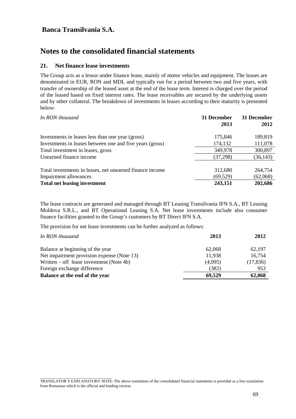## **Notes to the consolidated financial statements**

#### **21. Net finance lease investments**

\_\_\_\_\_\_\_\_\_\_\_\_\_\_\_\_\_\_\_\_\_\_\_\_\_\_\_\_\_\_\_\_\_\_\_\_

The Group acts as a lessor under finance lease, mainly of motor vehicles and equipment. The leases are denominated in EUR, RON and MDL and typically run for a period between two and five years, with transfer of ownership of the leased asset at the end of the lease term. Interest is charged over the period of the leased based on fixed interest rates. The lease receivables are secured by the underlying assets and by other collateral. The breakdown of investments in leases according to their maturity is presented below:

| In RON thousand                                          | 31 December<br>2013 | 31 December<br>2012 |
|----------------------------------------------------------|---------------------|---------------------|
| Investments in leases less than one year (gross)         | 175,846             | 189,819             |
| Investments in leases between one and five years (gross) | 174,132             | 111,078             |
| Total investment in leases, gross                        | 349,978             | 300,897             |
| Unearned finance income                                  | (37, 298)           | (36, 143)           |
| Total investments in leases, net unearned finance income | 312,680             | 264,754             |
| Impairment allowances                                    | (69, 529)           | (62,068)            |
| <b>Total net leasing investment</b>                      | 243,151             | 202,686             |

The lease contracts are generated and managed through BT Leasing Transilvania IFN S.A., BT Leasing Moldova S.R.L., and BT Operational Leasing S.A. Net lease investments include also consumer finance facilities granted to the Group's customers by BT Direct IFN S.A.

The provision for net lease investments can be further analyzed as follows:

| In RON thousand                            | 2013    | 2012      |
|--------------------------------------------|---------|-----------|
| Balance at beginning of the year           | 62,068  | 62.197    |
| Net impairment provision expense (Note 13) | 11,938  | 16,754    |
| Written – off lease investment (Note 4b)   | (4,095) | (17, 836) |
| Foreign exchange difference                | (382)   | 953       |
| Balance at the end of the year             | 69,529  | 62,068    |

TRANSLATOR'S EXPLANATORY NOTE: The above translation of the consolidated financial statements is provided as a free translation from Romanian which is the official and binding version.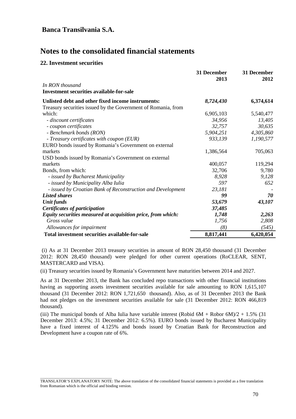#### **22. Investment securities**

\_\_\_\_\_\_\_\_\_\_\_\_\_\_\_\_\_\_\_\_\_\_\_\_\_\_\_\_\_\_\_\_\_\_\_\_

|                                                               | 31 December | 31 December |
|---------------------------------------------------------------|-------------|-------------|
|                                                               | 2013        | 2012        |
| In RON thousand                                               |             |             |
| <b>Investment securities available-for-sale</b>               |             |             |
| Unlisted debt and other fixed income instruments:             | 8,724,430   | 6,374,614   |
| Treasury securities issued by the Government of Romania, from |             |             |
| which:                                                        | 6,905,103   | 5,540,477   |
| - discount certificates                                       | 34,956      | 13,405      |
| - coupon certificates                                         | 32,757      | 30,635      |
| - Benchmark bonds (RON)                                       | 5,904,251   | 4,305,860   |
| - Treasury certificates with coupon (EUR)                     | 933,139     | 1,190,577   |
| EURO bonds issued by Romania's Government on external         |             |             |
| markets                                                       | 1,386,564   | 705,063     |
| USD bonds issued by Romania's Government on external          |             |             |
| markets                                                       | 400,057     | 119,294     |
| Bonds, from which:                                            | 32,706      | 9,780       |
| - issued by Bucharest Municipality                            | 8,928       | 9,128       |
| - issued by Municipality Alba Iulia                           | 597         | 652         |
| - issued by Croatian Bank of Reconstruction and Development   | 23,181      |             |
| <b>Listed shares</b>                                          | 99          | 70          |
| <b>Unit funds</b>                                             | 53,679      | 43,107      |
| <b>Certificates of participation</b>                          | 37,485      |             |
| Equity securities measured at acquisition price, from which:  | 1,748       | 2,263       |
| Gross value                                                   | 1,756       | 2,808       |
| Allowances for impairment                                     | (8)         | (545)       |
| Total investment securities available-for-sale                | 8,817,441   | 6,420,054   |

(i) As at 31 December 2013 treasury securities in amount of RON 28,450 thousand (31 December 2012: RON 28,450 thousand) were pledged for other current operations (RoCLEAR, SENT, MASTERCARD and VISA).

(ii) Treasury securities issued by Romania's Government have maturities between 2014 and 2027.

As at 31 December 2013, the Bank has concluded repo transactions with other financial institutions having as supporting assets investment securities available for sale amounting to RON 1,615,107 thousand (31 December 2012: RON 1,721,650 thousand). Also, as of 31 December 2013 the Bank had not pledges on the investment securities available for sale (31 December 2012: RON 466,819 thousand).

(iii) The municipal bonds of Alba Iulia have variable interest (Robid  $6M + R$ obor  $6M/2 + 1.5\%$  (31) December 2013: 4.5%; 31 December 2012: 6.5%). EURO bonds issued by Bucharest Municipality have a fixed interest of 4.125% and bonds issued by Croatian Bank for Reconstruction and Development have a coupon rate of 6%.

TRANSLATOR'S EXPLANATORY NOTE: The above translation of the consolidated financial statements is provided as a free translation from Romanian which is the official and binding version.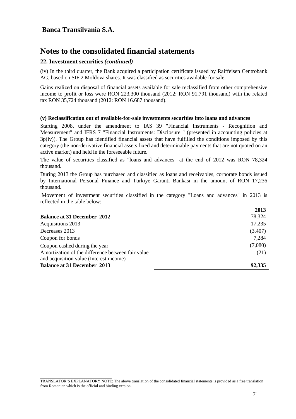## **Notes to the consolidated financial statements**

### **22. Investment securities** *(continued)*

(iv) In the third quarter, the Bank acquired a participation certificate issued by Raiffeisen Centrobank AG, based on SIF 2 Moldova shares. It was classified as securities available for sale.

Gains realized on disposal of financial assets available for sale reclassified from other comprehensive income to profit or loss were RON 223,300 thousand (2012: RON 91,791 thousand) with the related tax RON 35,724 thousand (2012: RON 16.687 thousand).

#### **(v) Reclassification out of available-for-sale investments securities into loans and advances**

Starting 2008, under the amendment to IAS 39 "Financial Instruments - Recognition and Measurement" and IFRS 7 "Financial Instruments: Disclosure " (presented in accounting policies at 3p(iv)). The Group has identified financial assets that have fulfilled the conditions imposed by this category (the non-derivative financial assets fixed and determinable payments that are not quoted on an active market) and held in the foreseeable future.

The value of securities classified as "loans and advances" at the end of 2012 was RON 78,324 thousand.

During 2013 the Group has purchased and classified as loans and receivables, corporate bonds issued by International Personal Finance and Turkiye Garanti Bankasi in the amount of RON 17,236 thousand.

Movement of investment securities classified in the category "Loans and advances" in 2013 is reflected in the table below:

|                                                   | 2013    |
|---------------------------------------------------|---------|
| <b>Balance at 31 December 2012</b>                | 78,324  |
| Acquisitions 2013                                 | 17,235  |
| Decreases 2013                                    | (3,407) |
| Coupon for bonds                                  | 7,284   |
| Coupon cashed during the year                     | (7,080) |
| Amortization of the difference between fair value | (21)    |
| and acquisition value (Interest income)           |         |
| <b>Balance at 31 December 2013</b>                | 92,335  |

**2013**

\_\_\_\_\_\_\_\_\_\_\_\_\_\_\_\_\_\_\_\_\_\_\_\_\_\_\_\_\_\_\_\_\_\_\_\_ TRANSLATOR'S EXPLANATORY NOTE: The above translation of the consolidated financial statements is provided as a free translation from Romanian which is the official and binding version.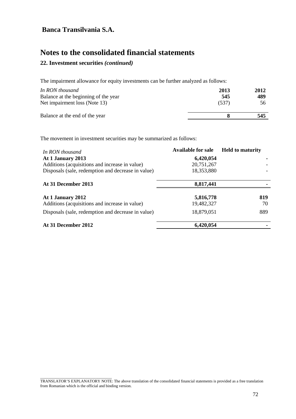\_\_\_\_\_\_\_\_\_\_\_\_\_\_\_\_\_\_\_\_\_\_\_\_\_\_\_\_\_\_\_\_\_\_\_\_

# **Notes to the consolidated financial statements**

## **22. Investment securities** *(continued)*

The impairment allowance for equity investments can be further analyzed as follows:

| In RON thousand                      | 2013  | 2012 |
|--------------------------------------|-------|------|
| Balance at the beginning of the year | 545   | 489  |
| Net impairment loss (Note 13)        | (537) | 56   |
| Balance at the end of the year       |       | 545  |

The movement in investment securities may be summarized as follows:

| In RON thousand                                    | <b>Available for sale</b> | <b>Held to maturity</b> |
|----------------------------------------------------|---------------------------|-------------------------|
| At 1 January 2013                                  | 6,420,054                 |                         |
| Additions (acquisitions and increase in value)     | 20,751,267                |                         |
| Disposals (sale, redemption and decrease in value) | 18,353,880                |                         |
| At 31 December 2013                                | 8,817,441                 |                         |
| At 1 January 2012                                  | 5,816,778                 | 819                     |
| Additions (acquisitions and increase in value)     | 19,482,327                | 70                      |
| Disposals (sale, redemption and decrease in value) | 18,879,051                | 889                     |
| At 31 December 2012                                | 6,420,054                 |                         |

TRANSLATOR'S EXPLANATORY NOTE: The above translation of the consolidated financial statements is provided as a free translation from Romanian which is the official and binding version.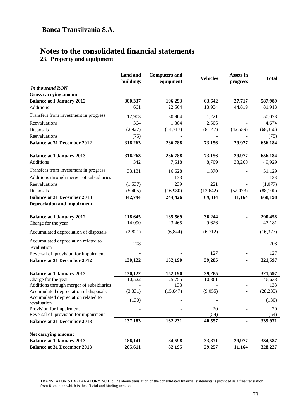# **Notes to the consolidated financial statements**

**23. Property and equipment** 

|                                                                            | <b>Land</b> and<br>buildings | <b>Computers and</b><br>equipment | <b>Vehicles</b> | Assets in<br>progress | <b>Total</b>   |
|----------------------------------------------------------------------------|------------------------------|-----------------------------------|-----------------|-----------------------|----------------|
| In thousand RON                                                            |                              |                                   |                 |                       |                |
| <b>Gross carrying amount</b>                                               |                              |                                   |                 |                       |                |
| <b>Balance at 1 January 2012</b>                                           | 300,337                      | 196,293                           | 63,642          | 27,717                | 587,989        |
| Additions                                                                  | 661                          | 22,504                            | 13,934          | 44,819                | 81,918         |
| Transfers from investment in progress                                      | 17,903                       | 30,904                            | 1,221           |                       | 50,028         |
| Reevaluations                                                              | 364                          | 1,804                             | 2,506           |                       | 4,674          |
| Disposals                                                                  | (2,927)                      | (14, 717)                         | (8,147)         | (42, 559)             | (68, 350)      |
| Reevaluations                                                              | (75)                         |                                   |                 |                       | (75)           |
| <b>Balance at 31 December 2012</b>                                         | 316,263                      | 236,788                           | 73,156          | 29,977                | 656,184        |
| <b>Balance at 1 January 2013</b>                                           | 316,263                      | 236,788                           | 73,156          | 29,977                | 656,184        |
| Additions                                                                  | 342                          | 7,618                             | 8,709           | 33,260                | 49,929         |
| Transfers from investment in progress                                      | 33,131                       | 16,628                            | 1,370           |                       | 51,129         |
| Additions through merger of subsidiaries                                   |                              | 133                               |                 |                       | 133            |
| Reevaluations                                                              | (1,537)                      | 239                               | 221             |                       | (1,077)        |
| Disposals                                                                  | (5,405)                      | (16,980)                          | (13, 642)       | (52,073)              | (88, 100)      |
| <b>Balance at 31 December 2013</b>                                         | 342,794                      | 244,426                           | 69,814          | 11,164                | 668,198        |
| <b>Depreciation and impairment</b>                                         |                              |                                   |                 |                       |                |
| <b>Balance at 1 January 2012</b>                                           | 118,645                      | 135,569                           | 36,244          |                       | 290,458        |
| Charge for the year                                                        | 14,090                       | 23,465                            | 9,626           |                       | 47,181         |
| Accumulated depreciation of disposals                                      | (2,821)                      | (6, 844)                          | (6,712)         |                       | (16, 377)      |
| Accumulated depreciation related to                                        | 208                          |                                   |                 |                       | 208            |
| revaluation                                                                |                              |                                   |                 |                       |                |
| Reversal of provision for impairment<br><b>Balance at 31 December 2012</b> | 130,122                      | 152,190                           | 127<br>39,285   | $\blacksquare$        | 127<br>321,597 |
|                                                                            |                              |                                   |                 |                       |                |
| <b>Balance at 1 January 2013</b>                                           | 130,122                      | 152,190                           | 39,285          | ٠                     | 321,597        |
| Charge for the year                                                        | 10,522                       | 25,755                            | 10,361          | $\blacksquare$        | 46,638         |
| Additions through merger of subsidiaries                                   |                              | 133                               |                 |                       | 133            |
| Accumulated depreciation of disposals                                      | (3,331)                      | (15, 847)                         | (9,055)         |                       | (28, 233)      |
| Accumulated depreciation related to<br>revaluation                         | (130)                        |                                   |                 |                       | (130)          |
| Provision for impairment                                                   |                              |                                   | $20\,$          |                       | 20             |
| Reversal of provision for impairment                                       |                              |                                   | (54)            |                       | (54)           |
| <b>Balance at 31 December 2013</b>                                         | 137,183                      | 162,231                           | 40,557          |                       | 339,971        |
| Net carrying amount                                                        |                              |                                   |                 |                       |                |
| <b>Balance at 1 January 2013</b>                                           | 186,141                      | 84,598                            | 33,871          | 29,977                | 334,587        |
| <b>Balance at 31 December 2013</b>                                         | 205,611                      | 82,195                            | 29,257          | 11,164                | 328,227        |

\_\_\_\_\_\_\_\_\_\_\_\_\_\_\_\_\_\_\_\_\_\_\_\_\_\_\_\_\_\_\_\_\_\_\_\_ TRANSLATOR'S EXPLANATORY NOTE: The above translation of the consolidated financial statements is provided as a free translation from Romanian which is the official and binding version.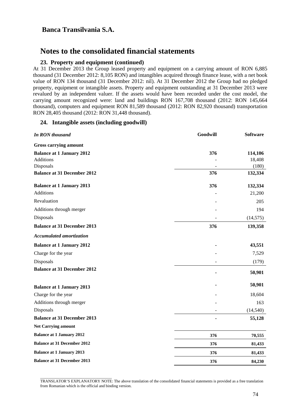## **Notes to the consolidated financial statements**

### **23. Property and equipment (continued)**

At 31 December 2013 the Group leased property and equipment on a carrying amount of RON 6,885 thousand (31 December 2012: 8,105 RON) and intangibles acquired through finance lease, with a net book value of RON 134 thousand (31 December 2012: nil). At 31 December 2012 the Group had no pledged property, equipment or intangible assets. Property and equipment outstanding at 31 December 2013 were revalued by an independent valuer. If the assets would have been recorded under the cost model, the carrying amount recognized were: land and buildings RON 167,708 thousand (2012: RON 145,664 thousand), computers and equipment RON 81,589 thousand (2012: RON 82,920 thousand) transportation RON 28,405 thousand (2012: RON 31,448 thousand).

### **24. Intangible assets (including goodwill)**

| <b>In RON thousand</b>             | Goodwill | <b>Software</b> |
|------------------------------------|----------|-----------------|
| <b>Gross carrying amount</b>       |          |                 |
| <b>Balance at 1 January 2012</b>   | 376      | 114,106         |
| <b>Additions</b>                   |          | 18,408          |
| Disposals                          |          | (180)           |
| <b>Balance at 31 December 2012</b> | 376      | 132,334         |
| <b>Balance at 1 January 2013</b>   | 376      | 132,334         |
| <b>Additions</b>                   |          | 21,200          |
| Revaluation                        |          | 205             |
| Additions through merger           |          | 194             |
| Disposals                          |          | (14, 575)       |
| <b>Balance at 31 December 2013</b> | 376      | 139,358         |
| <b>Accumulated amortization</b>    |          |                 |
| <b>Balance at 1 January 2012</b>   |          | 43,551          |
| Charge for the year                |          | 7,529           |
| Disposals                          |          | (179)           |
| <b>Balance at 31 December 2012</b> |          | 50,901          |
| <b>Balance at 1 January 2013</b>   |          | 50,901          |
| Charge for the year                |          | 18,604          |
| Additions through merger           |          | 163             |
| Disposals                          |          | (14, 540)       |
| <b>Balance at 31 December 2013</b> |          | 55,128          |
| <b>Net Carrying amount</b>         |          |                 |
| <b>Balance at 1 January 2012</b>   | 376      | 70,555          |
| <b>Balance at 31 December 2012</b> | 376      | 81,433          |
| <b>Balance at 1 January 2013</b>   | 376      | 81,433          |
| <b>Balance at 31 December 2013</b> | 376      | 84,230          |

\_\_\_\_\_\_\_\_\_\_\_\_\_\_\_\_\_\_\_\_\_\_\_\_\_\_\_\_\_\_\_\_\_\_\_\_ TRANSLATOR'S EXPLANATORY NOTE: The above translation of the consolidated financial statements is provided as a free translation from Romanian which is the official and binding version.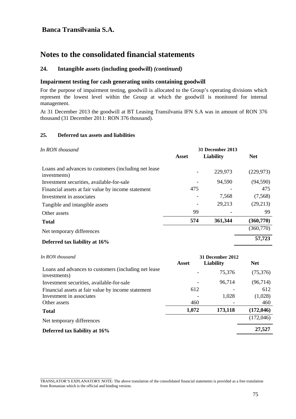## **Notes to the consolidated financial statements**

### **24. Intangible assets (including goodwill)** *(continued)*

### **Impairment testing for cash generating units containing goodwill**

For the purpose of impairment testing, goodwill is allocated to the Group's operating divisions which represent the lowest level within the Group at which the goodwill is monitored for internal management.

At 31 December 2013 the goodwill at BT Leasing Transilvania IFN S.A was in amount of RON 376 thousand (31 December 2011: RON 376 thousand).

### **25. Deferred tax assets and liabilities**

| In RON thousand                                                       | 31 December 2013 |           |            |  |
|-----------------------------------------------------------------------|------------------|-----------|------------|--|
|                                                                       | <b>Asset</b>     | Liability | <b>Net</b> |  |
| Loans and advances to customers (including net lease)<br>investments) |                  | 229,973   | (229, 973) |  |
| Investment securities, available-for-sale                             |                  | 94,590    | (94, 590)  |  |
| Financial assets at fair value by income statement                    | 475              |           | 475        |  |
| Investment in associates                                              |                  | 7,568     | (7,568)    |  |
| Tangible and intangible assets                                        |                  | 29,213    | (29,213)   |  |
| Other assets                                                          | 99               |           | 99         |  |
| <b>Total</b>                                                          | 574              | 361,344   | (360,770)  |  |
| Net temporary differences                                             |                  |           | (360,770)  |  |
| Defermed toy lighility of 160/                                        |                  |           | 57,723     |  |

#### **Deferred tax liability at 16% 57,723**

\_\_\_\_\_\_\_\_\_\_\_\_\_\_\_\_\_\_\_\_\_\_\_\_\_\_\_\_\_\_\_\_\_\_\_\_

| In RON thousand                                                       |       | 31 December 2012 |            |
|-----------------------------------------------------------------------|-------|------------------|------------|
|                                                                       | Asset | <b>Liability</b> | <b>Net</b> |
| Loans and advances to customers (including net lease)<br>investments) |       | 75,376           | (75,376)   |
| Investment securities, available-for-sale                             |       | 96,714           | (96,714)   |
| Financial assets at fair value by income statement                    | 612   |                  | 612        |
| Investment in associates                                              |       | 1,028            | (1,028)    |
| Other assets                                                          | 460   |                  | 460        |
| <b>Total</b>                                                          | 1,072 | 173,118          | (172, 046) |
| Net temporary differences                                             |       |                  | (172,046)  |
| Deferred tax liability at 16%                                         |       |                  | 27,527     |
|                                                                       |       |                  |            |

TRANSLATOR'S EXPLANATORY NOTE: The above translation of the consolidated financial statements is provided as a free translation from Romanian which is the official and binding version.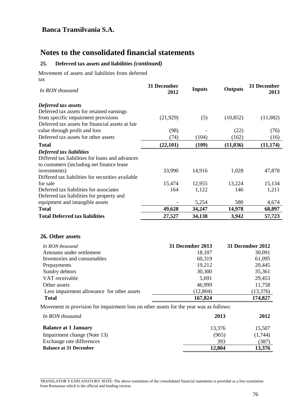## **Notes to the consolidated financial statements**

### **25. Deferred tax assets and liabilities** *(continued)*

Movement of assets and liabilities from deferred tax

| In RON thousand                                   | 31 December<br>2012 | <b>Inputs</b> | <b>Outputs</b> | 31 December<br>2013 |
|---------------------------------------------------|---------------------|---------------|----------------|---------------------|
| Deferred tax assets                               |                     |               |                |                     |
| Deferred tax assets for retained earnings         |                     |               |                |                     |
| from specific impairment provisions               | (21, 929)           | (5)           | (10, 852)      | (11,082)            |
| Deferred tax assets for financial assets at fair  |                     |               |                |                     |
| value through profit and loss                     | (98)                |               | (22)           | (76)                |
| Deferred tax assets for other assets              | (74)                | (104)         | (162)          | (16)                |
| <b>Total</b>                                      | (22,101)            | (109)         | (11, 036)      | (11, 174)           |
| Deferred tax liabilities                          |                     |               |                |                     |
| Differed tax liabilities for loans and advances   |                     |               |                |                     |
| to customers (including net finance lease)        |                     |               |                |                     |
| investments)                                      | 33,990              | 14,916        | 1,028          | 47,878              |
| Differed tax liabilities for securities available |                     |               |                |                     |
| for sale                                          | 15,474              | 12,955        | 13,224         | 15,134              |
| Deferred tax liabilities for associates           | 164                 | 1,122         | 146            | 1,211               |
| Deferred tax liabilities for property and         |                     |               |                |                     |
| equipment and intangible assets                   |                     | 5,254         | 580            | 4,674               |
| <b>Total</b>                                      | 49,628              | 34,247        | 14,978         | 68,897              |
| <b>Total Deferred tax liabilities</b>             | 27,527              | 34,138        | 3,942          | 57,723              |

### **26. Other assets**

\_\_\_\_\_\_\_\_\_\_\_\_\_\_\_\_\_\_\_\_\_\_\_\_\_\_\_\_\_\_\_\_\_\_\_\_

| In RON thousand                            | <b>31 December 2013</b> | 31 December 2012 |
|--------------------------------------------|-------------------------|------------------|
| Amounts under settlement                   | 18,107                  | 30,091           |
| Inventories and consumables                | 60,319                  | 61,095           |
| Prepayments                                | 19,212                  | 20,445           |
| Sundry debtors                             | 30,300                  | 35,361           |
| VAT receivable                             | 5,691                   | 29,453           |
| Other assets                               | 46,999                  | 11,758           |
| Less impairment allowance for other assets | (12, 804)               | (13,376)         |
| <b>Total</b>                               | 167,824                 | 174,827          |

Movement in provision for impairment loss on other assets for the year was as follows:

| In RON thousand               | 2013   | 2012           |
|-------------------------------|--------|----------------|
| <b>Balance at 1 January</b>   | 13.376 | 15.507         |
| Impairment change (Note 13)   | (965)  | (1,744)        |
| Exchange rate differences     | 393    | $^{\prime}387$ |
| <b>Balance at 31 December</b> | 12,804 | 13,376         |

TRANSLATOR'S EXPLANATORY NOTE: The above translation of the consolidated financial statements is provided as a free translation from Romanian which is the official and binding version.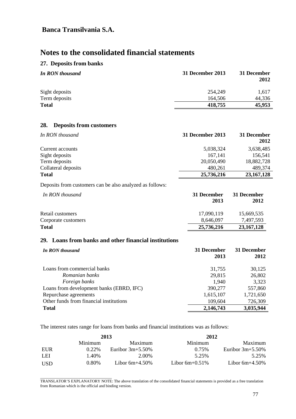# **Notes to the consolidated financial statements**

### **27. Deposits from banks**

| <b>In RON thousand</b> | 31 December 2013 | 31 December<br>2012 |
|------------------------|------------------|---------------------|
| Sight deposits         | 254,249          | 1,617               |
| Term deposits          | 164,506          | 44,336              |
| <b>Total</b>           | 418,755          | 45,953              |

### **28. Deposits from customers**

| In RON thousand     | 31 December 2013 | 31 December<br>2012 |
|---------------------|------------------|---------------------|
| Current accounts    | 5,038,324        | 3,638,485           |
| Sight deposits      | 167,141          | 156,541             |
| Term deposits       | 20,050,490       | 18,882,728          |
| Collateral deposits | 480,261          | 489,374             |
| <b>Total</b>        | 25,736,216       | 23, 167, 128        |

Deposits from customers can be also analyzed as follows:

| In RON thousand     | 31 December<br>2013 | 31 December<br>2012 |
|---------------------|---------------------|---------------------|
| Retail customers    | 17.090.119          | 15,669,535          |
| Corporate customers | 8.646.097           | 7.497.593           |
| <b>Total</b>        | 25,736,216          | 23, 167, 128        |

### **29. Loans from banks and other financial institutions**

| In RON thousand                          | 31 December | 31 December |
|------------------------------------------|-------------|-------------|
|                                          | 2013        | 2012        |
| Loans from commercial banks              | 31,755      | 30,125      |
| Romanian banks                           | 29,815      | 26,802      |
| Foreign banks                            | 1,940       | 3,323       |
| Loans from development banks (EBRD, IFC) | 390,277     | 557,860     |
| Repurchase agreements                    | 1,615,107   | 1,721,650   |
| Other funds from financial institutions  | 109,604     | 726,309     |
| <b>Total</b>                             | 2,146,743   | 3,035,944   |

The interest rates range for loans from banks and financial institutions was as follows:

|            |          | 2013                | 2012              |                     |
|------------|----------|---------------------|-------------------|---------------------|
|            | Minimum  | Maximum             | Minimum           | Maximum             |
| EUR        | $0.22\%$ | Euribor $3m+5.50\%$ | 0.75%             | Euribor $3m+5.50\%$ |
| LEI        | .40%     | 2.00%               | 5.25%             | 5.25%               |
| <b>USD</b> | 0.80%    | Libor $6m+4.50\%$   | Libor $6m+0.51\%$ | Libor $6m+4.50\%$   |

\_\_\_\_\_\_\_\_\_\_\_\_\_\_\_\_\_\_\_\_\_\_\_\_\_\_\_\_\_\_\_\_\_\_\_\_ TRANSLATOR'S EXPLANATORY NOTE: The above translation of the consolidated financial statements is provided as a free translation from Romanian which is the official and binding version.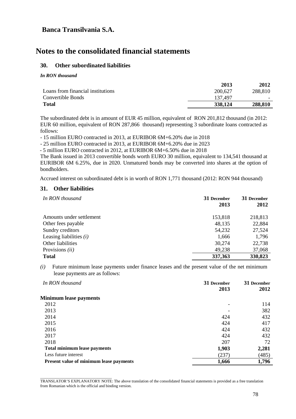## **Notes to the consolidated financial statements**

### **30. Other subordinated liabilities**

*In RON thousand*

|                                   | 2013    | 2012    |
|-----------------------------------|---------|---------|
| Loans from financial institutions | 200,627 | 288,810 |
| Convertible Bonds                 | 137,497 |         |
| <b>Total</b>                      | 338,124 | 288,810 |
|                                   |         |         |

The subordinated debt is in amount of EUR 45 million, equivalent of RON 201,812 thousand (in 2012: EUR 60 million, equivalent of RON 287,866 thousand) representing 3 subordinate loans contracted as follows:

- 15 million EURO contracted in 2013, at EURIBOR 6M+6.20% due in 2018

- 25 million EURO contracted in 2013, at EURIBOR 6M+6.20% due in 2023

- 5 million EURO contracted in 2012, at EURIBOR 6M+6.50% due in 2018

The Bank issued in 2013 convertible bonds worth EURO 30 million, equivalent to 134,541 thousand at EURIBOR 6M 6.25%, due in 2020. Unmatured bonds may be converted into shares at the option of bondholders.

Accrued interest on subordinated debt is in worth of RON 1,771 thousand (2012: RON 944 thousand)

### **31. Other liabilities**

| In RON thousand           | 31 December<br>2013 | 31 December<br>2012 |
|---------------------------|---------------------|---------------------|
| Amounts under settlement  | 153,818             | 218,813             |
| Other fees payable        | 48,135              | 22,884              |
| Sundry creditors          | 54,232              | 27,524              |
| Leasing liabilities $(i)$ | 1,666               | 1,796               |
| Other liabilities         | 30,274              | 22,738              |
| Provisions <i>(ii)</i>    | 49,238              | 37,068              |
| <b>Total</b>              | 337,363             | 330,823             |

*(i)* Future minimum lease payments under finance leases and the present value of the net minimum lease payments are as follows:

| In RON thousand                         | 31 December | 31 December |
|-----------------------------------------|-------------|-------------|
|                                         | 2013        | 2012        |
| <b>Minimum lease payments</b>           |             |             |
| 2012                                    |             | 114         |
| 2013                                    |             | 382         |
| 2014                                    | 424         | 432         |
| 2015                                    | 424         | 417         |
| 2016                                    | 424         | 432         |
| 2017                                    | 424         | 432         |
| 2018                                    | 207         | 72          |
| <b>Total minimum lease payments</b>     | 1,903       | 2,281       |
| Less future interest                    | (237)       | (485)       |
| Present value of minimum lease payments | 1,666       | 1,796       |

\_\_\_\_\_\_\_\_\_\_\_\_\_\_\_\_\_\_\_\_\_\_\_\_\_\_\_\_\_\_\_\_\_\_\_\_ TRANSLATOR'S EXPLANATORY NOTE: The above translation of the consolidated financial statements is provided as a free translation from Romanian which is the official and binding version.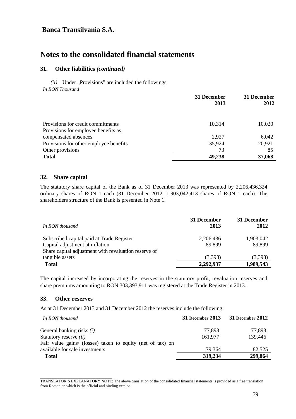## **Notes to the consolidated financial statements**

### **31. Other liabilities** *(continued)*

 $(ii)$  Under "Provisions" are included the followings: *In RON Thousand*

|                                        | 31 December<br>2013 | 31 December<br>2012 |
|----------------------------------------|---------------------|---------------------|
| Provisions for credit commitments      | 10,314              | 10,020              |
| Provisions for employee benefits as    |                     |                     |
| compensated absences                   | 2,927               | 6,042               |
| Provisions for other employee benefits | 35,924              | 20,921              |
| Other provisions                       | 73                  | 85                  |
| <b>Total</b>                           | 49,238              | 37,068              |

#### **32. Share capital**

The statutory share capital of the Bank as of 31 December 2013 was represented by 2,206,436,324 ordinary shares of RON 1 each (31 December 2012: 1,903,042,413 shares of RON 1 each). The shareholders structure of the Bank is presented in Note 1.

| In RON thousand                                      | 31 December<br>2013 | 31 December<br>2012 |
|------------------------------------------------------|---------------------|---------------------|
| Subscribed capital paid at Trade Register            | 2,206,436           | 1,903,042           |
| Capital adjustment at inflation                      | 89.899              | 89,899              |
| Share capital adjustment with revaluation reserve of |                     |                     |
| tangible assets                                      | (3,398)             | (3,398)             |
| <b>Total</b>                                         | 2,292,937           | 1,989,543           |

The capital increased by incorporating the reserves in the statutory profit, revaluation reserves and share premiums amounting to RON 303,393,911 was registered at the Trade Register in 2013.

### **33. Other reserves**

As at 31 December 2013 and 31 December 2012 the reserves include the following:

| In RON thousand                                            | 31 December 2013 | 31 December 2012 |
|------------------------------------------------------------|------------------|------------------|
| General banking risks <i>(i)</i>                           | 77.893           | 77,893           |
| Statutory reserve <i>(ii)</i>                              | 161.977          | 139,446          |
| Fair value gains/ (losses) taken to equity (net of tax) on |                  |                  |
| available for sale investments                             | 79,364           | 82,525           |
| <b>Total</b>                                               | 319,234          | 299,864          |

\_\_\_\_\_\_\_\_\_\_\_\_\_\_\_\_\_\_\_\_\_\_\_\_\_\_\_\_\_\_\_\_\_\_\_\_ TRANSLATOR'S EXPLANATORY NOTE: The above translation of the consolidated financial statements is provided as a free translation from Romanian which is the official and binding version.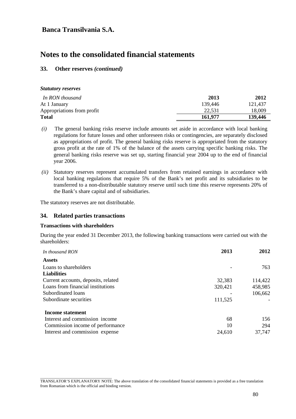## **Notes to the consolidated financial statements**

### **33. Other reserves** *(continued)*

| <b>Statutory reserves</b> |  |
|---------------------------|--|
|---------------------------|--|

| In RON thousand            | 2013    | 2012    |
|----------------------------|---------|---------|
| At 1 January               | 139.446 | 121.437 |
| Appropriations from profit | 22.531  | 18.009  |
| <b>Total</b>               | 161,977 | 139,446 |

- *(i)* The general banking risks reserve include amounts set aside in accordance with local banking regulations for future losses and other unforeseen risks or contingencies, are separately disclosed as appropriations of profit. The general banking risks reserve is appropriated from the statutory gross profit at the rate of 1% of the balance of the assets carrying specific banking risks. The general banking risks reserve was set up, starting financial year 2004 up to the end of financial year 2006.
- *(ii)* Statutory reserves represent accumulated transfers from retained earnings in accordance with local banking regulations that require 5% of the Bank's net profit and its subsidiaries to be transferred to a non-distributable statutory reserve until such time this reserve represents 20% of the Bank's share capital and of subsidiaries.

The statutory reserves are not distributable.

### **34. Related parties transactions**

### **Transactions with shareholders**

During the year ended 31 December 2013, the following banking transactions were carried out with the shareholders:

| In thousand RON                     | 2013    | 2012    |
|-------------------------------------|---------|---------|
| <b>Assets</b>                       |         |         |
| Loans to shareholders               |         | 763     |
| <b>Liabilities</b>                  |         |         |
| Current accounts, deposits, related | 32,383  | 114,422 |
| Loans from financial institutions   | 320,421 | 458,985 |
| Subordinated loans                  |         | 106,662 |
| Subordinate securities              | 111,525 |         |
| <b>Income statement</b>             |         |         |
| Interest and commission income      | 68      | 156     |
| Commission income of performance    | 10      | 294     |
| Interest and commission expense     | 24,610  | 37,747  |

\_\_\_\_\_\_\_\_\_\_\_\_\_\_\_\_\_\_\_\_\_\_\_\_\_\_\_\_\_\_\_\_\_\_\_\_ TRANSLATOR'S EXPLANATORY NOTE: The above translation of the consolidated financial statements is provided as a free translation from Romanian which is the official and binding version.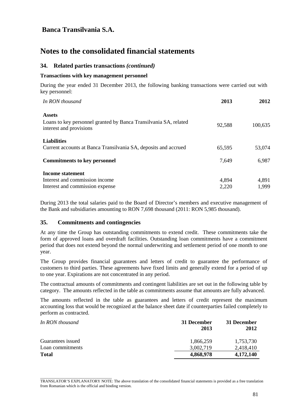## **Notes to the consolidated financial statements**

### **34. Related parties transactions** *(continued)*

#### **Transactions with key management personnel**

During the year ended 31 December 2013, the following banking transactions were carried out with key personnel:

| In RON thousand                                                                             | 2013   | 2012    |
|---------------------------------------------------------------------------------------------|--------|---------|
| <b>Assets</b>                                                                               |        |         |
| Loans to key personnel granted by Banca Transilvania SA, related<br>interest and provisions | 92,588 | 100,635 |
| <b>Liabilities</b>                                                                          |        |         |
| Current accounts at Banca Transilvania SA, deposits and accrued                             | 65,595 | 53,074  |
| <b>Commitments to key personnel</b>                                                         | 7,649  | 6,987   |
| Income statement                                                                            |        |         |
| Interest and commission income                                                              | 4,894  | 4,891   |
| Interest and commission expense                                                             | 2,220  | 1,999   |

During 2013 the total salaries paid to the Board of Director's members and executive management of the Bank and subsidiaries amounting to RON 7,698 thousand (2011: RON 5,985 thousand).

### **35. Commitments and contingencies**

At any time the Group has outstanding commitments to extend credit. These commitments take the form of approved loans and overdraft facilities. Outstanding loan commitments have a commitment period that does not extend beyond the normal underwriting and settlement period of one month to one year.

The Group provides financial guarantees and letters of credit to guarantee the performance of customers to third parties. These agreements have fixed limits and generally extend for a period of up to one year. Expirations are not concentrated in any period.

The contractual amounts of commitments and contingent liabilities are set out in the following table by category. The amounts reflected in the table as commitments assume that amounts are fully advanced.

The amounts reflected in the table as guarantees and letters of credit represent the maximum accounting loss that would be recognized at the balance sheet date if counterparties failed completely to perform as contracted.

| In RON thousand   | 31 December<br>2013 | 31 December<br>2012 |
|-------------------|---------------------|---------------------|
| Guarantees issued | 1,866,259           | 1.753.730           |
| Loan commitments  | 3,002,719           | 2.418.410           |
| <b>Total</b>      | 4,868,978           | 4,172,140           |

\_\_\_\_\_\_\_\_\_\_\_\_\_\_\_\_\_\_\_\_\_\_\_\_\_\_\_\_\_\_\_\_\_\_\_\_ TRANSLATOR'S EXPLANATORY NOTE: The above translation of the consolidated financial statements is provided as a free translation from Romanian which is the official and binding version.